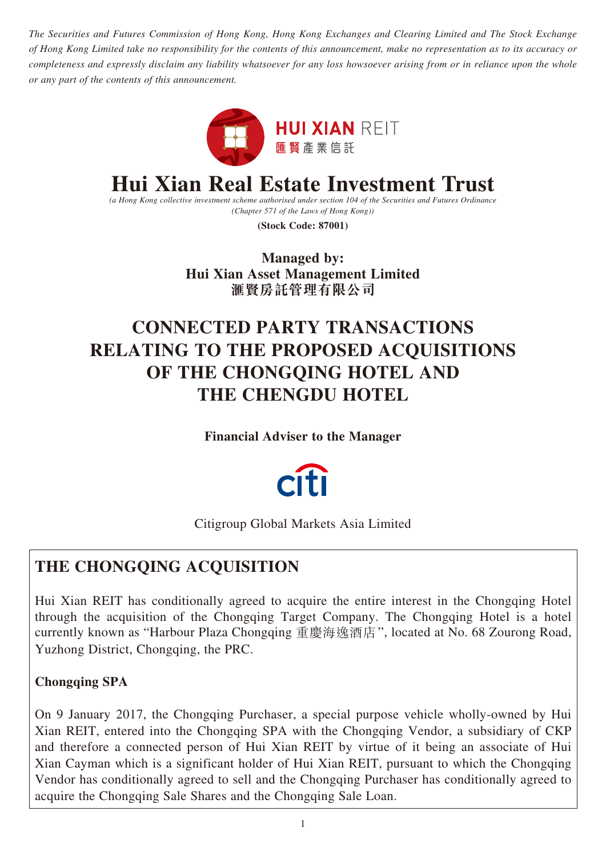*The Securities and Futures Commission of Hong Kong, Hong Kong Exchanges and Clearing Limited and The Stock Exchange of Hong Kong Limited take no responsibility for the contents of this announcement, make no representation as to its accuracy or completeness and expressly disclaim any liability whatsoever for any loss howsoever arising from or in reliance upon the whole or any part of the contents of this announcement.*



# **Hui Xian Real Estate Investment Trust**

*(a Hong Kong collective investment scheme authorised under section 104 of the Securities and Futures Ordinance (Chapter 571 of the Laws of Hong Kong))*

**(Stock Code: 87001)**

**Managed by: Hui Xian Asset Management Limited 滙賢房託管理有限公司**

# **CONNECTED PARTY TRANSACTIONS RELATING TO THE PROPOSED ACQUISITIONS OF THE CHONGQING HOTEL AND THE CHENGDU HOTEL**

**Financial Adviser to the Manager**



Citigroup Global Markets Asia Limited

## **THE CHONGQING ACQUISITION**

Hui Xian REIT has conditionally agreed to acquire the entire interest in the Chongqing Hotel through the acquisition of the Chongqing Target Company. The Chongqing Hotel is a hotel currently known as "Harbour Plaza Chongqing 重慶海逸酒店", located at No. 68 Zourong Road, Yuzhong District, Chongqing, the PRC.

## **Chongqing SPA**

On 9 January 2017, the Chongqing Purchaser, a special purpose vehicle wholly-owned by Hui Xian REIT, entered into the Chongqing SPA with the Chongqing Vendor, a subsidiary of CKP and therefore a connected person of Hui Xian REIT by virtue of it being an associate of Hui Xian Cayman which is a significant holder of Hui Xian REIT, pursuant to which the Chongqing Vendor has conditionally agreed to sell and the Chongqing Purchaser has conditionally agreed to acquire the Chongqing Sale Shares and the Chongqing Sale Loan.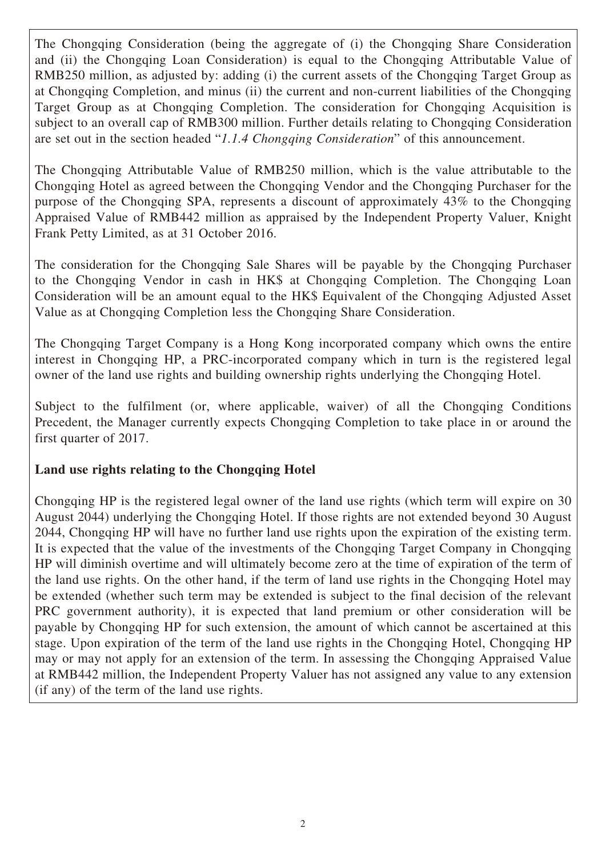The Chongqing Consideration (being the aggregate of (i) the Chongqing Share Consideration and (ii) the Chongqing Loan Consideration) is equal to the Chongqing Attributable Value of RMB250 million, as adjusted by: adding (i) the current assets of the Chongqing Target Group as at Chongqing Completion, and minus (ii) the current and non-current liabilities of the Chongqing Target Group as at Chongqing Completion. The consideration for Chongqing Acquisition is subject to an overall cap of RMB300 million. Further details relating to Chongqing Consideration are set out in the section headed "*1.1.4 Chongqing Consideration*" of this announcement.

The Chongqing Attributable Value of RMB250 million, which is the value attributable to the Chongqing Hotel as agreed between the Chongqing Vendor and the Chongqing Purchaser for the purpose of the Chongqing SPA, represents a discount of approximately 43% to the Chongqing Appraised Value of RMB442 million as appraised by the Independent Property Valuer, Knight Frank Petty Limited, as at 31 October 2016.

The consideration for the Chongqing Sale Shares will be payable by the Chongqing Purchaser to the Chongqing Vendor in cash in HK\$ at Chongqing Completion. The Chongqing Loan Consideration will be an amount equal to the HK\$ Equivalent of the Chongqing Adjusted Asset Value as at Chongqing Completion less the Chongqing Share Consideration.

The Chongqing Target Company is a Hong Kong incorporated company which owns the entire interest in Chongqing HP, a PRC-incorporated company which in turn is the registered legal owner of the land use rights and building ownership rights underlying the Chongqing Hotel.

Subject to the fulfilment (or, where applicable, waiver) of all the Chongqing Conditions Precedent, the Manager currently expects Chongqing Completion to take place in or around the first quarter of 2017.

## **Land use rights relating to the Chongqing Hotel**

Chongqing HP is the registered legal owner of the land use rights (which term will expire on 30 August 2044) underlying the Chongqing Hotel. If those rights are not extended beyond 30 August 2044, Chongqing HP will have no further land use rights upon the expiration of the existing term. It is expected that the value of the investments of the Chongqing Target Company in Chongqing HP will diminish overtime and will ultimately become zero at the time of expiration of the term of the land use rights. On the other hand, if the term of land use rights in the Chongqing Hotel may be extended (whether such term may be extended is subject to the final decision of the relevant PRC government authority), it is expected that land premium or other consideration will be payable by Chongqing HP for such extension, the amount of which cannot be ascertained at this stage. Upon expiration of the term of the land use rights in the Chongqing Hotel, Chongqing HP may or may not apply for an extension of the term. In assessing the Chongqing Appraised Value at RMB442 million, the Independent Property Valuer has not assigned any value to any extension (if any) of the term of the land use rights.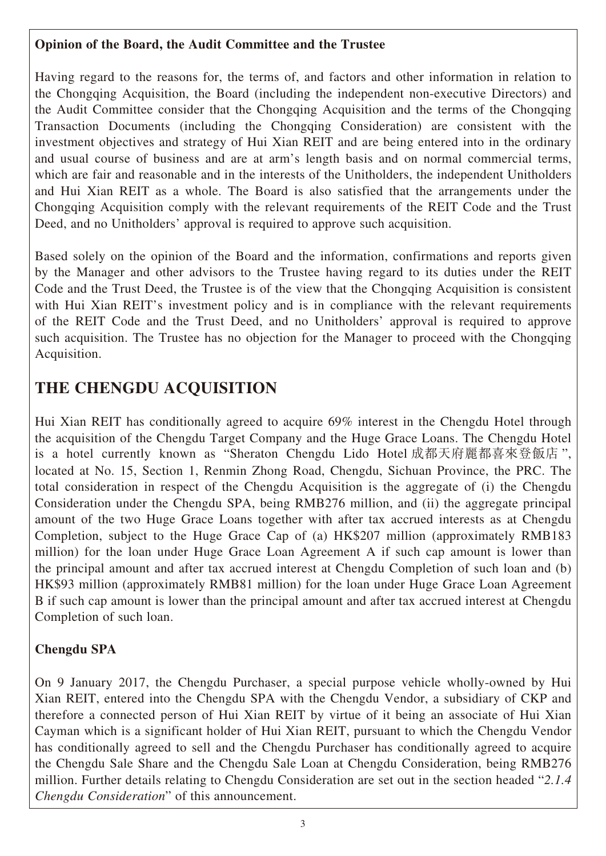## **Opinion of the Board, the Audit Committee and the Trustee**

Having regard to the reasons for, the terms of, and factors and other information in relation to the Chongqing Acquisition, the Board (including the independent non-executive Directors) and the Audit Committee consider that the Chongqing Acquisition and the terms of the Chongqing Transaction Documents (including the Chongqing Consideration) are consistent with the investment objectives and strategy of Hui Xian REIT and are being entered into in the ordinary and usual course of business and are at arm's length basis and on normal commercial terms, which are fair and reasonable and in the interests of the Unitholders, the independent Unitholders and Hui Xian REIT as a whole. The Board is also satisfied that the arrangements under the Chongqing Acquisition comply with the relevant requirements of the REIT Code and the Trust Deed, and no Unitholders' approval is required to approve such acquisition.

Based solely on the opinion of the Board and the information, confirmations and reports given by the Manager and other advisors to the Trustee having regard to its duties under the REIT Code and the Trust Deed, the Trustee is of the view that the Chongqing Acquisition is consistent with Hui Xian REIT's investment policy and is in compliance with the relevant requirements of the REIT Code and the Trust Deed, and no Unitholders' approval is required to approve such acquisition. The Trustee has no objection for the Manager to proceed with the Chongqing Acquisition.

## **THE CHENGDU ACQUISITION**

Hui Xian REIT has conditionally agreed to acquire 69% interest in the Chengdu Hotel through the acquisition of the Chengdu Target Company and the Huge Grace Loans. The Chengdu Hotel is a hotel currently known as "Sheraton Chengdu Lido Hotel 成都天府麗都喜來登飯店 ", located at No. 15, Section 1, Renmin Zhong Road, Chengdu, Sichuan Province, the PRC. The total consideration in respect of the Chengdu Acquisition is the aggregate of (i) the Chengdu Consideration under the Chengdu SPA, being RMB276 million, and (ii) the aggregate principal amount of the two Huge Grace Loans together with after tax accrued interests as at Chengdu Completion, subject to the Huge Grace Cap of (a) HK\$207 million (approximately RMB183 million) for the loan under Huge Grace Loan Agreement A if such cap amount is lower than the principal amount and after tax accrued interest at Chengdu Completion of such loan and (b) HK\$93 million (approximately RMB81 million) for the loan under Huge Grace Loan Agreement B if such cap amount is lower than the principal amount and after tax accrued interest at Chengdu Completion of such loan.

## **Chengdu SPA**

On 9 January 2017, the Chengdu Purchaser, a special purpose vehicle wholly-owned by Hui Xian REIT, entered into the Chengdu SPA with the Chengdu Vendor, a subsidiary of CKP and therefore a connected person of Hui Xian REIT by virtue of it being an associate of Hui Xian Cayman which is a significant holder of Hui Xian REIT, pursuant to which the Chengdu Vendor has conditionally agreed to sell and the Chengdu Purchaser has conditionally agreed to acquire the Chengdu Sale Share and the Chengdu Sale Loan at Chengdu Consideration, being RMB276 million. Further details relating to Chengdu Consideration are set out in the section headed "*2.1.4 Chengdu Consideration*" of this announcement.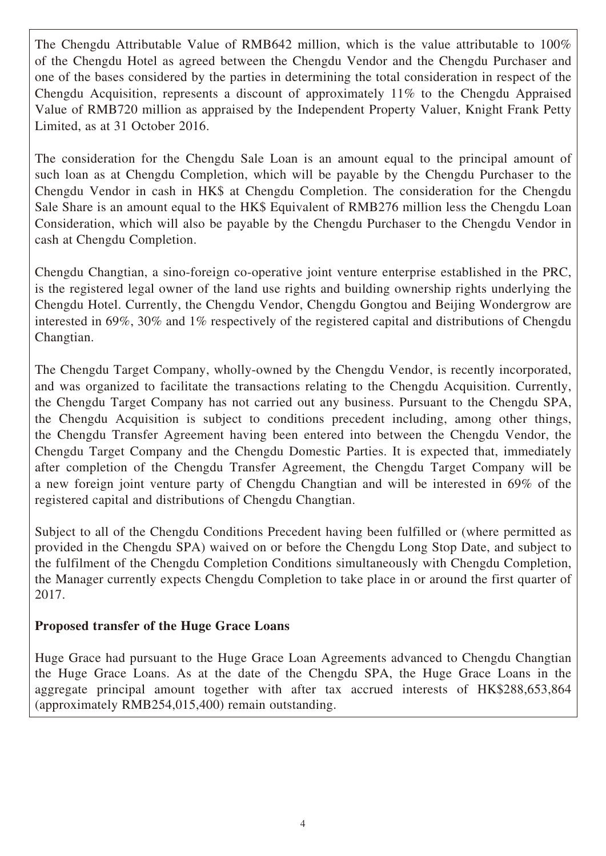The Chengdu Attributable Value of RMB642 million, which is the value attributable to 100% of the Chengdu Hotel as agreed between the Chengdu Vendor and the Chengdu Purchaser and one of the bases considered by the parties in determining the total consideration in respect of the Chengdu Acquisition, represents a discount of approximately 11% to the Chengdu Appraised Value of RMB720 million as appraised by the Independent Property Valuer, Knight Frank Petty Limited, as at 31 October 2016.

The consideration for the Chengdu Sale Loan is an amount equal to the principal amount of such loan as at Chengdu Completion, which will be payable by the Chengdu Purchaser to the Chengdu Vendor in cash in HK\$ at Chengdu Completion. The consideration for the Chengdu Sale Share is an amount equal to the HK\$ Equivalent of RMB276 million less the Chengdu Loan Consideration, which will also be payable by the Chengdu Purchaser to the Chengdu Vendor in cash at Chengdu Completion.

Chengdu Changtian, a sino-foreign co-operative joint venture enterprise established in the PRC, is the registered legal owner of the land use rights and building ownership rights underlying the Chengdu Hotel. Currently, the Chengdu Vendor, Chengdu Gongtou and Beijing Wondergrow are interested in 69%, 30% and 1% respectively of the registered capital and distributions of Chengdu Changtian.

The Chengdu Target Company, wholly-owned by the Chengdu Vendor, is recently incorporated, and was organized to facilitate the transactions relating to the Chengdu Acquisition. Currently, the Chengdu Target Company has not carried out any business. Pursuant to the Chengdu SPA, the Chengdu Acquisition is subject to conditions precedent including, among other things, the Chengdu Transfer Agreement having been entered into between the Chengdu Vendor, the Chengdu Target Company and the Chengdu Domestic Parties. It is expected that, immediately after completion of the Chengdu Transfer Agreement, the Chengdu Target Company will be a new foreign joint venture party of Chengdu Changtian and will be interested in 69% of the registered capital and distributions of Chengdu Changtian.

Subject to all of the Chengdu Conditions Precedent having been fulfilled or (where permitted as provided in the Chengdu SPA) waived on or before the Chengdu Long Stop Date, and subject to the fulfilment of the Chengdu Completion Conditions simultaneously with Chengdu Completion, the Manager currently expects Chengdu Completion to take place in or around the first quarter of 2017.

## **Proposed transfer of the Huge Grace Loans**

Huge Grace had pursuant to the Huge Grace Loan Agreements advanced to Chengdu Changtian the Huge Grace Loans. As at the date of the Chengdu SPA, the Huge Grace Loans in the aggregate principal amount together with after tax accrued interests of HK\$288,653,864 (approximately RMB254,015,400) remain outstanding.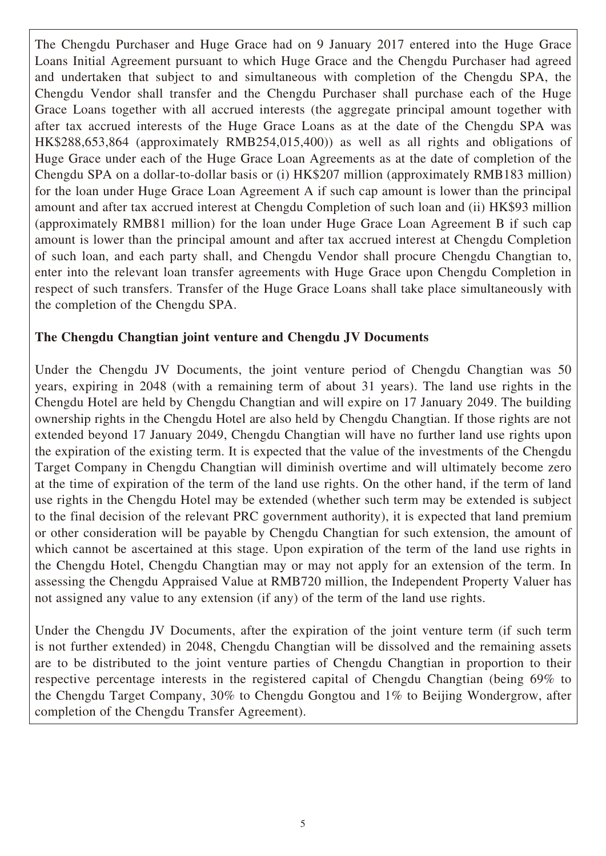The Chengdu Purchaser and Huge Grace had on 9 January 2017 entered into the Huge Grace Loans Initial Agreement pursuant to which Huge Grace and the Chengdu Purchaser had agreed and undertaken that subject to and simultaneous with completion of the Chengdu SPA, the Chengdu Vendor shall transfer and the Chengdu Purchaser shall purchase each of the Huge Grace Loans together with all accrued interests (the aggregate principal amount together with after tax accrued interests of the Huge Grace Loans as at the date of the Chengdu SPA was HK\$288,653,864 (approximately RMB254,015,400)) as well as all rights and obligations of Huge Grace under each of the Huge Grace Loan Agreements as at the date of completion of the Chengdu SPA on a dollar-to-dollar basis or (i) HK\$207 million (approximately RMB183 million) for the loan under Huge Grace Loan Agreement A if such cap amount is lower than the principal amount and after tax accrued interest at Chengdu Completion of such loan and (ii) HK\$93 million (approximately RMB81 million) for the loan under Huge Grace Loan Agreement B if such cap amount is lower than the principal amount and after tax accrued interest at Chengdu Completion of such loan, and each party shall, and Chengdu Vendor shall procure Chengdu Changtian to, enter into the relevant loan transfer agreements with Huge Grace upon Chengdu Completion in respect of such transfers. Transfer of the Huge Grace Loans shall take place simultaneously with the completion of the Chengdu SPA.

## **The Chengdu Changtian joint venture and Chengdu JV Documents**

Under the Chengdu JV Documents, the joint venture period of Chengdu Changtian was 50 years, expiring in 2048 (with a remaining term of about 31 years). The land use rights in the Chengdu Hotel are held by Chengdu Changtian and will expire on 17 January 2049. The building ownership rights in the Chengdu Hotel are also held by Chengdu Changtian. If those rights are not extended beyond 17 January 2049, Chengdu Changtian will have no further land use rights upon the expiration of the existing term. It is expected that the value of the investments of the Chengdu Target Company in Chengdu Changtian will diminish overtime and will ultimately become zero at the time of expiration of the term of the land use rights. On the other hand, if the term of land use rights in the Chengdu Hotel may be extended (whether such term may be extended is subject to the final decision of the relevant PRC government authority), it is expected that land premium or other consideration will be payable by Chengdu Changtian for such extension, the amount of which cannot be ascertained at this stage. Upon expiration of the term of the land use rights in the Chengdu Hotel, Chengdu Changtian may or may not apply for an extension of the term. In assessing the Chengdu Appraised Value at RMB720 million, the Independent Property Valuer has not assigned any value to any extension (if any) of the term of the land use rights.

Under the Chengdu JV Documents, after the expiration of the joint venture term (if such term is not further extended) in 2048, Chengdu Changtian will be dissolved and the remaining assets are to be distributed to the joint venture parties of Chengdu Changtian in proportion to their respective percentage interests in the registered capital of Chengdu Changtian (being 69% to the Chengdu Target Company, 30% to Chengdu Gongtou and 1% to Beijing Wondergrow, after completion of the Chengdu Transfer Agreement).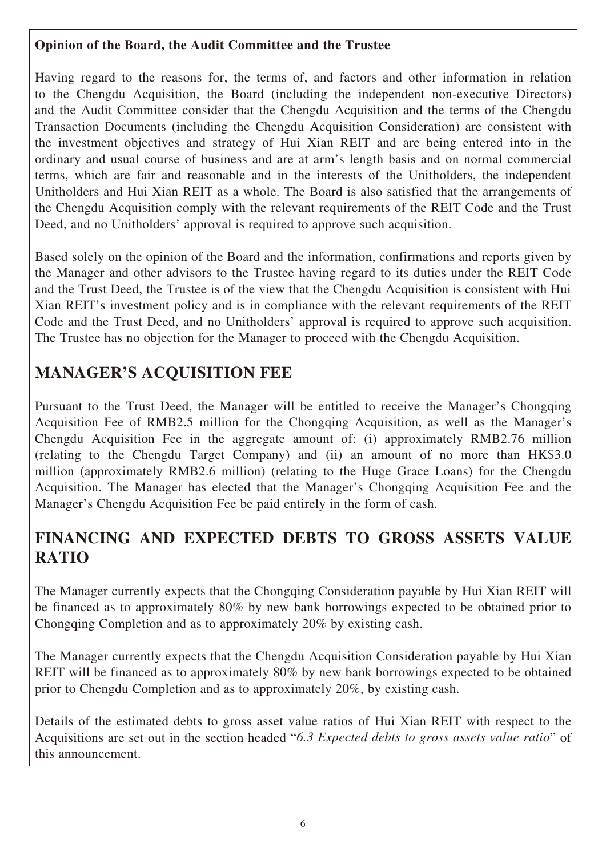## **Opinion of the Board, the Audit Committee and the Trustee**

Having regard to the reasons for, the terms of, and factors and other information in relation to the Chengdu Acquisition, the Board (including the independent non-executive Directors) and the Audit Committee consider that the Chengdu Acquisition and the terms of the Chengdu Transaction Documents (including the Chengdu Acquisition Consideration) are consistent with the investment objectives and strategy of Hui Xian REIT and are being entered into in the ordinary and usual course of business and are at arm's length basis and on normal commercial terms, which are fair and reasonable and in the interests of the Unitholders, the independent Unitholders and Hui Xian REIT as a whole. The Board is also satisfied that the arrangements of the Chengdu Acquisition comply with the relevant requirements of the REIT Code and the Trust Deed, and no Unitholders' approval is required to approve such acquisition.

Based solely on the opinion of the Board and the information, confirmations and reports given by the Manager and other advisors to the Trustee having regard to its duties under the REIT Code and the Trust Deed, the Trustee is of the view that the Chengdu Acquisition is consistent with Hui Xian REIT's investment policy and is in compliance with the relevant requirements of the REIT Code and the Trust Deed, and no Unitholders' approval is required to approve such acquisition. The Trustee has no objection for the Manager to proceed with the Chengdu Acquisition.

## **MANAGER'S ACQUISITION FEE**

Pursuant to the Trust Deed, the Manager will be entitled to receive the Manager's Chongqing Acquisition Fee of RMB2.5 million for the Chongqing Acquisition, as well as the Manager's Chengdu Acquisition Fee in the aggregate amount of: (i) approximately RMB2.76 million (relating to the Chengdu Target Company) and (ii) an amount of no more than HK\$3.0 million (approximately RMB2.6 million) (relating to the Huge Grace Loans) for the Chengdu Acquisition. The Manager has elected that the Manager's Chongqing Acquisition Fee and the Manager's Chengdu Acquisition Fee be paid entirely in the form of cash.

## **FINANCING AND EXPECTED DEBTS TO GROSS ASSETS VALUE RATIO**

The Manager currently expects that the Chongqing Consideration payable by Hui Xian REIT will be financed as to approximately 80% by new bank borrowings expected to be obtained prior to Chongqing Completion and as to approximately 20% by existing cash.

The Manager currently expects that the Chengdu Acquisition Consideration payable by Hui Xian REIT will be financed as to approximately 80% by new bank borrowings expected to be obtained prior to Chengdu Completion and as to approximately 20%, by existing cash.

Details of the estimated debts to gross asset value ratios of Hui Xian REIT with respect to the Acquisitions are set out in the section headed "*6.3 Expected debts to gross assets value ratio*" of this announcement.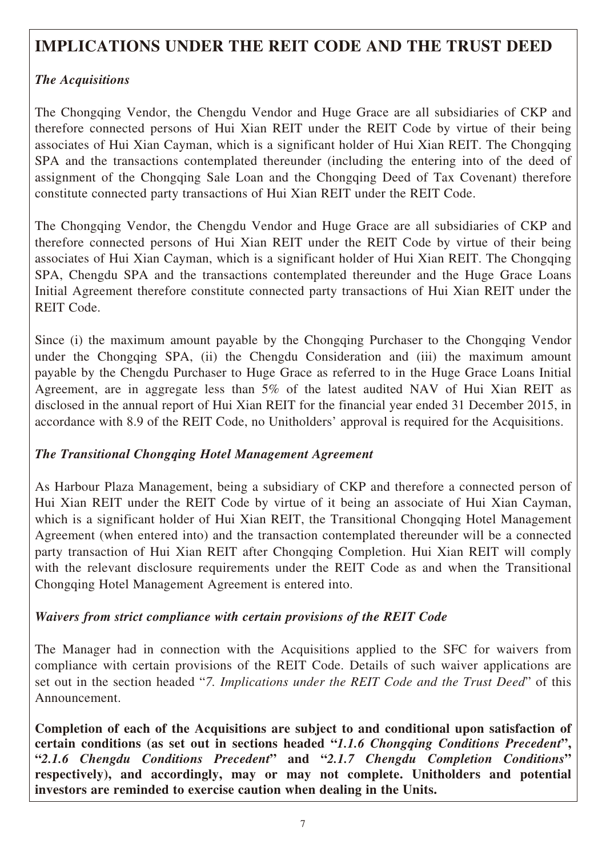## **IMPLICATIONS UNDER THE REIT CODE AND THE TRUST DEED**

## *The Acquisitions*

The Chongqing Vendor, the Chengdu Vendor and Huge Grace are all subsidiaries of CKP and therefore connected persons of Hui Xian REIT under the REIT Code by virtue of their being associates of Hui Xian Cayman, which is a significant holder of Hui Xian REIT. The Chongqing SPA and the transactions contemplated thereunder (including the entering into of the deed of assignment of the Chongqing Sale Loan and the Chongqing Deed of Tax Covenant) therefore constitute connected party transactions of Hui Xian REIT under the REIT Code.

The Chongqing Vendor, the Chengdu Vendor and Huge Grace are all subsidiaries of CKP and therefore connected persons of Hui Xian REIT under the REIT Code by virtue of their being associates of Hui Xian Cayman, which is a significant holder of Hui Xian REIT. The Chongqing SPA, Chengdu SPA and the transactions contemplated thereunder and the Huge Grace Loans Initial Agreement therefore constitute connected party transactions of Hui Xian REIT under the REIT Code.

Since (i) the maximum amount payable by the Chongqing Purchaser to the Chongqing Vendor under the Chongqing SPA, (ii) the Chengdu Consideration and (iii) the maximum amount payable by the Chengdu Purchaser to Huge Grace as referred to in the Huge Grace Loans Initial Agreement, are in aggregate less than 5% of the latest audited NAV of Hui Xian REIT as disclosed in the annual report of Hui Xian REIT for the financial year ended 31 December 2015, in accordance with 8.9 of the REIT Code, no Unitholders' approval is required for the Acquisitions.

## *The Transitional Chongqing Hotel Management Agreement*

As Harbour Plaza Management, being a subsidiary of CKP and therefore a connected person of Hui Xian REIT under the REIT Code by virtue of it being an associate of Hui Xian Cayman, which is a significant holder of Hui Xian REIT, the Transitional Chongqing Hotel Management Agreement (when entered into) and the transaction contemplated thereunder will be a connected party transaction of Hui Xian REIT after Chongqing Completion. Hui Xian REIT will comply with the relevant disclosure requirements under the REIT Code as and when the Transitional Chongqing Hotel Management Agreement is entered into.

## *Waivers from strict compliance with certain provisions of the REIT Code*

The Manager had in connection with the Acquisitions applied to the SFC for waivers from compliance with certain provisions of the REIT Code. Details of such waiver applications are set out in the section headed "*7. Implications under the REIT Code and the Trust Deed*" of this Announcement.

**Completion of each of the Acquisitions are subject to and conditional upon satisfaction of certain conditions (as set out in sections headed "***1.1.6 Chongqing Conditions Precedent***", "***2.1.6 Chengdu Conditions Precedent***" and "***2.1.7 Chengdu Completion Conditions***" respectively), and accordingly, may or may not complete. Unitholders and potential investors are reminded to exercise caution when dealing in the Units.**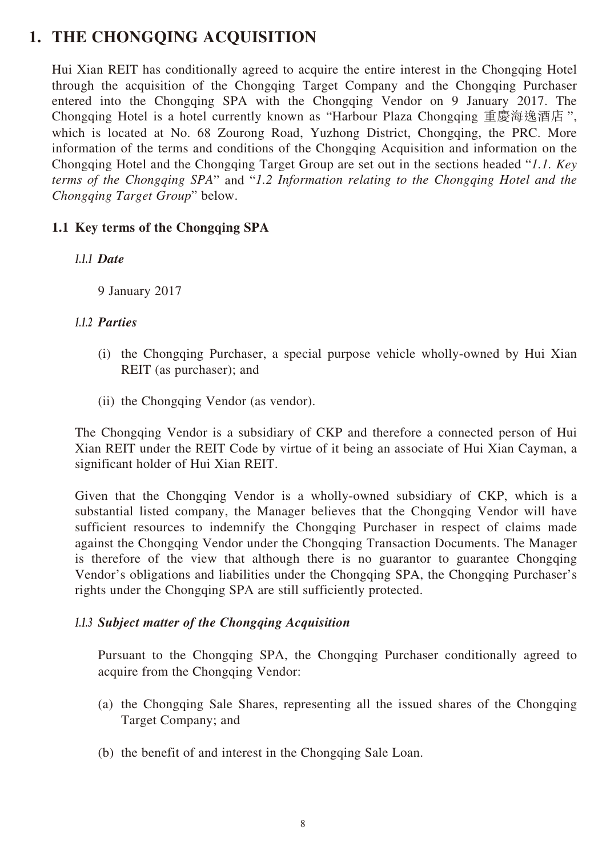## **1. THE CHONGQING ACQUISITION**

Hui Xian REIT has conditionally agreed to acquire the entire interest in the Chongqing Hotel through the acquisition of the Chongqing Target Company and the Chongqing Purchaser entered into the Chongqing SPA with the Chongqing Vendor on 9 January 2017. The Chongqing Hotel is a hotel currently known as "Harbour Plaza Chongqing 重慶海逸酒店 ", which is located at No. 68 Zourong Road, Yuzhong District, Chongqing, the PRC. More information of the terms and conditions of the Chongqing Acquisition and information on the Chongqing Hotel and the Chongqing Target Group are set out in the sections headed "*1.1. Key terms of the Chongqing SPA*" and "*1.2 Information relating to the Chongqing Hotel and the Chongqing Target Group*" below.

## **1.1 Key terms of the Chongqing SPA**

## *1.1.1 Date*

9 January 2017

## *1.1.2 Parties*

- (i) the Chongqing Purchaser, a special purpose vehicle wholly-owned by Hui Xian REIT (as purchaser); and
- (ii) the Chongqing Vendor (as vendor).

The Chongqing Vendor is a subsidiary of CKP and therefore a connected person of Hui Xian REIT under the REIT Code by virtue of it being an associate of Hui Xian Cayman, a significant holder of Hui Xian REIT.

Given that the Chongqing Vendor is a wholly-owned subsidiary of CKP, which is a substantial listed company, the Manager believes that the Chongqing Vendor will have sufficient resources to indemnify the Chongqing Purchaser in respect of claims made against the Chongqing Vendor under the Chongqing Transaction Documents. The Manager is therefore of the view that although there is no guarantor to guarantee Chongqing Vendor's obligations and liabilities under the Chongqing SPA, the Chongqing Purchaser's rights under the Chongqing SPA are still sufficiently protected.

## *1.1.3 Subject matter of the Chongqing Acquisition*

Pursuant to the Chongqing SPA, the Chongqing Purchaser conditionally agreed to acquire from the Chongqing Vendor:

- (a) the Chongqing Sale Shares, representing all the issued shares of the Chongqing Target Company; and
- (b) the benefit of and interest in the Chongqing Sale Loan.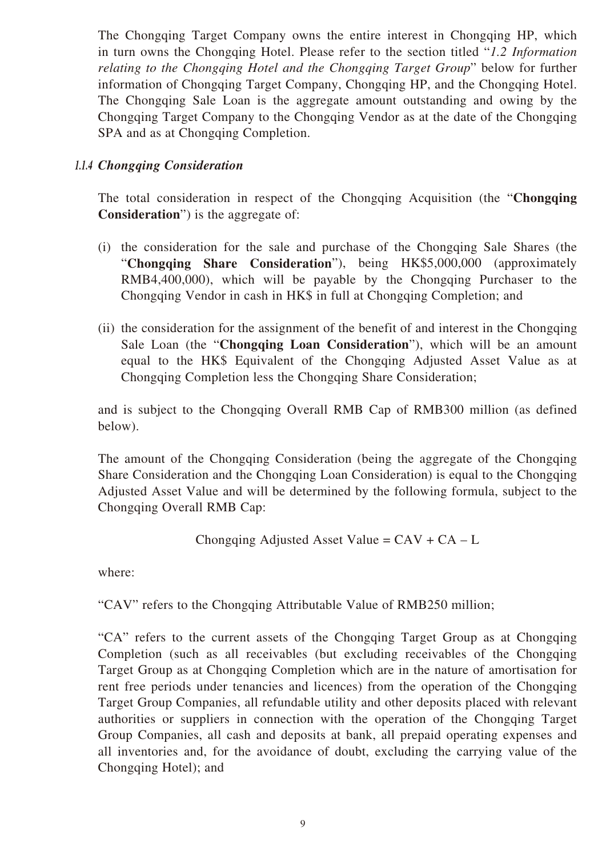The Chongqing Target Company owns the entire interest in Chongqing HP, which in turn owns the Chongqing Hotel. Please refer to the section titled "*1.2 Information relating to the Chongqing Hotel and the Chongqing Target Group*" below for further information of Chongqing Target Company, Chongqing HP, and the Chongqing Hotel. The Chongqing Sale Loan is the aggregate amount outstanding and owing by the Chongqing Target Company to the Chongqing Vendor as at the date of the Chongqing SPA and as at Chongqing Completion.

## *1.1.4 Chongqing Consideration*

The total consideration in respect of the Chongqing Acquisition (the "**Chongqing Consideration**") is the aggregate of:

- (i) the consideration for the sale and purchase of the Chongqing Sale Shares (the "**Chongqing Share Consideration**"), being HK\$5,000,000 (approximately RMB4,400,000), which will be payable by the Chongqing Purchaser to the Chongqing Vendor in cash in HK\$ in full at Chongqing Completion; and
- (ii) the consideration for the assignment of the benefit of and interest in the Chongqing Sale Loan (the "**Chongqing Loan Consideration**"), which will be an amount equal to the HK\$ Equivalent of the Chongqing Adjusted Asset Value as at Chongqing Completion less the Chongqing Share Consideration;

and is subject to the Chongqing Overall RMB Cap of RMB300 million (as defined below).

The amount of the Chongqing Consideration (being the aggregate of the Chongqing Share Consideration and the Chongqing Loan Consideration) is equal to the Chongqing Adjusted Asset Value and will be determined by the following formula, subject to the Chongqing Overall RMB Cap:

Chongging Adjusted Asset Value = 
$$
CAV + CA - L
$$

where:

"CAV" refers to the Chongqing Attributable Value of RMB250 million;

"CA" refers to the current assets of the Chongqing Target Group as at Chongqing Completion (such as all receivables (but excluding receivables of the Chongqing Target Group as at Chongqing Completion which are in the nature of amortisation for rent free periods under tenancies and licences) from the operation of the Chongqing Target Group Companies, all refundable utility and other deposits placed with relevant authorities or suppliers in connection with the operation of the Chongqing Target Group Companies, all cash and deposits at bank, all prepaid operating expenses and all inventories and, for the avoidance of doubt, excluding the carrying value of the Chongqing Hotel); and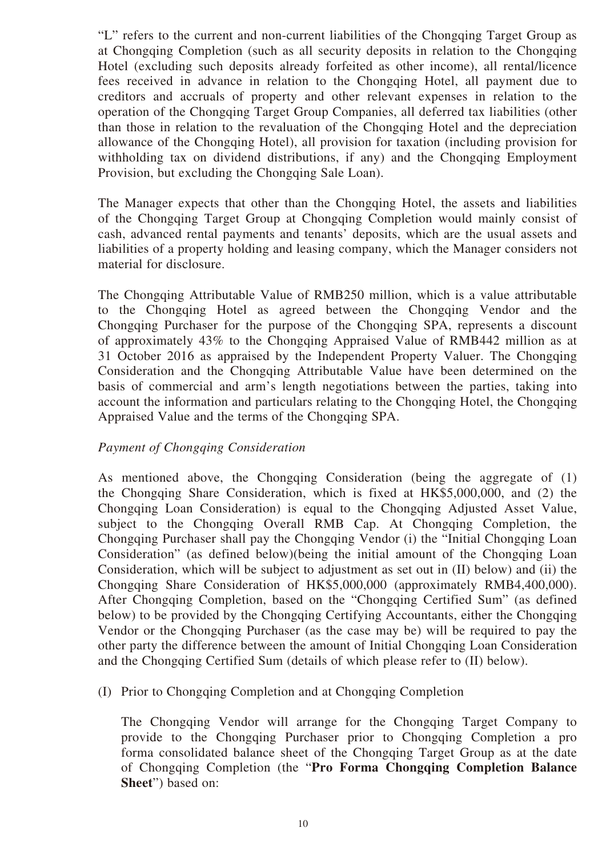"L" refers to the current and non-current liabilities of the Chongqing Target Group as at Chongqing Completion (such as all security deposits in relation to the Chongqing Hotel (excluding such deposits already forfeited as other income), all rental/licence fees received in advance in relation to the Chongqing Hotel, all payment due to creditors and accruals of property and other relevant expenses in relation to the operation of the Chongqing Target Group Companies, all deferred tax liabilities (other than those in relation to the revaluation of the Chongqing Hotel and the depreciation allowance of the Chongqing Hotel), all provision for taxation (including provision for withholding tax on dividend distributions, if any) and the Chongqing Employment Provision, but excluding the Chongqing Sale Loan).

The Manager expects that other than the Chongqing Hotel, the assets and liabilities of the Chongqing Target Group at Chongqing Completion would mainly consist of cash, advanced rental payments and tenants' deposits, which are the usual assets and liabilities of a property holding and leasing company, which the Manager considers not material for disclosure.

The Chongqing Attributable Value of RMB250 million, which is a value attributable to the Chongqing Hotel as agreed between the Chongqing Vendor and the Chongqing Purchaser for the purpose of the Chongqing SPA, represents a discount of approximately 43% to the Chongqing Appraised Value of RMB442 million as at 31 October 2016 as appraised by the Independent Property Valuer. The Chongqing Consideration and the Chongqing Attributable Value have been determined on the basis of commercial and arm's length negotiations between the parties, taking into account the information and particulars relating to the Chongqing Hotel, the Chongqing Appraised Value and the terms of the Chongqing SPA.

#### *Payment of Chongqing Consideration*

As mentioned above, the Chongqing Consideration (being the aggregate of (1) the Chongqing Share Consideration, which is fixed at HK\$5,000,000, and (2) the Chongqing Loan Consideration) is equal to the Chongqing Adjusted Asset Value, subject to the Chongqing Overall RMB Cap. At Chongqing Completion, the Chongqing Purchaser shall pay the Chongqing Vendor (i) the "Initial Chongqing Loan Consideration" (as defined below)(being the initial amount of the Chongqing Loan Consideration, which will be subject to adjustment as set out in (II) below) and (ii) the Chongqing Share Consideration of HK\$5,000,000 (approximately RMB4,400,000). After Chongqing Completion, based on the "Chongqing Certified Sum" (as defined below) to be provided by the Chongqing Certifying Accountants, either the Chongqing Vendor or the Chongqing Purchaser (as the case may be) will be required to pay the other party the difference between the amount of Initial Chongqing Loan Consideration and the Chongqing Certified Sum (details of which please refer to (II) below).

(I) Prior to Chongqing Completion and at Chongqing Completion

The Chongqing Vendor will arrange for the Chongqing Target Company to provide to the Chongqing Purchaser prior to Chongqing Completion a pro forma consolidated balance sheet of the Chongqing Target Group as at the date of Chongqing Completion (the "**Pro Forma Chongqing Completion Balance Sheet**") based on: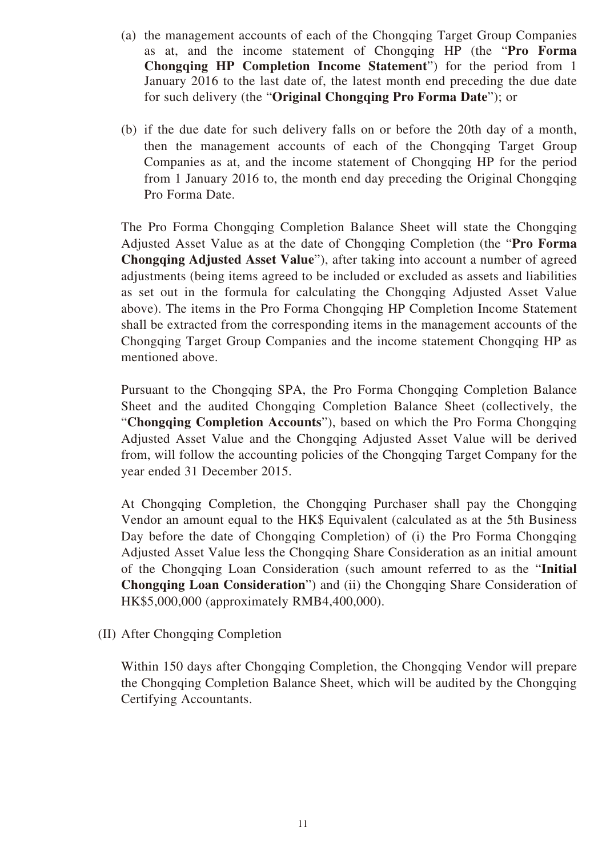- (a) the management accounts of each of the Chongqing Target Group Companies as at, and the income statement of Chongqing HP (the "**Pro Forma Chongqing HP Completion Income Statement**") for the period from 1 January 2016 to the last date of, the latest month end preceding the due date for such delivery (the "**Original Chongqing Pro Forma Date**"); or
- (b) if the due date for such delivery falls on or before the 20th day of a month, then the management accounts of each of the Chongqing Target Group Companies as at, and the income statement of Chongqing HP for the period from 1 January 2016 to, the month end day preceding the Original Chongqing Pro Forma Date.

The Pro Forma Chongqing Completion Balance Sheet will state the Chongqing Adjusted Asset Value as at the date of Chongqing Completion (the "**Pro Forma Chongqing Adjusted Asset Value**"), after taking into account a number of agreed adjustments (being items agreed to be included or excluded as assets and liabilities as set out in the formula for calculating the Chongqing Adjusted Asset Value above). The items in the Pro Forma Chongqing HP Completion Income Statement shall be extracted from the corresponding items in the management accounts of the Chongqing Target Group Companies and the income statement Chongqing HP as mentioned above.

Pursuant to the Chongqing SPA, the Pro Forma Chongqing Completion Balance Sheet and the audited Chongqing Completion Balance Sheet (collectively, the "**Chongqing Completion Accounts**"), based on which the Pro Forma Chongqing Adjusted Asset Value and the Chongqing Adjusted Asset Value will be derived from, will follow the accounting policies of the Chongqing Target Company for the year ended 31 December 2015.

At Chongqing Completion, the Chongqing Purchaser shall pay the Chongqing Vendor an amount equal to the HK\$ Equivalent (calculated as at the 5th Business Day before the date of Chongqing Completion) of (i) the Pro Forma Chongqing Adjusted Asset Value less the Chongqing Share Consideration as an initial amount of the Chongqing Loan Consideration (such amount referred to as the "**Initial Chongqing Loan Consideration**") and (ii) the Chongqing Share Consideration of HK\$5,000,000 (approximately RMB4,400,000).

(II) After Chongqing Completion

Within 150 days after Chongqing Completion, the Chongqing Vendor will prepare the Chongqing Completion Balance Sheet, which will be audited by the Chongqing Certifying Accountants.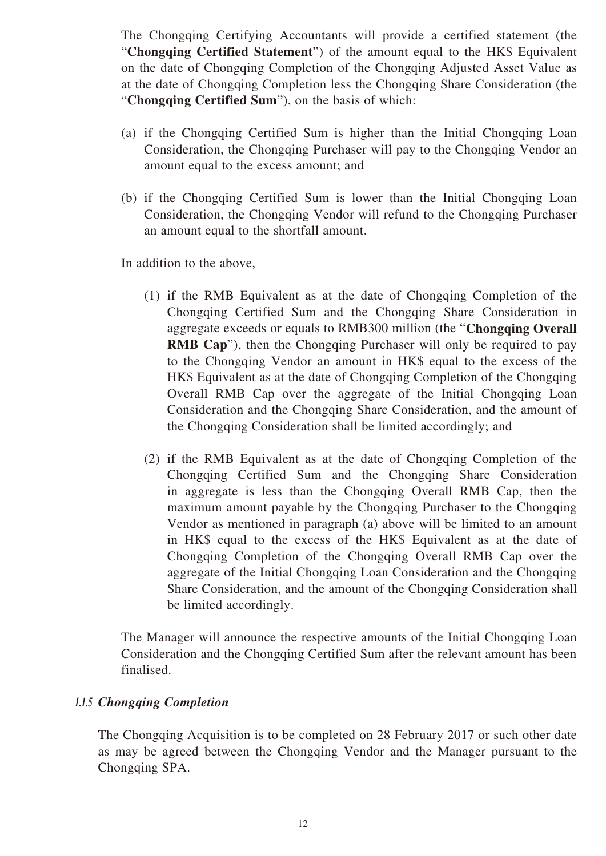The Chongqing Certifying Accountants will provide a certified statement (the "**Chongqing Certified Statement**") of the amount equal to the HK\$ Equivalent on the date of Chongqing Completion of the Chongqing Adjusted Asset Value as at the date of Chongqing Completion less the Chongqing Share Consideration (the "**Chongqing Certified Sum**"), on the basis of which:

- (a) if the Chongqing Certified Sum is higher than the Initial Chongqing Loan Consideration, the Chongqing Purchaser will pay to the Chongqing Vendor an amount equal to the excess amount; and
- (b) if the Chongqing Certified Sum is lower than the Initial Chongqing Loan Consideration, the Chongqing Vendor will refund to the Chongqing Purchaser an amount equal to the shortfall amount.

In addition to the above,

- (1) if the RMB Equivalent as at the date of Chongqing Completion of the Chongqing Certified Sum and the Chongqing Share Consideration in aggregate exceeds or equals to RMB300 million (the "**Chongqing Overall RMB Cap**"), then the Chongqing Purchaser will only be required to pay to the Chongqing Vendor an amount in HK\$ equal to the excess of the HK\$ Equivalent as at the date of Chongqing Completion of the Chongqing Overall RMB Cap over the aggregate of the Initial Chongqing Loan Consideration and the Chongqing Share Consideration, and the amount of the Chongqing Consideration shall be limited accordingly; and
- (2) if the RMB Equivalent as at the date of Chongqing Completion of the Chongqing Certified Sum and the Chongqing Share Consideration in aggregate is less than the Chongqing Overall RMB Cap, then the maximum amount payable by the Chongqing Purchaser to the Chongqing Vendor as mentioned in paragraph (a) above will be limited to an amount in HK\$ equal to the excess of the HK\$ Equivalent as at the date of Chongqing Completion of the Chongqing Overall RMB Cap over the aggregate of the Initial Chongqing Loan Consideration and the Chongqing Share Consideration, and the amount of the Chongqing Consideration shall be limited accordingly.

The Manager will announce the respective amounts of the Initial Chongqing Loan Consideration and the Chongqing Certified Sum after the relevant amount has been finalised.

## *1.1.5 Chongqing Completion*

The Chongqing Acquisition is to be completed on 28 February 2017 or such other date as may be agreed between the Chongqing Vendor and the Manager pursuant to the Chongqing SPA.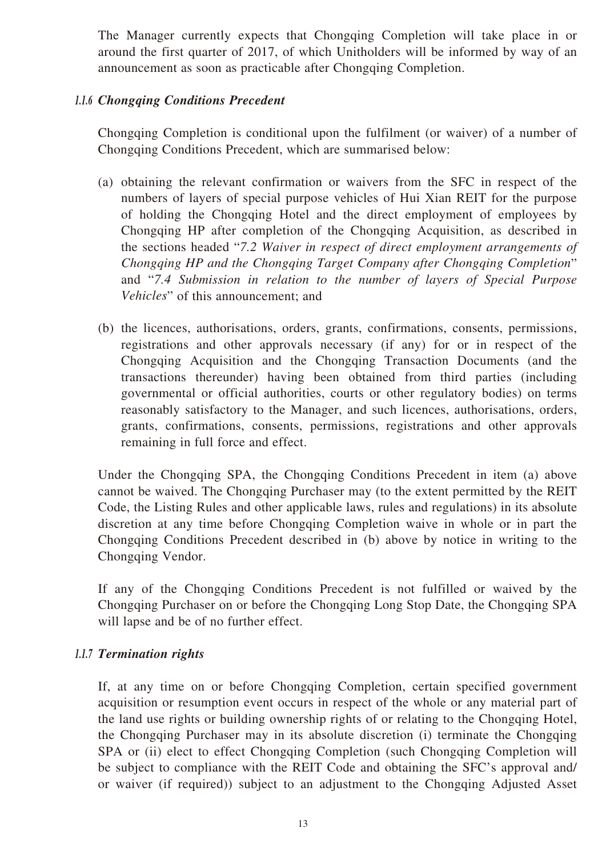The Manager currently expects that Chongqing Completion will take place in or around the first quarter of 2017, of which Unitholders will be informed by way of an announcement as soon as practicable after Chongqing Completion.

## *1.1.6 Chongqing Conditions Precedent*

Chongqing Completion is conditional upon the fulfilment (or waiver) of a number of Chongqing Conditions Precedent, which are summarised below:

- (a) obtaining the relevant confirmation or waivers from the SFC in respect of the numbers of layers of special purpose vehicles of Hui Xian REIT for the purpose of holding the Chongqing Hotel and the direct employment of employees by Chongqing HP after completion of the Chongqing Acquisition, as described in the sections headed "*7.2 Waiver in respect of direct employment arrangements of Chongqing HP and the Chongqing Target Company after Chongqing Completion*" and "*7.4 Submission in relation to the number of layers of Special Purpose Vehicles*" of this announcement; and
- (b) the licences, authorisations, orders, grants, confirmations, consents, permissions, registrations and other approvals necessary (if any) for or in respect of the Chongqing Acquisition and the Chongqing Transaction Documents (and the transactions thereunder) having been obtained from third parties (including governmental or official authorities, courts or other regulatory bodies) on terms reasonably satisfactory to the Manager, and such licences, authorisations, orders, grants, confirmations, consents, permissions, registrations and other approvals remaining in full force and effect.

Under the Chongqing SPA, the Chongqing Conditions Precedent in item (a) above cannot be waived. The Chongqing Purchaser may (to the extent permitted by the REIT Code, the Listing Rules and other applicable laws, rules and regulations) in its absolute discretion at any time before Chongqing Completion waive in whole or in part the Chongqing Conditions Precedent described in (b) above by notice in writing to the Chongqing Vendor.

If any of the Chongqing Conditions Precedent is not fulfilled or waived by the Chongqing Purchaser on or before the Chongqing Long Stop Date, the Chongqing SPA will lapse and be of no further effect.

## *1.1.7 Termination rights*

If, at any time on or before Chongqing Completion, certain specified government acquisition or resumption event occurs in respect of the whole or any material part of the land use rights or building ownership rights of or relating to the Chongqing Hotel, the Chongqing Purchaser may in its absolute discretion (i) terminate the Chongqing SPA or (ii) elect to effect Chongqing Completion (such Chongqing Completion will be subject to compliance with the REIT Code and obtaining the SFC's approval and/ or waiver (if required)) subject to an adjustment to the Chongqing Adjusted Asset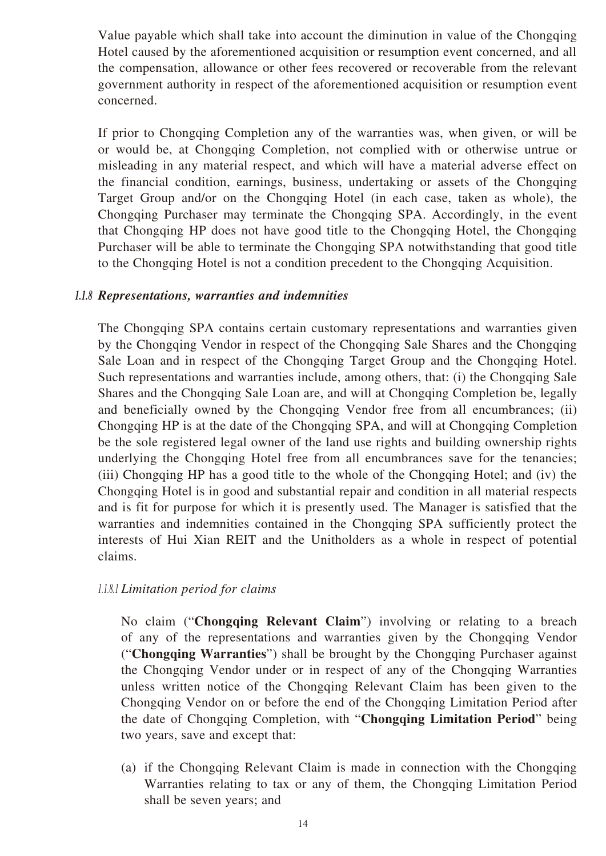Value payable which shall take into account the diminution in value of the Chongqing Hotel caused by the aforementioned acquisition or resumption event concerned, and all the compensation, allowance or other fees recovered or recoverable from the relevant government authority in respect of the aforementioned acquisition or resumption event concerned.

If prior to Chongqing Completion any of the warranties was, when given, or will be or would be, at Chongqing Completion, not complied with or otherwise untrue or misleading in any material respect, and which will have a material adverse effect on the financial condition, earnings, business, undertaking or assets of the Chongqing Target Group and/or on the Chongqing Hotel (in each case, taken as whole), the Chongqing Purchaser may terminate the Chongqing SPA. Accordingly, in the event that Chongqing HP does not have good title to the Chongqing Hotel, the Chongqing Purchaser will be able to terminate the Chongqing SPA notwithstanding that good title to the Chongqing Hotel is not a condition precedent to the Chongqing Acquisition.

#### *1.1.8 Representations, warranties and indemnities*

The Chongqing SPA contains certain customary representations and warranties given by the Chongqing Vendor in respect of the Chongqing Sale Shares and the Chongqing Sale Loan and in respect of the Chongqing Target Group and the Chongqing Hotel. Such representations and warranties include, among others, that: (i) the Chongqing Sale Shares and the Chongqing Sale Loan are, and will at Chongqing Completion be, legally and beneficially owned by the Chongqing Vendor free from all encumbrances; (ii) Chongqing HP is at the date of the Chongqing SPA, and will at Chongqing Completion be the sole registered legal owner of the land use rights and building ownership rights underlying the Chongqing Hotel free from all encumbrances save for the tenancies; (iii) Chongqing HP has a good title to the whole of the Chongqing Hotel; and (iv) the Chongqing Hotel is in good and substantial repair and condition in all material respects and is fit for purpose for which it is presently used. The Manager is satisfied that the warranties and indemnities contained in the Chongqing SPA sufficiently protect the interests of Hui Xian REIT and the Unitholders as a whole in respect of potential claims.

#### *1.1.8.1 Limitation period for claims*

No claim ("**Chongqing Relevant Claim**") involving or relating to a breach of any of the representations and warranties given by the Chongqing Vendor ("**Chongqing Warranties**") shall be brought by the Chongqing Purchaser against the Chongqing Vendor under or in respect of any of the Chongqing Warranties unless written notice of the Chongqing Relevant Claim has been given to the Chongqing Vendor on or before the end of the Chongqing Limitation Period after the date of Chongqing Completion, with "**Chongqing Limitation Period**" being two years, save and except that:

(a) if the Chongqing Relevant Claim is made in connection with the Chongqing Warranties relating to tax or any of them, the Chongqing Limitation Period shall be seven years; and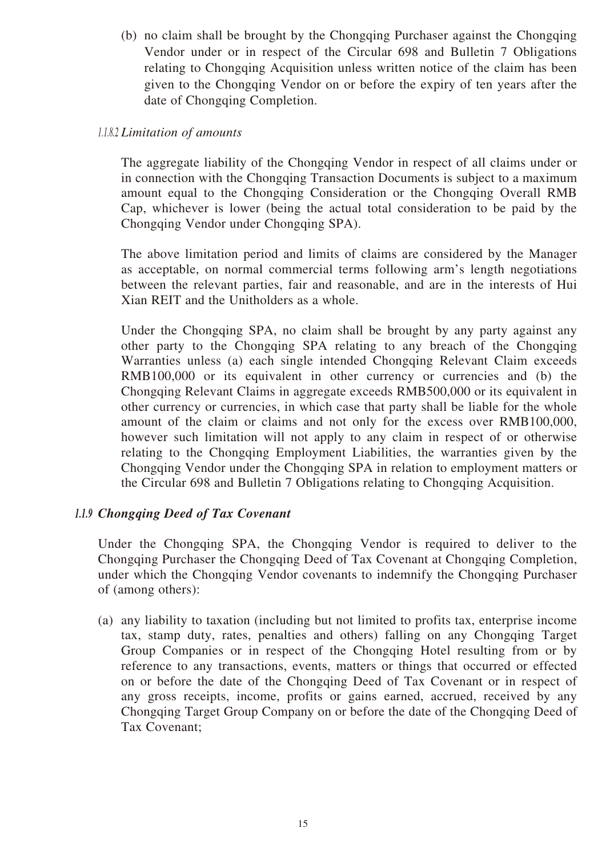(b) no claim shall be brought by the Chongqing Purchaser against the Chongqing Vendor under or in respect of the Circular 698 and Bulletin 7 Obligations relating to Chongqing Acquisition unless written notice of the claim has been given to the Chongqing Vendor on or before the expiry of ten years after the date of Chongqing Completion.

## *1.1.8.2 Limitation of amounts*

The aggregate liability of the Chongqing Vendor in respect of all claims under or in connection with the Chongqing Transaction Documents is subject to a maximum amount equal to the Chongqing Consideration or the Chongqing Overall RMB Cap, whichever is lower (being the actual total consideration to be paid by the Chongqing Vendor under Chongqing SPA).

The above limitation period and limits of claims are considered by the Manager as acceptable, on normal commercial terms following arm's length negotiations between the relevant parties, fair and reasonable, and are in the interests of Hui Xian REIT and the Unitholders as a whole.

Under the Chongqing SPA, no claim shall be brought by any party against any other party to the Chongqing SPA relating to any breach of the Chongqing Warranties unless (a) each single intended Chongqing Relevant Claim exceeds RMB100,000 or its equivalent in other currency or currencies and (b) the Chongqing Relevant Claims in aggregate exceeds RMB500,000 or its equivalent in other currency or currencies, in which case that party shall be liable for the whole amount of the claim or claims and not only for the excess over RMB100,000, however such limitation will not apply to any claim in respect of or otherwise relating to the Chongqing Employment Liabilities, the warranties given by the Chongqing Vendor under the Chongqing SPA in relation to employment matters or the Circular 698 and Bulletin 7 Obligations relating to Chongqing Acquisition.

## *1.1.9 Chongqing Deed of Tax Covenant*

Under the Chongqing SPA, the Chongqing Vendor is required to deliver to the Chongqing Purchaser the Chongqing Deed of Tax Covenant at Chongqing Completion, under which the Chongqing Vendor covenants to indemnify the Chongqing Purchaser of (among others):

(a) any liability to taxation (including but not limited to profits tax, enterprise income tax, stamp duty, rates, penalties and others) falling on any Chongqing Target Group Companies or in respect of the Chongqing Hotel resulting from or by reference to any transactions, events, matters or things that occurred or effected on or before the date of the Chongqing Deed of Tax Covenant or in respect of any gross receipts, income, profits or gains earned, accrued, received by any Chongqing Target Group Company on or before the date of the Chongqing Deed of Tax Covenant;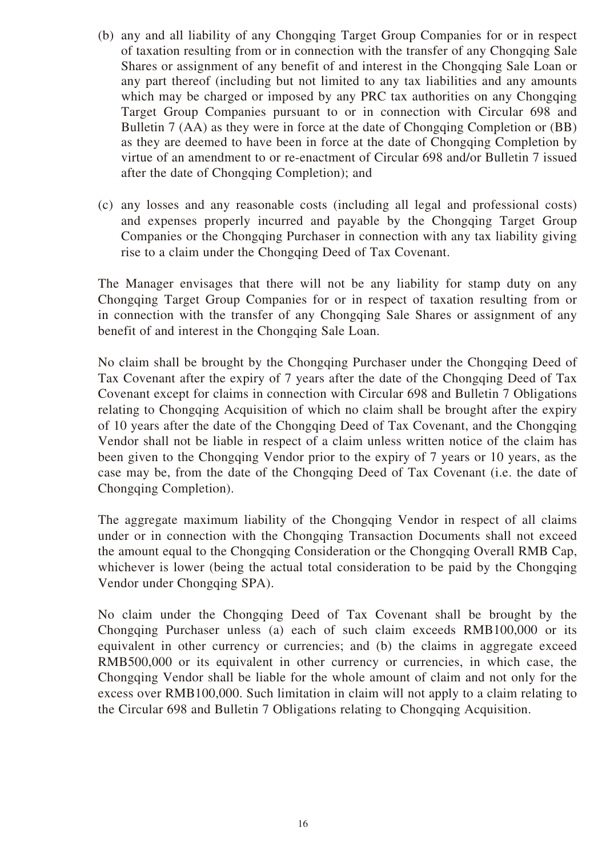- (b) any and all liability of any Chongqing Target Group Companies for or in respect of taxation resulting from or in connection with the transfer of any Chongqing Sale Shares or assignment of any benefit of and interest in the Chongqing Sale Loan or any part thereof (including but not limited to any tax liabilities and any amounts which may be charged or imposed by any PRC tax authorities on any Chongqing Target Group Companies pursuant to or in connection with Circular 698 and Bulletin 7 (AA) as they were in force at the date of Chongqing Completion or (BB) as they are deemed to have been in force at the date of Chongqing Completion by virtue of an amendment to or re-enactment of Circular 698 and/or Bulletin 7 issued after the date of Chongqing Completion); and
- (c) any losses and any reasonable costs (including all legal and professional costs) and expenses properly incurred and payable by the Chongqing Target Group Companies or the Chongqing Purchaser in connection with any tax liability giving rise to a claim under the Chongqing Deed of Tax Covenant.

The Manager envisages that there will not be any liability for stamp duty on any Chongqing Target Group Companies for or in respect of taxation resulting from or in connection with the transfer of any Chongqing Sale Shares or assignment of any benefit of and interest in the Chongqing Sale Loan.

No claim shall be brought by the Chongqing Purchaser under the Chongqing Deed of Tax Covenant after the expiry of 7 years after the date of the Chongqing Deed of Tax Covenant except for claims in connection with Circular 698 and Bulletin 7 Obligations relating to Chongqing Acquisition of which no claim shall be brought after the expiry of 10 years after the date of the Chongqing Deed of Tax Covenant, and the Chongqing Vendor shall not be liable in respect of a claim unless written notice of the claim has been given to the Chongqing Vendor prior to the expiry of 7 years or 10 years, as the case may be, from the date of the Chongqing Deed of Tax Covenant (i.e. the date of Chongqing Completion).

The aggregate maximum liability of the Chongqing Vendor in respect of all claims under or in connection with the Chongqing Transaction Documents shall not exceed the amount equal to the Chongqing Consideration or the Chongqing Overall RMB Cap, whichever is lower (being the actual total consideration to be paid by the Chongqing Vendor under Chongqing SPA).

No claim under the Chongqing Deed of Tax Covenant shall be brought by the Chongqing Purchaser unless (a) each of such claim exceeds RMB100,000 or its equivalent in other currency or currencies; and (b) the claims in aggregate exceed RMB500,000 or its equivalent in other currency or currencies, in which case, the Chongqing Vendor shall be liable for the whole amount of claim and not only for the excess over RMB100,000. Such limitation in claim will not apply to a claim relating to the Circular 698 and Bulletin 7 Obligations relating to Chongqing Acquisition.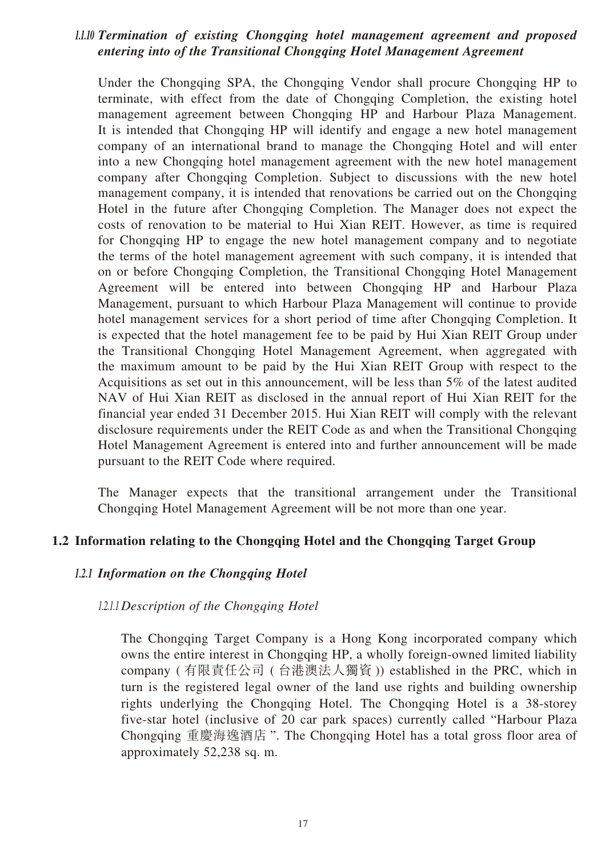## *1.1.10 Termination of existing Chongqing hotel management agreement and proposed entering into of the Transitional Chongqing Hotel Management Agreement*

Under the Chongqing SPA, the Chongqing Vendor shall procure Chongqing HP to terminate, with effect from the date of Chongqing Completion, the existing hotel management agreement between Chongqing HP and Harbour Plaza Management. It is intended that Chongqing HP will identify and engage a new hotel management company of an international brand to manage the Chongqing Hotel and will enter into a new Chongqing hotel management agreement with the new hotel management company after Chongqing Completion. Subject to discussions with the new hotel management company, it is intended that renovations be carried out on the Chongqing Hotel in the future after Chongqing Completion. The Manager does not expect the costs of renovation to be material to Hui Xian REIT. However, as time is required for Chongqing HP to engage the new hotel management company and to negotiate the terms of the hotel management agreement with such company, it is intended that on or before Chongqing Completion, the Transitional Chongqing Hotel Management Agreement will be entered into between Chongqing HP and Harbour Plaza Management, pursuant to which Harbour Plaza Management will continue to provide hotel management services for a short period of time after Chongqing Completion. It is expected that the hotel management fee to be paid by Hui Xian REIT Group under the Transitional Chongqing Hotel Management Agreement, when aggregated with the maximum amount to be paid by the Hui Xian REIT Group with respect to the Acquisitions as set out in this announcement, will be less than 5% of the latest audited NAV of Hui Xian REIT as disclosed in the annual report of Hui Xian REIT for the financial year ended 31 December 2015. Hui Xian REIT will comply with the relevant disclosure requirements under the REIT Code as and when the Transitional Chongqing Hotel Management Agreement is entered into and further announcement will be made pursuant to the REIT Code where required.

The Manager expects that the transitional arrangement under the Transitional Chongqing Hotel Management Agreement will be not more than one year.

## **1.2 Information relating to the Chongqing Hotel and the Chongqing Target Group**

#### *1.2.1 Information on the Chongqing Hotel*

#### *1.2.1.1 Description of the Chongqing Hotel*

The Chongqing Target Company is a Hong Kong incorporated company which owns the entire interest in Chongqing HP, a wholly foreign-owned limited liability company ( 有限責任公司 ( 台港澳法人獨資 )) established in the PRC, which in turn is the registered legal owner of the land use rights and building ownership rights underlying the Chongqing Hotel. The Chongqing Hotel is a 38-storey five-star hotel (inclusive of 20 car park spaces) currently called "Harbour Plaza Chongqing 重慶海逸酒店 ". The Chongqing Hotel has a total gross floor area of approximately 52,238 sq. m.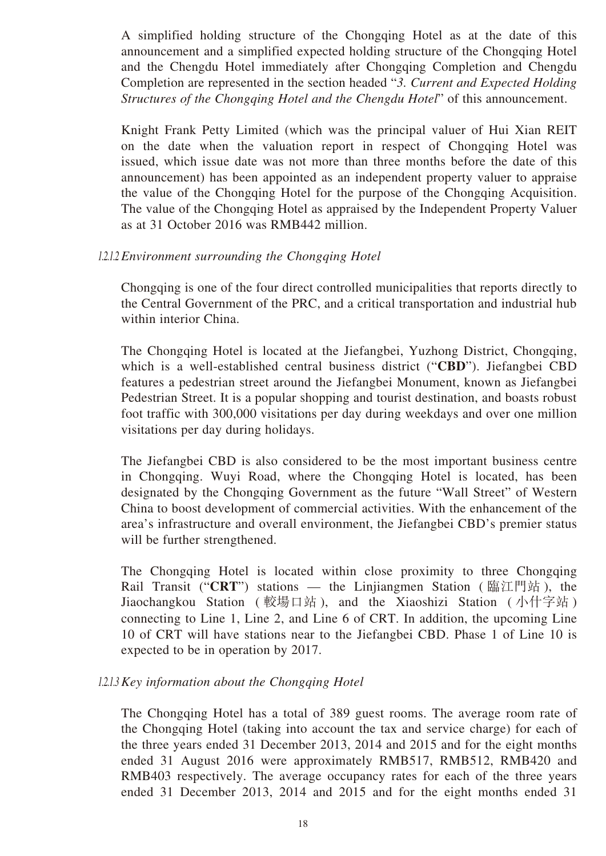A simplified holding structure of the Chongqing Hotel as at the date of this announcement and a simplified expected holding structure of the Chongqing Hotel and the Chengdu Hotel immediately after Chongqing Completion and Chengdu Completion are represented in the section headed "*3. Current and Expected Holding Structures of the Chongqing Hotel and the Chengdu Hotel*" of this announcement.

Knight Frank Petty Limited (which was the principal valuer of Hui Xian REIT on the date when the valuation report in respect of Chongqing Hotel was issued, which issue date was not more than three months before the date of this announcement) has been appointed as an independent property valuer to appraise the value of the Chongqing Hotel for the purpose of the Chongqing Acquisition. The value of the Chongqing Hotel as appraised by the Independent Property Valuer as at 31 October 2016 was RMB442 million.

#### *1.2.1.2 Environment surrounding the Chongqing Hotel*

Chongqing is one of the four direct controlled municipalities that reports directly to the Central Government of the PRC, and a critical transportation and industrial hub within interior China.

The Chongqing Hotel is located at the Jiefangbei, Yuzhong District, Chongqing, which is a well-established central business district ("**CBD**"). Jiefangbei CBD features a pedestrian street around the Jiefangbei Monument, known as Jiefangbei Pedestrian Street. It is a popular shopping and tourist destination, and boasts robust foot traffic with 300,000 visitations per day during weekdays and over one million visitations per day during holidays.

The Jiefangbei CBD is also considered to be the most important business centre in Chongqing. Wuyi Road, where the Chongqing Hotel is located, has been designated by the Chongqing Government as the future "Wall Street" of Western China to boost development of commercial activities. With the enhancement of the area's infrastructure and overall environment, the Jiefangbei CBD's premier status will be further strengthened.

The Chongqing Hotel is located within close proximity to three Chongqing Rail Transit ("**CRT**") stations — the Linjiangmen Station ( 臨江門站 ), the Jiaochangkou Station ( 較場口站 ), and the Xiaoshizi Station ( 小什字站 ) connecting to Line 1, Line 2, and Line 6 of CRT. In addition, the upcoming Line 10 of CRT will have stations near to the Jiefangbei CBD. Phase 1 of Line 10 is expected to be in operation by 2017.

#### *1.2.1.3 Key information about the Chongqing Hotel*

The Chongqing Hotel has a total of 389 guest rooms. The average room rate of the Chongqing Hotel (taking into account the tax and service charge) for each of the three years ended 31 December 2013, 2014 and 2015 and for the eight months ended 31 August 2016 were approximately RMB517, RMB512, RMB420 and RMB403 respectively. The average occupancy rates for each of the three years ended 31 December 2013, 2014 and 2015 and for the eight months ended 31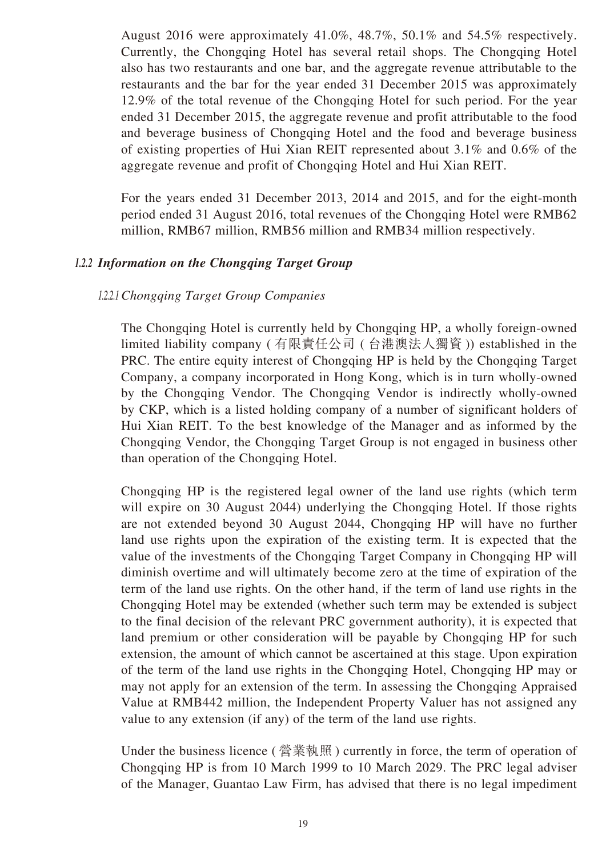August 2016 were approximately 41.0%, 48.7%, 50.1% and 54.5% respectively. Currently, the Chongqing Hotel has several retail shops. The Chongqing Hotel also has two restaurants and one bar, and the aggregate revenue attributable to the restaurants and the bar for the year ended 31 December 2015 was approximately 12.9% of the total revenue of the Chongqing Hotel for such period. For the year ended 31 December 2015, the aggregate revenue and profit attributable to the food and beverage business of Chongqing Hotel and the food and beverage business of existing properties of Hui Xian REIT represented about 3.1% and 0.6% of the aggregate revenue and profit of Chongqing Hotel and Hui Xian REIT.

For the years ended 31 December 2013, 2014 and 2015, and for the eight-month period ended 31 August 2016, total revenues of the Chongqing Hotel were RMB62 million, RMB67 million, RMB56 million and RMB34 million respectively.

#### *1.2.2 Information on the Chongqing Target Group*

#### *1.2.2.1 Chongqing Target Group Companies*

The Chongqing Hotel is currently held by Chongqing HP, a wholly foreign-owned limited liability company ( 有限責任公司 ( 台港澳法人獨資 )) established in the PRC. The entire equity interest of Chongqing HP is held by the Chongqing Target Company, a company incorporated in Hong Kong, which is in turn wholly-owned by the Chongqing Vendor. The Chongqing Vendor is indirectly wholly-owned by CKP, which is a listed holding company of a number of significant holders of Hui Xian REIT. To the best knowledge of the Manager and as informed by the Chongqing Vendor, the Chongqing Target Group is not engaged in business other than operation of the Chongqing Hotel.

Chongqing HP is the registered legal owner of the land use rights (which term will expire on 30 August 2044) underlying the Chongqing Hotel. If those rights are not extended beyond 30 August 2044, Chongqing HP will have no further land use rights upon the expiration of the existing term. It is expected that the value of the investments of the Chongqing Target Company in Chongqing HP will diminish overtime and will ultimately become zero at the time of expiration of the term of the land use rights. On the other hand, if the term of land use rights in the Chongqing Hotel may be extended (whether such term may be extended is subject to the final decision of the relevant PRC government authority), it is expected that land premium or other consideration will be payable by Chongqing HP for such extension, the amount of which cannot be ascertained at this stage. Upon expiration of the term of the land use rights in the Chongqing Hotel, Chongqing HP may or may not apply for an extension of the term. In assessing the Chongqing Appraised Value at RMB442 million, the Independent Property Valuer has not assigned any value to any extension (if any) of the term of the land use rights.

Under the business licence ( 營業執照 ) currently in force, the term of operation of Chongqing HP is from 10 March 1999 to 10 March 2029. The PRC legal adviser of the Manager, Guantao Law Firm, has advised that there is no legal impediment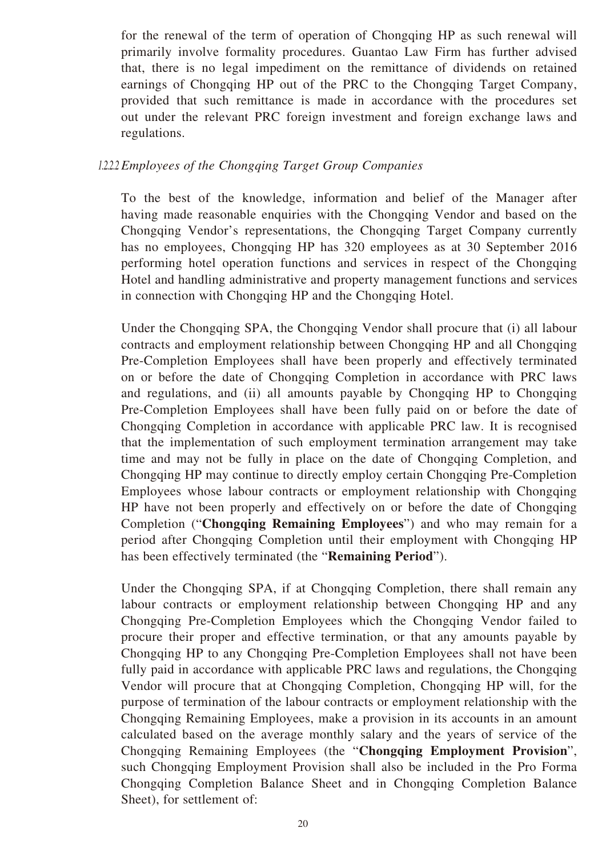for the renewal of the term of operation of Chongqing HP as such renewal will primarily involve formality procedures. Guantao Law Firm has further advised that, there is no legal impediment on the remittance of dividends on retained earnings of Chongqing HP out of the PRC to the Chongqing Target Company, provided that such remittance is made in accordance with the procedures set out under the relevant PRC foreign investment and foreign exchange laws and regulations.

#### *1.2.2.2 Employees of the Chongqing Target Group Companies*

To the best of the knowledge, information and belief of the Manager after having made reasonable enquiries with the Chongqing Vendor and based on the Chongqing Vendor's representations, the Chongqing Target Company currently has no employees, Chongqing HP has 320 employees as at 30 September 2016 performing hotel operation functions and services in respect of the Chongqing Hotel and handling administrative and property management functions and services in connection with Chongqing HP and the Chongqing Hotel.

Under the Chongqing SPA, the Chongqing Vendor shall procure that (i) all labour contracts and employment relationship between Chongqing HP and all Chongqing Pre-Completion Employees shall have been properly and effectively terminated on or before the date of Chongqing Completion in accordance with PRC laws and regulations, and (ii) all amounts payable by Chongqing HP to Chongqing Pre-Completion Employees shall have been fully paid on or before the date of Chongqing Completion in accordance with applicable PRC law. It is recognised that the implementation of such employment termination arrangement may take time and may not be fully in place on the date of Chongqing Completion, and Chongqing HP may continue to directly employ certain Chongqing Pre-Completion Employees whose labour contracts or employment relationship with Chongqing HP have not been properly and effectively on or before the date of Chongqing Completion ("**Chongqing Remaining Employees**") and who may remain for a period after Chongqing Completion until their employment with Chongqing HP has been effectively terminated (the "**Remaining Period**").

Under the Chongqing SPA, if at Chongqing Completion, there shall remain any labour contracts or employment relationship between Chongqing HP and any Chongqing Pre-Completion Employees which the Chongqing Vendor failed to procure their proper and effective termination, or that any amounts payable by Chongqing HP to any Chongqing Pre-Completion Employees shall not have been fully paid in accordance with applicable PRC laws and regulations, the Chongqing Vendor will procure that at Chongqing Completion, Chongqing HP will, for the purpose of termination of the labour contracts or employment relationship with the Chongqing Remaining Employees, make a provision in its accounts in an amount calculated based on the average monthly salary and the years of service of the Chongqing Remaining Employees (the "**Chongqing Employment Provision**", such Chongqing Employment Provision shall also be included in the Pro Forma Chongqing Completion Balance Sheet and in Chongqing Completion Balance Sheet), for settlement of: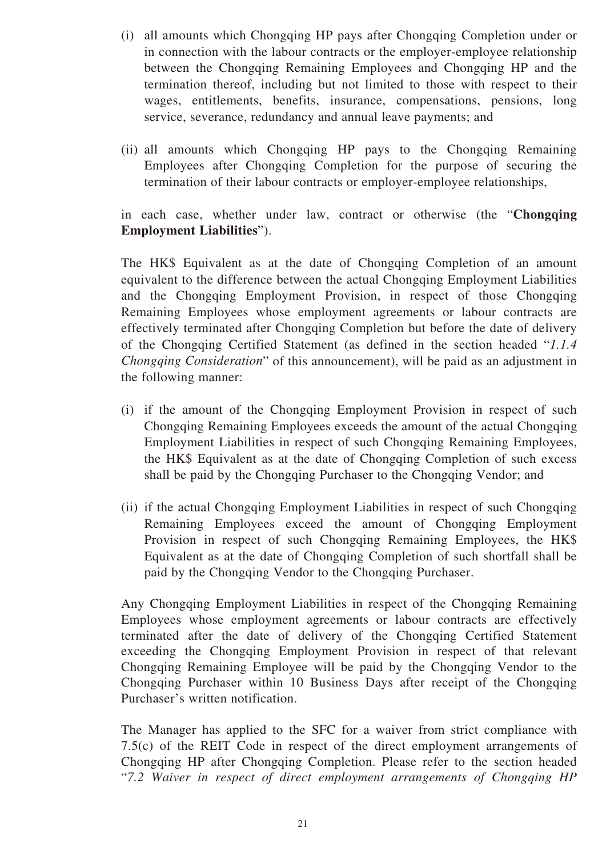- (i) all amounts which Chongqing HP pays after Chongqing Completion under or in connection with the labour contracts or the employer-employee relationship between the Chongqing Remaining Employees and Chongqing HP and the termination thereof, including but not limited to those with respect to their wages, entitlements, benefits, insurance, compensations, pensions, long service, severance, redundancy and annual leave payments; and
- (ii) all amounts which Chongqing HP pays to the Chongqing Remaining Employees after Chongqing Completion for the purpose of securing the termination of their labour contracts or employer-employee relationships,

in each case, whether under law, contract or otherwise (the "**Chongqing Employment Liabilities**").

The HK\$ Equivalent as at the date of Chongqing Completion of an amount equivalent to the difference between the actual Chongqing Employment Liabilities and the Chongqing Employment Provision, in respect of those Chongqing Remaining Employees whose employment agreements or labour contracts are effectively terminated after Chongqing Completion but before the date of delivery of the Chongqing Certified Statement (as defined in the section headed "*1.1.4 Chongqing Consideration*" of this announcement), will be paid as an adjustment in the following manner:

- (i) if the amount of the Chongqing Employment Provision in respect of such Chongqing Remaining Employees exceeds the amount of the actual Chongqing Employment Liabilities in respect of such Chongqing Remaining Employees, the HK\$ Equivalent as at the date of Chongqing Completion of such excess shall be paid by the Chongqing Purchaser to the Chongqing Vendor; and
- (ii) if the actual Chongqing Employment Liabilities in respect of such Chongqing Remaining Employees exceed the amount of Chongqing Employment Provision in respect of such Chongqing Remaining Employees, the HK\$ Equivalent as at the date of Chongqing Completion of such shortfall shall be paid by the Chongqing Vendor to the Chongqing Purchaser.

Any Chongqing Employment Liabilities in respect of the Chongqing Remaining Employees whose employment agreements or labour contracts are effectively terminated after the date of delivery of the Chongqing Certified Statement exceeding the Chongqing Employment Provision in respect of that relevant Chongqing Remaining Employee will be paid by the Chongqing Vendor to the Chongqing Purchaser within 10 Business Days after receipt of the Chongqing Purchaser's written notification.

The Manager has applied to the SFC for a waiver from strict compliance with 7.5(c) of the REIT Code in respect of the direct employment arrangements of Chongqing HP after Chongqing Completion. Please refer to the section headed "*7.2 Waiver in respect of direct employment arrangements of Chongqing HP*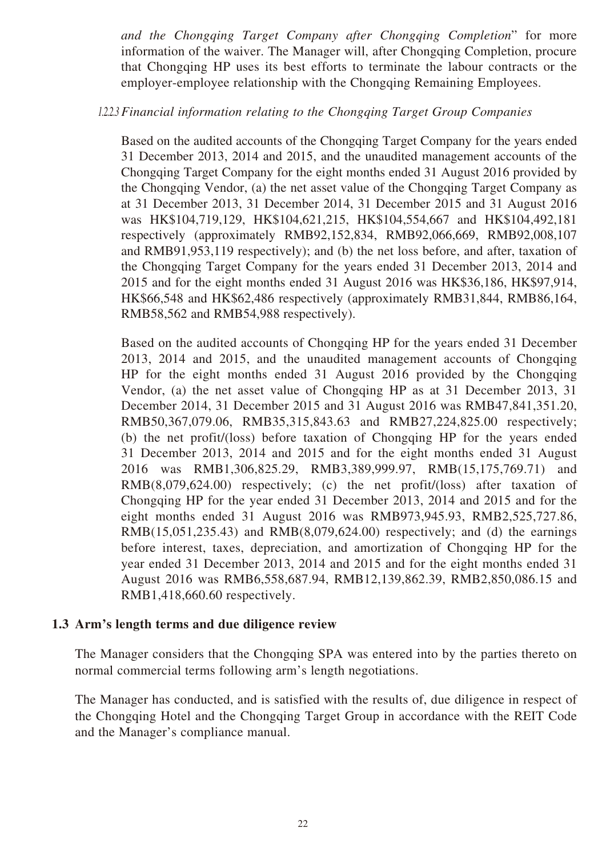*and the Chongqing Target Company after Chongqing Completion*" for more information of the waiver. The Manager will, after Chongqing Completion, procure that Chongqing HP uses its best efforts to terminate the labour contracts or the employer-employee relationship with the Chongqing Remaining Employees.

*1.2.2.3 Financial information relating to the Chongqing Target Group Companies*

Based on the audited accounts of the Chongqing Target Company for the years ended 31 December 2013, 2014 and 2015, and the unaudited management accounts of the Chongqing Target Company for the eight months ended 31 August 2016 provided by the Chongqing Vendor, (a) the net asset value of the Chongqing Target Company as at 31 December 2013, 31 December 2014, 31 December 2015 and 31 August 2016 was HK\$104,719,129, HK\$104,621,215, HK\$104,554,667 and HK\$104,492,181 respectively (approximately RMB92,152,834, RMB92,066,669, RMB92,008,107 and RMB91,953,119 respectively); and (b) the net loss before, and after, taxation of the Chongqing Target Company for the years ended 31 December 2013, 2014 and 2015 and for the eight months ended 31 August 2016 was HK\$36,186, HK\$97,914, HK\$66,548 and HK\$62,486 respectively (approximately RMB31,844, RMB86,164, RMB58,562 and RMB54,988 respectively).

Based on the audited accounts of Chongqing HP for the years ended 31 December 2013, 2014 and 2015, and the unaudited management accounts of Chongqing HP for the eight months ended 31 August 2016 provided by the Chongqing Vendor, (a) the net asset value of Chongqing HP as at 31 December 2013, 31 December 2014, 31 December 2015 and 31 August 2016 was RMB47,841,351.20, RMB50,367,079.06, RMB35,315,843.63 and RMB27,224,825.00 respectively; (b) the net profit/(loss) before taxation of Chongqing HP for the years ended 31 December 2013, 2014 and 2015 and for the eight months ended 31 August 2016 was RMB1,306,825.29, RMB3,389,999.97, RMB(15,175,769.71) and RMB(8,079,624.00) respectively; (c) the net profit/(loss) after taxation of Chongqing HP for the year ended 31 December 2013, 2014 and 2015 and for the eight months ended 31 August 2016 was RMB973,945.93, RMB2,525,727.86, RMB(15,051,235.43) and RMB(8,079,624.00) respectively; and (d) the earnings before interest, taxes, depreciation, and amortization of Chongqing HP for the year ended 31 December 2013, 2014 and 2015 and for the eight months ended 31 August 2016 was RMB6,558,687.94, RMB12,139,862.39, RMB2,850,086.15 and RMB1,418,660.60 respectively.

## **1.3 Arm's length terms and due diligence review**

The Manager considers that the Chongqing SPA was entered into by the parties thereto on normal commercial terms following arm's length negotiations.

The Manager has conducted, and is satisfied with the results of, due diligence in respect of the Chongqing Hotel and the Chongqing Target Group in accordance with the REIT Code and the Manager's compliance manual.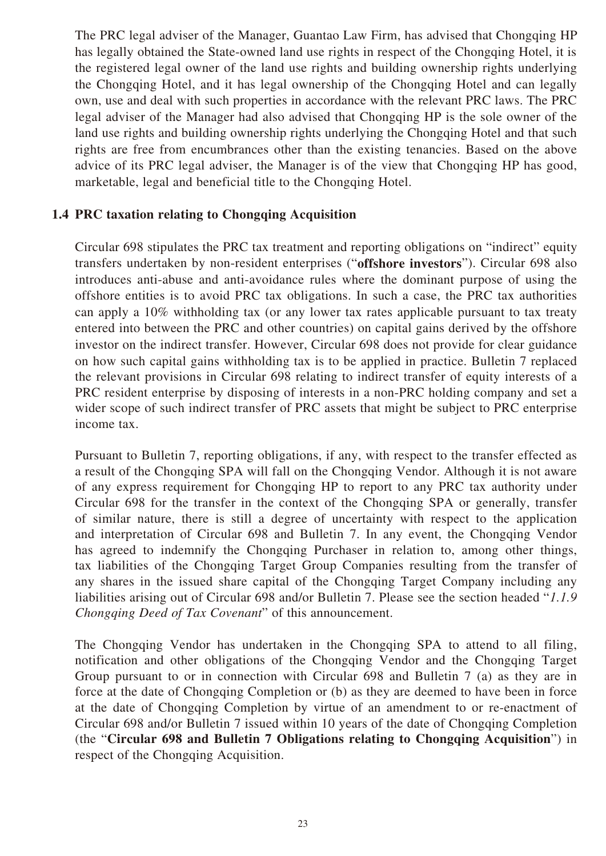The PRC legal adviser of the Manager, Guantao Law Firm, has advised that Chongqing HP has legally obtained the State-owned land use rights in respect of the Chongqing Hotel, it is the registered legal owner of the land use rights and building ownership rights underlying the Chongqing Hotel, and it has legal ownership of the Chongqing Hotel and can legally own, use and deal with such properties in accordance with the relevant PRC laws. The PRC legal adviser of the Manager had also advised that Chongqing HP is the sole owner of the land use rights and building ownership rights underlying the Chongqing Hotel and that such rights are free from encumbrances other than the existing tenancies. Based on the above advice of its PRC legal adviser, the Manager is of the view that Chongqing HP has good, marketable, legal and beneficial title to the Chongqing Hotel.

## **1.4 PRC taxation relating to Chongqing Acquisition**

Circular 698 stipulates the PRC tax treatment and reporting obligations on "indirect" equity transfers undertaken by non-resident enterprises ("**offshore investors**"). Circular 698 also introduces anti-abuse and anti-avoidance rules where the dominant purpose of using the offshore entities is to avoid PRC tax obligations. In such a case, the PRC tax authorities can apply a 10% withholding tax (or any lower tax rates applicable pursuant to tax treaty entered into between the PRC and other countries) on capital gains derived by the offshore investor on the indirect transfer. However, Circular 698 does not provide for clear guidance on how such capital gains withholding tax is to be applied in practice. Bulletin 7 replaced the relevant provisions in Circular 698 relating to indirect transfer of equity interests of a PRC resident enterprise by disposing of interests in a non-PRC holding company and set a wider scope of such indirect transfer of PRC assets that might be subject to PRC enterprise income tax.

Pursuant to Bulletin 7, reporting obligations, if any, with respect to the transfer effected as a result of the Chongqing SPA will fall on the Chongqing Vendor. Although it is not aware of any express requirement for Chongqing HP to report to any PRC tax authority under Circular 698 for the transfer in the context of the Chongqing SPA or generally, transfer of similar nature, there is still a degree of uncertainty with respect to the application and interpretation of Circular 698 and Bulletin 7. In any event, the Chongqing Vendor has agreed to indemnify the Chongqing Purchaser in relation to, among other things, tax liabilities of the Chongqing Target Group Companies resulting from the transfer of any shares in the issued share capital of the Chongqing Target Company including any liabilities arising out of Circular 698 and/or Bulletin 7. Please see the section headed "*1.1.9 Chongqing Deed of Tax Covenant*" of this announcement.

The Chongqing Vendor has undertaken in the Chongqing SPA to attend to all filing, notification and other obligations of the Chongqing Vendor and the Chongqing Target Group pursuant to or in connection with Circular 698 and Bulletin 7 (a) as they are in force at the date of Chongqing Completion or (b) as they are deemed to have been in force at the date of Chongqing Completion by virtue of an amendment to or re-enactment of Circular 698 and/or Bulletin 7 issued within 10 years of the date of Chongqing Completion (the "**Circular 698 and Bulletin 7 Obligations relating to Chongqing Acquisition**") in respect of the Chongqing Acquisition.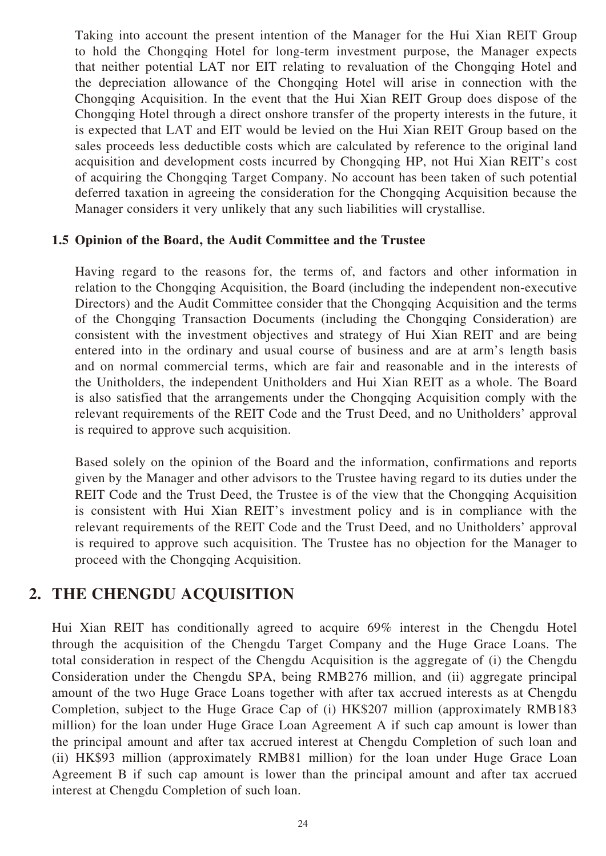Taking into account the present intention of the Manager for the Hui Xian REIT Group to hold the Chongqing Hotel for long-term investment purpose, the Manager expects that neither potential LAT nor EIT relating to revaluation of the Chongqing Hotel and the depreciation allowance of the Chongqing Hotel will arise in connection with the Chongqing Acquisition. In the event that the Hui Xian REIT Group does dispose of the Chongqing Hotel through a direct onshore transfer of the property interests in the future, it is expected that LAT and EIT would be levied on the Hui Xian REIT Group based on the sales proceeds less deductible costs which are calculated by reference to the original land acquisition and development costs incurred by Chongqing HP, not Hui Xian REIT's cost of acquiring the Chongqing Target Company. No account has been taken of such potential deferred taxation in agreeing the consideration for the Chongqing Acquisition because the Manager considers it very unlikely that any such liabilities will crystallise.

#### **1.5 Opinion of the Board, the Audit Committee and the Trustee**

Having regard to the reasons for, the terms of, and factors and other information in relation to the Chongqing Acquisition, the Board (including the independent non-executive Directors) and the Audit Committee consider that the Chongqing Acquisition and the terms of the Chongqing Transaction Documents (including the Chongqing Consideration) are consistent with the investment objectives and strategy of Hui Xian REIT and are being entered into in the ordinary and usual course of business and are at arm's length basis and on normal commercial terms, which are fair and reasonable and in the interests of the Unitholders, the independent Unitholders and Hui Xian REIT as a whole. The Board is also satisfied that the arrangements under the Chongqing Acquisition comply with the relevant requirements of the REIT Code and the Trust Deed, and no Unitholders' approval is required to approve such acquisition.

Based solely on the opinion of the Board and the information, confirmations and reports given by the Manager and other advisors to the Trustee having regard to its duties under the REIT Code and the Trust Deed, the Trustee is of the view that the Chongqing Acquisition is consistent with Hui Xian REIT's investment policy and is in compliance with the relevant requirements of the REIT Code and the Trust Deed, and no Unitholders' approval is required to approve such acquisition. The Trustee has no objection for the Manager to proceed with the Chongqing Acquisition.

## **2. THE CHENGDU ACQUISITION**

Hui Xian REIT has conditionally agreed to acquire 69% interest in the Chengdu Hotel through the acquisition of the Chengdu Target Company and the Huge Grace Loans. The total consideration in respect of the Chengdu Acquisition is the aggregate of (i) the Chengdu Consideration under the Chengdu SPA, being RMB276 million, and (ii) aggregate principal amount of the two Huge Grace Loans together with after tax accrued interests as at Chengdu Completion, subject to the Huge Grace Cap of (i) HK\$207 million (approximately RMB183 million) for the loan under Huge Grace Loan Agreement A if such cap amount is lower than the principal amount and after tax accrued interest at Chengdu Completion of such loan and (ii) HK\$93 million (approximately RMB81 million) for the loan under Huge Grace Loan Agreement B if such cap amount is lower than the principal amount and after tax accrued interest at Chengdu Completion of such loan.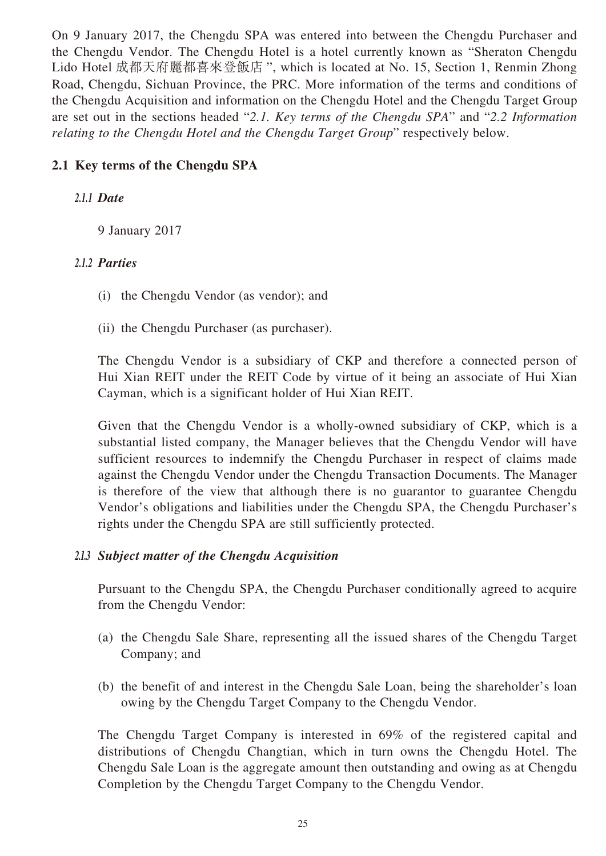On 9 January 2017, the Chengdu SPA was entered into between the Chengdu Purchaser and the Chengdu Vendor. The Chengdu Hotel is a hotel currently known as "Sheraton Chengdu Lido Hotel 成都天府麗都喜來登飯店 ", which is located at No. 15, Section 1, Renmin Zhong Road, Chengdu, Sichuan Province, the PRC. More information of the terms and conditions of the Chengdu Acquisition and information on the Chengdu Hotel and the Chengdu Target Group are set out in the sections headed "*2.1. Key terms of the Chengdu SPA*" and "*2.2 Information relating to the Chengdu Hotel and the Chengdu Target Group*" respectively below.

## **2.1 Key terms of the Chengdu SPA**

## *2.1.1 Date*

9 January 2017

## *2.1.2 Parties*

- (i) the Chengdu Vendor (as vendor); and
- (ii) the Chengdu Purchaser (as purchaser).

The Chengdu Vendor is a subsidiary of CKP and therefore a connected person of Hui Xian REIT under the REIT Code by virtue of it being an associate of Hui Xian Cayman, which is a significant holder of Hui Xian REIT.

Given that the Chengdu Vendor is a wholly-owned subsidiary of CKP, which is a substantial listed company, the Manager believes that the Chengdu Vendor will have sufficient resources to indemnify the Chengdu Purchaser in respect of claims made against the Chengdu Vendor under the Chengdu Transaction Documents. The Manager is therefore of the view that although there is no guarantor to guarantee Chengdu Vendor's obligations and liabilities under the Chengdu SPA, the Chengdu Purchaser's rights under the Chengdu SPA are still sufficiently protected.

## *2.1.3 Subject matter of the Chengdu Acquisition*

Pursuant to the Chengdu SPA, the Chengdu Purchaser conditionally agreed to acquire from the Chengdu Vendor:

- (a) the Chengdu Sale Share, representing all the issued shares of the Chengdu Target Company; and
- (b) the benefit of and interest in the Chengdu Sale Loan, being the shareholder's loan owing by the Chengdu Target Company to the Chengdu Vendor.

The Chengdu Target Company is interested in 69% of the registered capital and distributions of Chengdu Changtian, which in turn owns the Chengdu Hotel. The Chengdu Sale Loan is the aggregate amount then outstanding and owing as at Chengdu Completion by the Chengdu Target Company to the Chengdu Vendor.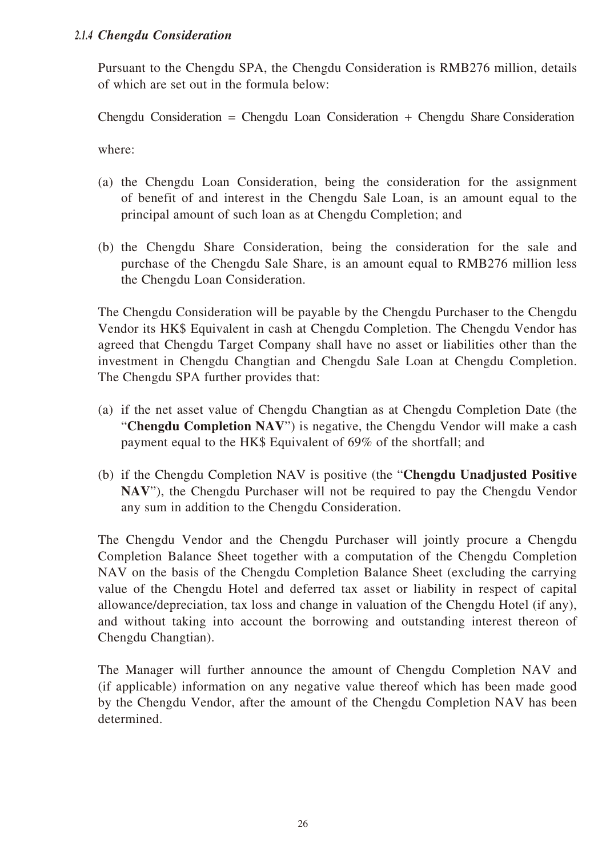#### *2.1.4 Chengdu Consideration*

Pursuant to the Chengdu SPA, the Chengdu Consideration is RMB276 million, details of which are set out in the formula below:

Chengdu Consideration = Chengdu Loan Consideration + Chengdu Share Consideration

where:

- (a) the Chengdu Loan Consideration, being the consideration for the assignment of benefit of and interest in the Chengdu Sale Loan, is an amount equal to the principal amount of such loan as at Chengdu Completion; and
- (b) the Chengdu Share Consideration, being the consideration for the sale and purchase of the Chengdu Sale Share, is an amount equal to RMB276 million less the Chengdu Loan Consideration.

The Chengdu Consideration will be payable by the Chengdu Purchaser to the Chengdu Vendor its HK\$ Equivalent in cash at Chengdu Completion. The Chengdu Vendor has agreed that Chengdu Target Company shall have no asset or liabilities other than the investment in Chengdu Changtian and Chengdu Sale Loan at Chengdu Completion. The Chengdu SPA further provides that:

- (a) if the net asset value of Chengdu Changtian as at Chengdu Completion Date (the "**Chengdu Completion NAV**") is negative, the Chengdu Vendor will make a cash payment equal to the HK\$ Equivalent of 69% of the shortfall; and
- (b) if the Chengdu Completion NAV is positive (the "**Chengdu Unadjusted Positive NAV**"), the Chengdu Purchaser will not be required to pay the Chengdu Vendor any sum in addition to the Chengdu Consideration.

The Chengdu Vendor and the Chengdu Purchaser will jointly procure a Chengdu Completion Balance Sheet together with a computation of the Chengdu Completion NAV on the basis of the Chengdu Completion Balance Sheet (excluding the carrying value of the Chengdu Hotel and deferred tax asset or liability in respect of capital allowance/depreciation, tax loss and change in valuation of the Chengdu Hotel (if any), and without taking into account the borrowing and outstanding interest thereon of Chengdu Changtian).

The Manager will further announce the amount of Chengdu Completion NAV and (if applicable) information on any negative value thereof which has been made good by the Chengdu Vendor, after the amount of the Chengdu Completion NAV has been determined.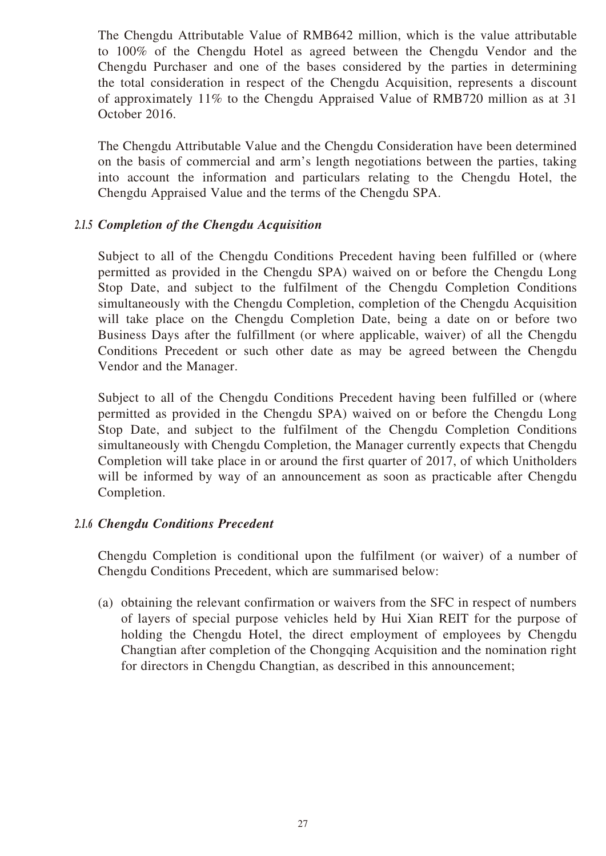The Chengdu Attributable Value of RMB642 million, which is the value attributable to 100% of the Chengdu Hotel as agreed between the Chengdu Vendor and the Chengdu Purchaser and one of the bases considered by the parties in determining the total consideration in respect of the Chengdu Acquisition, represents a discount of approximately 11% to the Chengdu Appraised Value of RMB720 million as at 31 October 2016.

The Chengdu Attributable Value and the Chengdu Consideration have been determined on the basis of commercial and arm's length negotiations between the parties, taking into account the information and particulars relating to the Chengdu Hotel, the Chengdu Appraised Value and the terms of the Chengdu SPA.

#### *2.1.5 Completion of the Chengdu Acquisition*

Subject to all of the Chengdu Conditions Precedent having been fulfilled or (where permitted as provided in the Chengdu SPA) waived on or before the Chengdu Long Stop Date, and subject to the fulfilment of the Chengdu Completion Conditions simultaneously with the Chengdu Completion, completion of the Chengdu Acquisition will take place on the Chengdu Completion Date, being a date on or before two Business Days after the fulfillment (or where applicable, waiver) of all the Chengdu Conditions Precedent or such other date as may be agreed between the Chengdu Vendor and the Manager.

Subject to all of the Chengdu Conditions Precedent having been fulfilled or (where permitted as provided in the Chengdu SPA) waived on or before the Chengdu Long Stop Date, and subject to the fulfilment of the Chengdu Completion Conditions simultaneously with Chengdu Completion, the Manager currently expects that Chengdu Completion will take place in or around the first quarter of 2017, of which Unitholders will be informed by way of an announcement as soon as practicable after Chengdu Completion.

#### *2.1.6 Chengdu Conditions Precedent*

Chengdu Completion is conditional upon the fulfilment (or waiver) of a number of Chengdu Conditions Precedent, which are summarised below:

(a) obtaining the relevant confirmation or waivers from the SFC in respect of numbers of layers of special purpose vehicles held by Hui Xian REIT for the purpose of holding the Chengdu Hotel, the direct employment of employees by Chengdu Changtian after completion of the Chongqing Acquisition and the nomination right for directors in Chengdu Changtian, as described in this announcement;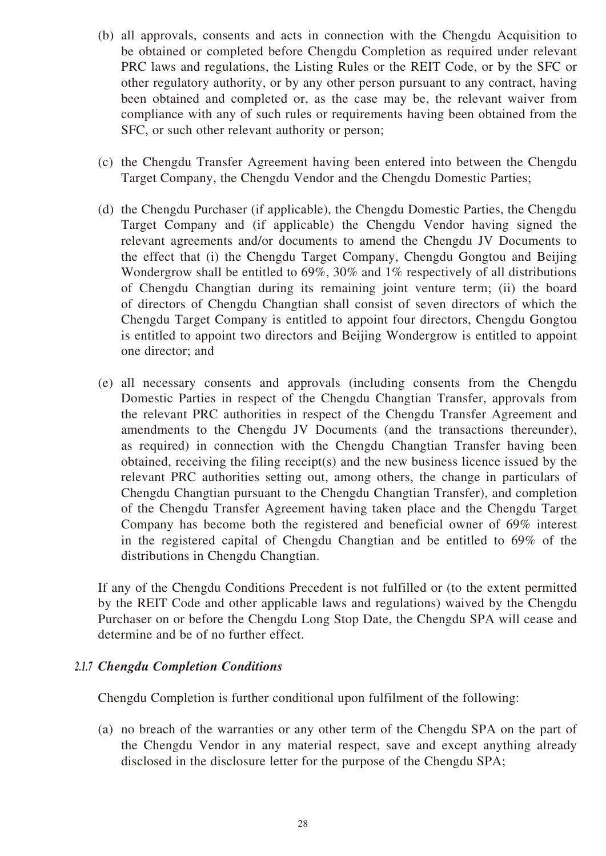- (b) all approvals, consents and acts in connection with the Chengdu Acquisition to be obtained or completed before Chengdu Completion as required under relevant PRC laws and regulations, the Listing Rules or the REIT Code, or by the SFC or other regulatory authority, or by any other person pursuant to any contract, having been obtained and completed or, as the case may be, the relevant waiver from compliance with any of such rules or requirements having been obtained from the SFC, or such other relevant authority or person;
- (c) the Chengdu Transfer Agreement having been entered into between the Chengdu Target Company, the Chengdu Vendor and the Chengdu Domestic Parties;
- (d) the Chengdu Purchaser (if applicable), the Chengdu Domestic Parties, the Chengdu Target Company and (if applicable) the Chengdu Vendor having signed the relevant agreements and/or documents to amend the Chengdu JV Documents to the effect that (i) the Chengdu Target Company, Chengdu Gongtou and Beijing Wondergrow shall be entitled to 69%, 30% and 1% respectively of all distributions of Chengdu Changtian during its remaining joint venture term; (ii) the board of directors of Chengdu Changtian shall consist of seven directors of which the Chengdu Target Company is entitled to appoint four directors, Chengdu Gongtou is entitled to appoint two directors and Beijing Wondergrow is entitled to appoint one director; and
- (e) all necessary consents and approvals (including consents from the Chengdu Domestic Parties in respect of the Chengdu Changtian Transfer, approvals from the relevant PRC authorities in respect of the Chengdu Transfer Agreement and amendments to the Chengdu JV Documents (and the transactions thereunder), as required) in connection with the Chengdu Changtian Transfer having been obtained, receiving the filing receipt(s) and the new business licence issued by the relevant PRC authorities setting out, among others, the change in particulars of Chengdu Changtian pursuant to the Chengdu Changtian Transfer), and completion of the Chengdu Transfer Agreement having taken place and the Chengdu Target Company has become both the registered and beneficial owner of 69% interest in the registered capital of Chengdu Changtian and be entitled to 69% of the distributions in Chengdu Changtian.

If any of the Chengdu Conditions Precedent is not fulfilled or (to the extent permitted by the REIT Code and other applicable laws and regulations) waived by the Chengdu Purchaser on or before the Chengdu Long Stop Date, the Chengdu SPA will cease and determine and be of no further effect.

## *2.1.7 Chengdu Completion Conditions*

Chengdu Completion is further conditional upon fulfilment of the following:

(a) no breach of the warranties or any other term of the Chengdu SPA on the part of the Chengdu Vendor in any material respect, save and except anything already disclosed in the disclosure letter for the purpose of the Chengdu SPA;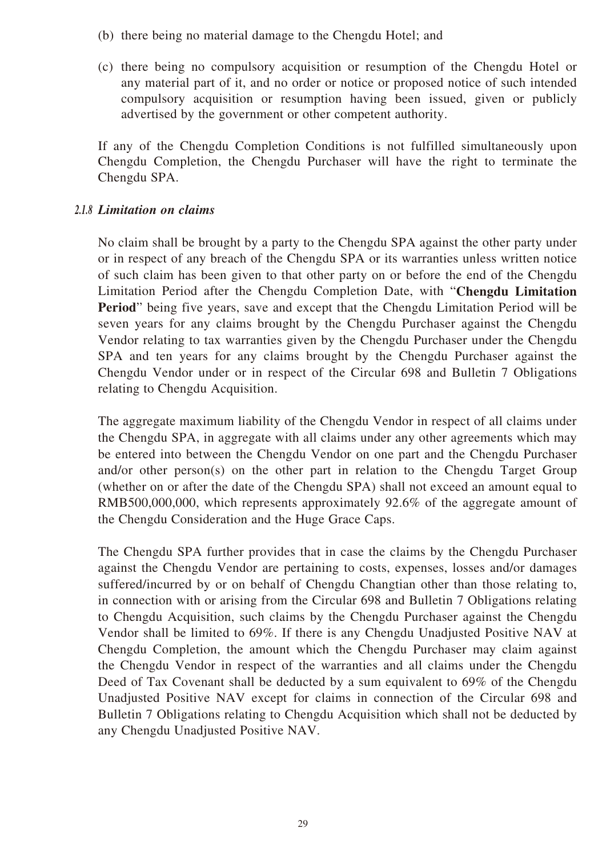- (b) there being no material damage to the Chengdu Hotel; and
- (c) there being no compulsory acquisition or resumption of the Chengdu Hotel or any material part of it, and no order or notice or proposed notice of such intended compulsory acquisition or resumption having been issued, given or publicly advertised by the government or other competent authority.

If any of the Chengdu Completion Conditions is not fulfilled simultaneously upon Chengdu Completion, the Chengdu Purchaser will have the right to terminate the Chengdu SPA.

#### *2.1.8 Limitation on claims*

No claim shall be brought by a party to the Chengdu SPA against the other party under or in respect of any breach of the Chengdu SPA or its warranties unless written notice of such claim has been given to that other party on or before the end of the Chengdu Limitation Period after the Chengdu Completion Date, with "**Chengdu Limitation Period**" being five years, save and except that the Chengdu Limitation Period will be seven years for any claims brought by the Chengdu Purchaser against the Chengdu Vendor relating to tax warranties given by the Chengdu Purchaser under the Chengdu SPA and ten years for any claims brought by the Chengdu Purchaser against the Chengdu Vendor under or in respect of the Circular 698 and Bulletin 7 Obligations relating to Chengdu Acquisition.

The aggregate maximum liability of the Chengdu Vendor in respect of all claims under the Chengdu SPA, in aggregate with all claims under any other agreements which may be entered into between the Chengdu Vendor on one part and the Chengdu Purchaser and/or other person(s) on the other part in relation to the Chengdu Target Group (whether on or after the date of the Chengdu SPA) shall not exceed an amount equal to RMB500,000,000, which represents approximately 92.6% of the aggregate amount of the Chengdu Consideration and the Huge Grace Caps.

The Chengdu SPA further provides that in case the claims by the Chengdu Purchaser against the Chengdu Vendor are pertaining to costs, expenses, losses and/or damages suffered/incurred by or on behalf of Chengdu Changtian other than those relating to, in connection with or arising from the Circular 698 and Bulletin 7 Obligations relating to Chengdu Acquisition, such claims by the Chengdu Purchaser against the Chengdu Vendor shall be limited to 69%. If there is any Chengdu Unadjusted Positive NAV at Chengdu Completion, the amount which the Chengdu Purchaser may claim against the Chengdu Vendor in respect of the warranties and all claims under the Chengdu Deed of Tax Covenant shall be deducted by a sum equivalent to 69% of the Chengdu Unadjusted Positive NAV except for claims in connection of the Circular 698 and Bulletin 7 Obligations relating to Chengdu Acquisition which shall not be deducted by any Chengdu Unadjusted Positive NAV.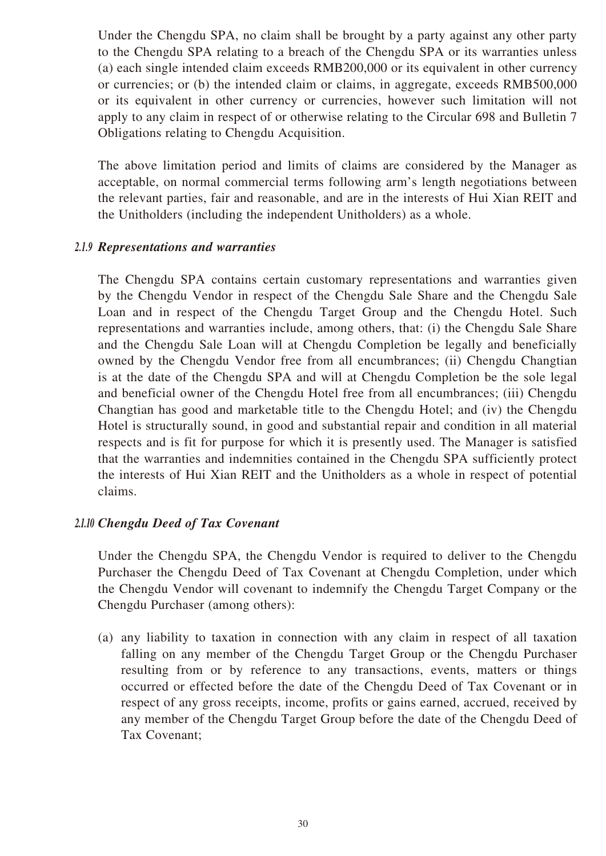Under the Chengdu SPA, no claim shall be brought by a party against any other party to the Chengdu SPA relating to a breach of the Chengdu SPA or its warranties unless (a) each single intended claim exceeds RMB200,000 or its equivalent in other currency or currencies; or (b) the intended claim or claims, in aggregate, exceeds RMB500,000 or its equivalent in other currency or currencies, however such limitation will not apply to any claim in respect of or otherwise relating to the Circular 698 and Bulletin 7 Obligations relating to Chengdu Acquisition.

The above limitation period and limits of claims are considered by the Manager as acceptable, on normal commercial terms following arm's length negotiations between the relevant parties, fair and reasonable, and are in the interests of Hui Xian REIT and the Unitholders (including the independent Unitholders) as a whole.

## *2.1.9 Representations and warranties*

The Chengdu SPA contains certain customary representations and warranties given by the Chengdu Vendor in respect of the Chengdu Sale Share and the Chengdu Sale Loan and in respect of the Chengdu Target Group and the Chengdu Hotel. Such representations and warranties include, among others, that: (i) the Chengdu Sale Share and the Chengdu Sale Loan will at Chengdu Completion be legally and beneficially owned by the Chengdu Vendor free from all encumbrances; (ii) Chengdu Changtian is at the date of the Chengdu SPA and will at Chengdu Completion be the sole legal and beneficial owner of the Chengdu Hotel free from all encumbrances; (iii) Chengdu Changtian has good and marketable title to the Chengdu Hotel; and (iv) the Chengdu Hotel is structurally sound, in good and substantial repair and condition in all material respects and is fit for purpose for which it is presently used. The Manager is satisfied that the warranties and indemnities contained in the Chengdu SPA sufficiently protect the interests of Hui Xian REIT and the Unitholders as a whole in respect of potential claims.

#### *2.1.10 Chengdu Deed of Tax Covenant*

Under the Chengdu SPA, the Chengdu Vendor is required to deliver to the Chengdu Purchaser the Chengdu Deed of Tax Covenant at Chengdu Completion, under which the Chengdu Vendor will covenant to indemnify the Chengdu Target Company or the Chengdu Purchaser (among others):

(a) any liability to taxation in connection with any claim in respect of all taxation falling on any member of the Chengdu Target Group or the Chengdu Purchaser resulting from or by reference to any transactions, events, matters or things occurred or effected before the date of the Chengdu Deed of Tax Covenant or in respect of any gross receipts, income, profits or gains earned, accrued, received by any member of the Chengdu Target Group before the date of the Chengdu Deed of Tax Covenant;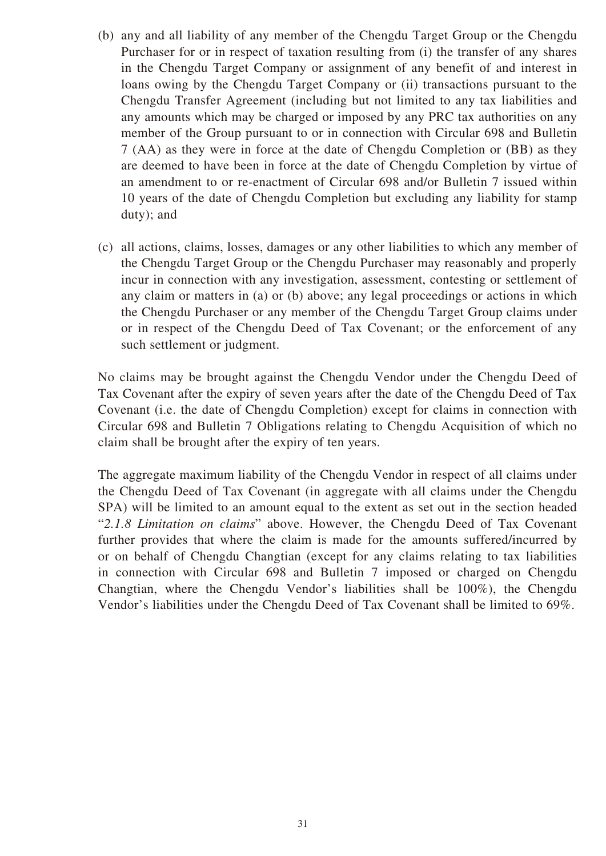- (b) any and all liability of any member of the Chengdu Target Group or the Chengdu Purchaser for or in respect of taxation resulting from (i) the transfer of any shares in the Chengdu Target Company or assignment of any benefit of and interest in loans owing by the Chengdu Target Company or (ii) transactions pursuant to the Chengdu Transfer Agreement (including but not limited to any tax liabilities and any amounts which may be charged or imposed by any PRC tax authorities on any member of the Group pursuant to or in connection with Circular 698 and Bulletin 7 (AA) as they were in force at the date of Chengdu Completion or (BB) as they are deemed to have been in force at the date of Chengdu Completion by virtue of an amendment to or re-enactment of Circular 698 and/or Bulletin 7 issued within 10 years of the date of Chengdu Completion but excluding any liability for stamp duty); and
- (c) all actions, claims, losses, damages or any other liabilities to which any member of the Chengdu Target Group or the Chengdu Purchaser may reasonably and properly incur in connection with any investigation, assessment, contesting or settlement of any claim or matters in (a) or (b) above; any legal proceedings or actions in which the Chengdu Purchaser or any member of the Chengdu Target Group claims under or in respect of the Chengdu Deed of Tax Covenant; or the enforcement of any such settlement or judgment.

No claims may be brought against the Chengdu Vendor under the Chengdu Deed of Tax Covenant after the expiry of seven years after the date of the Chengdu Deed of Tax Covenant (i.e. the date of Chengdu Completion) except for claims in connection with Circular 698 and Bulletin 7 Obligations relating to Chengdu Acquisition of which no claim shall be brought after the expiry of ten years.

The aggregate maximum liability of the Chengdu Vendor in respect of all claims under the Chengdu Deed of Tax Covenant (in aggregate with all claims under the Chengdu SPA) will be limited to an amount equal to the extent as set out in the section headed "*2.1.8 Limitation on claims*" above. However, the Chengdu Deed of Tax Covenant further provides that where the claim is made for the amounts suffered/incurred by or on behalf of Chengdu Changtian (except for any claims relating to tax liabilities in connection with Circular 698 and Bulletin 7 imposed or charged on Chengdu Changtian, where the Chengdu Vendor's liabilities shall be 100%), the Chengdu Vendor's liabilities under the Chengdu Deed of Tax Covenant shall be limited to 69%.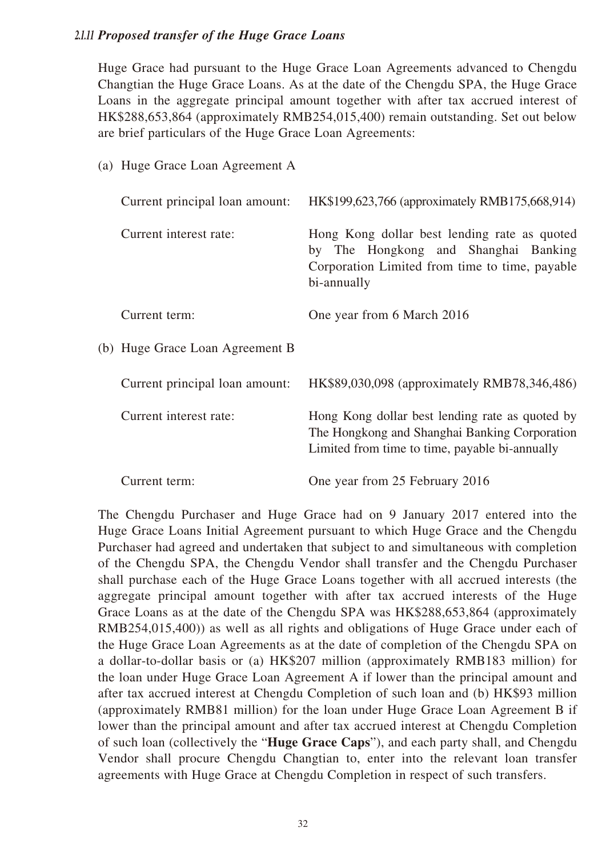## *2.1.11 Proposed transfer of the Huge Grace Loans*

(a) Huge Grace Loan Agreement A

Huge Grace had pursuant to the Huge Grace Loan Agreements advanced to Chengdu Changtian the Huge Grace Loans. As at the date of the Chengdu SPA, the Huge Grace Loans in the aggregate principal amount together with after tax accrued interest of HK\$288,653,864 (approximately RMB254,015,400) remain outstanding. Set out below are brief particulars of the Huge Grace Loan Agreements:

| (a) Truge Orace Loan rigidement is |                                                                                                                                                       |
|------------------------------------|-------------------------------------------------------------------------------------------------------------------------------------------------------|
| Current principal loan amount:     | HK\$199,623,766 (approximately RMB175,668,914)                                                                                                        |
| Current interest rate:             | Hong Kong dollar best lending rate as quoted<br>by The Hongkong and Shanghai Banking<br>Corporation Limited from time to time, payable<br>bi-annually |
| Current term:                      | One year from 6 March 2016                                                                                                                            |
| (b) Huge Grace Loan Agreement B    |                                                                                                                                                       |
| Current principal loan amount:     | HK\$89,030,098 (approximately RMB78,346,486)                                                                                                          |
| Current interest rate:             | Hong Kong dollar best lending rate as quoted by<br>The Hongkong and Shanghai Banking Corporation<br>Limited from time to time, payable bi-annually    |
| Current term:                      | One year from 25 February 2016                                                                                                                        |

The Chengdu Purchaser and Huge Grace had on 9 January 2017 entered into the Huge Grace Loans Initial Agreement pursuant to which Huge Grace and the Chengdu Purchaser had agreed and undertaken that subject to and simultaneous with completion of the Chengdu SPA, the Chengdu Vendor shall transfer and the Chengdu Purchaser shall purchase each of the Huge Grace Loans together with all accrued interests (the aggregate principal amount together with after tax accrued interests of the Huge Grace Loans as at the date of the Chengdu SPA was HK\$288,653,864 (approximately RMB254,015,400)) as well as all rights and obligations of Huge Grace under each of the Huge Grace Loan Agreements as at the date of completion of the Chengdu SPA on a dollar-to-dollar basis or (a) HK\$207 million (approximately RMB183 million) for the loan under Huge Grace Loan Agreement A if lower than the principal amount and after tax accrued interest at Chengdu Completion of such loan and (b) HK\$93 million (approximately RMB81 million) for the loan under Huge Grace Loan Agreement B if lower than the principal amount and after tax accrued interest at Chengdu Completion of such loan (collectively the "**Huge Grace Caps**"), and each party shall, and Chengdu Vendor shall procure Chengdu Changtian to, enter into the relevant loan transfer agreements with Huge Grace at Chengdu Completion in respect of such transfers.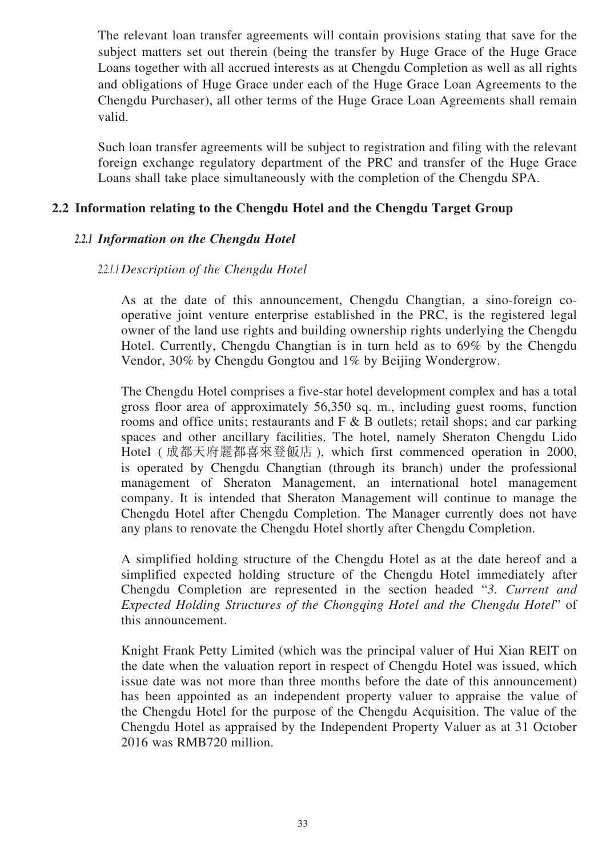The relevant loan transfer agreements will contain provisions stating that save for the subject matters set out therein (being the transfer by Huge Grace of the Huge Grace Loans together with all accrued interests as at Chengdu Completion as well as all rights and obligations of Huge Grace under each of the Huge Grace Loan Agreements to the Chengdu Purchaser), all other terms of the Huge Grace Loan Agreements shall remain valid.

Such loan transfer agreements will be subject to registration and filing with the relevant foreign exchange regulatory department of the PRC and transfer of the Huge Grace Loans shall take place simultaneously with the completion of the Chengdu SPA.

## **2.2 Information relating to the Chengdu Hotel and the Chengdu Target Group**

#### *2.2.1 Information on the Chengdu Hotel*

## *2.2.1.1 Description of the Chengdu Hotel*

As at the date of this announcement, Chengdu Changtian, a sino-foreign cooperative joint venture enterprise established in the PRC, is the registered legal owner of the land use rights and building ownership rights underlying the Chengdu Hotel. Currently, Chengdu Changtian is in turn held as to 69% by the Chengdu Vendor, 30% by Chengdu Gongtou and 1% by Beijing Wondergrow.

The Chengdu Hotel comprises a five-star hotel development complex and has a total gross floor area of approximately 56,350 sq. m., including guest rooms, function rooms and office units; restaurants and  $F \& B$  outlets; retail shops; and car parking spaces and other ancillary facilities. The hotel, namely Sheraton Chengdu Lido Hotel ( 成都天府麗都喜來登飯店 ), which first commenced operation in 2000, is operated by Chengdu Changtian (through its branch) under the professional management of Sheraton Management, an international hotel management company. It is intended that Sheraton Management will continue to manage the Chengdu Hotel after Chengdu Completion. The Manager currently does not have any plans to renovate the Chengdu Hotel shortly after Chengdu Completion.

A simplified holding structure of the Chengdu Hotel as at the date hereof and a simplified expected holding structure of the Chengdu Hotel immediately after Chengdu Completion are represented in the section headed "*3. Current and Expected Holding Structures of the Chongqing Hotel and the Chengdu Hotel*" of this announcement.

Knight Frank Petty Limited (which was the principal valuer of Hui Xian REIT on the date when the valuation report in respect of Chengdu Hotel was issued, which issue date was not more than three months before the date of this announcement) has been appointed as an independent property valuer to appraise the value of the Chengdu Hotel for the purpose of the Chengdu Acquisition. The value of the Chengdu Hotel as appraised by the Independent Property Valuer as at 31 October 2016 was RMB720 million.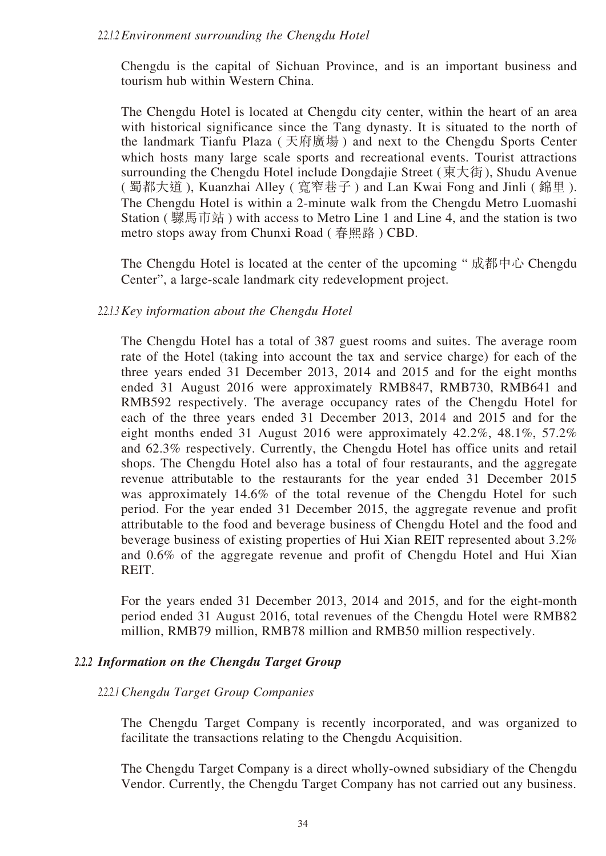#### *2.2.1.2 Environment surrounding the Chengdu Hotel*

Chengdu is the capital of Sichuan Province, and is an important business and tourism hub within Western China.

The Chengdu Hotel is located at Chengdu city center, within the heart of an area with historical significance since the Tang dynasty. It is situated to the north of the landmark Tianfu Plaza ( 天府廣場 ) and next to the Chengdu Sports Center which hosts many large scale sports and recreational events. Tourist attractions surrounding the Chengdu Hotel include Dongdajie Street (東大街), Shudu Avenue ( 蜀都大道 ), Kuanzhai Alley ( 寬窄巷子 ) and Lan Kwai Fong and Jinli ( 錦里 ). The Chengdu Hotel is within a 2-minute walk from the Chengdu Metro Luomashi Station ( 騾馬市站 ) with access to Metro Line 1 and Line 4, and the station is two metro stops away from Chunxi Road ( 春熙路 ) CBD.

The Chengdu Hotel is located at the center of the upcoming " 成都中心 Chengdu Center", a large-scale landmark city redevelopment project.

#### *2.2.1.3 Key information about the Chengdu Hotel*

The Chengdu Hotel has a total of 387 guest rooms and suites. The average room rate of the Hotel (taking into account the tax and service charge) for each of the three years ended 31 December 2013, 2014 and 2015 and for the eight months ended 31 August 2016 were approximately RMB847, RMB730, RMB641 and RMB592 respectively. The average occupancy rates of the Chengdu Hotel for each of the three years ended 31 December 2013, 2014 and 2015 and for the eight months ended 31 August 2016 were approximately 42.2%, 48.1%, 57.2% and 62.3% respectively. Currently, the Chengdu Hotel has office units and retail shops. The Chengdu Hotel also has a total of four restaurants, and the aggregate revenue attributable to the restaurants for the year ended 31 December 2015 was approximately 14.6% of the total revenue of the Chengdu Hotel for such period. For the year ended 31 December 2015, the aggregate revenue and profit attributable to the food and beverage business of Chengdu Hotel and the food and beverage business of existing properties of Hui Xian REIT represented about 3.2% and 0.6% of the aggregate revenue and profit of Chengdu Hotel and Hui Xian REIT.

For the years ended 31 December 2013, 2014 and 2015, and for the eight-month period ended 31 August 2016, total revenues of the Chengdu Hotel were RMB82 million, RMB79 million, RMB78 million and RMB50 million respectively.

## *2.2.2 Information on the Chengdu Target Group*

#### *2.2.2.1 Chengdu Target Group Companies*

The Chengdu Target Company is recently incorporated, and was organized to facilitate the transactions relating to the Chengdu Acquisition.

The Chengdu Target Company is a direct wholly-owned subsidiary of the Chengdu Vendor. Currently, the Chengdu Target Company has not carried out any business.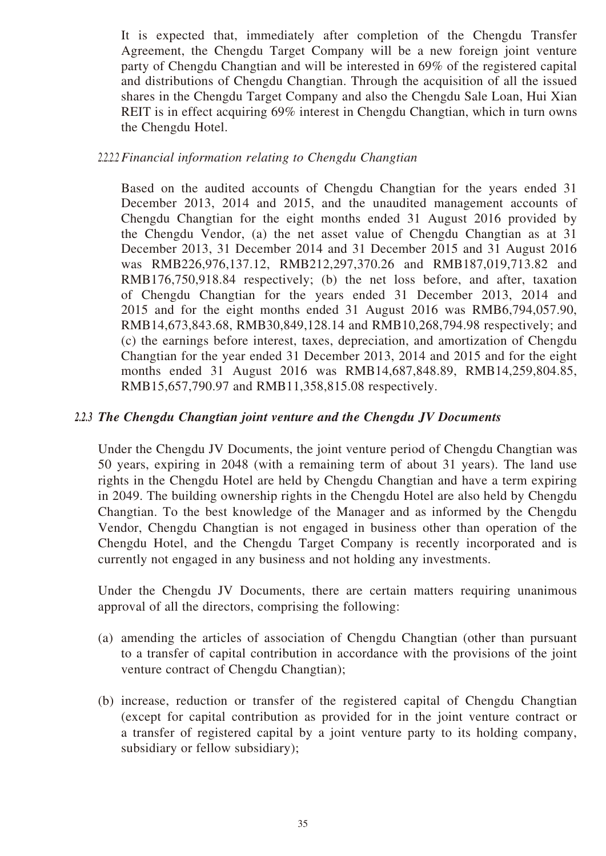It is expected that, immediately after completion of the Chengdu Transfer Agreement, the Chengdu Target Company will be a new foreign joint venture party of Chengdu Changtian and will be interested in 69% of the registered capital and distributions of Chengdu Changtian. Through the acquisition of all the issued shares in the Chengdu Target Company and also the Chengdu Sale Loan, Hui Xian REIT is in effect acquiring 69% interest in Chengdu Changtian, which in turn owns the Chengdu Hotel.

## *2.2.2.2 Financial information relating to Chengdu Changtian*

Based on the audited accounts of Chengdu Changtian for the years ended 31 December 2013, 2014 and 2015, and the unaudited management accounts of Chengdu Changtian for the eight months ended 31 August 2016 provided by the Chengdu Vendor, (a) the net asset value of Chengdu Changtian as at 31 December 2013, 31 December 2014 and 31 December 2015 and 31 August 2016 was RMB226,976,137.12, RMB212,297,370.26 and RMB187,019,713.82 and RMB176,750,918.84 respectively; (b) the net loss before, and after, taxation of Chengdu Changtian for the years ended 31 December 2013, 2014 and 2015 and for the eight months ended 31 August 2016 was RMB6,794,057.90, RMB14,673,843.68, RMB30,849,128.14 and RMB10,268,794.98 respectively; and (c) the earnings before interest, taxes, depreciation, and amortization of Chengdu Changtian for the year ended 31 December 2013, 2014 and 2015 and for the eight months ended 31 August 2016 was RMB14,687,848.89, RMB14,259,804.85, RMB15,657,790.97 and RMB11,358,815.08 respectively.

## *2.2.3 The Chengdu Changtian joint venture and the Chengdu JV Documents*

Under the Chengdu JV Documents, the joint venture period of Chengdu Changtian was 50 years, expiring in 2048 (with a remaining term of about 31 years). The land use rights in the Chengdu Hotel are held by Chengdu Changtian and have a term expiring in 2049. The building ownership rights in the Chengdu Hotel are also held by Chengdu Changtian. To the best knowledge of the Manager and as informed by the Chengdu Vendor, Chengdu Changtian is not engaged in business other than operation of the Chengdu Hotel, and the Chengdu Target Company is recently incorporated and is currently not engaged in any business and not holding any investments.

Under the Chengdu JV Documents, there are certain matters requiring unanimous approval of all the directors, comprising the following:

- (a) amending the articles of association of Chengdu Changtian (other than pursuant to a transfer of capital contribution in accordance with the provisions of the joint venture contract of Chengdu Changtian);
- (b) increase, reduction or transfer of the registered capital of Chengdu Changtian (except for capital contribution as provided for in the joint venture contract or a transfer of registered capital by a joint venture party to its holding company, subsidiary or fellow subsidiary);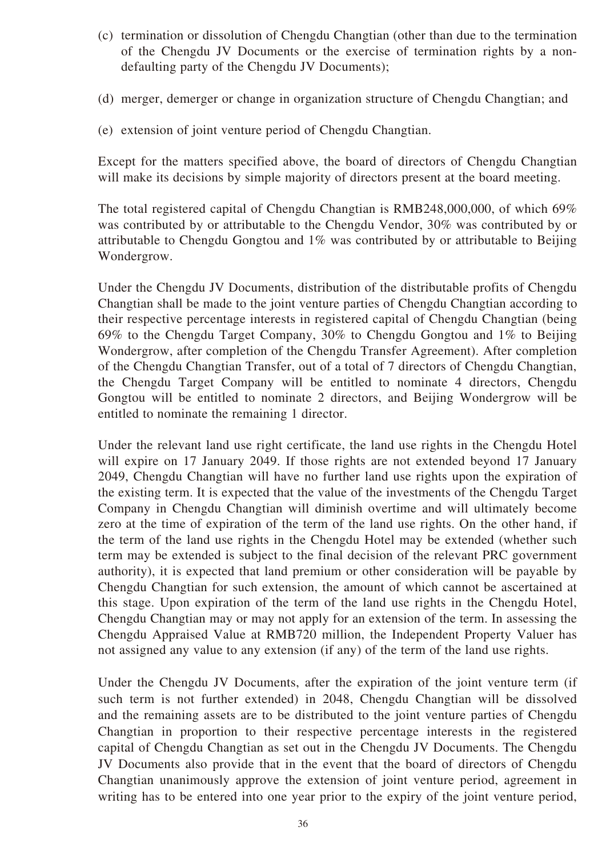- (c) termination or dissolution of Chengdu Changtian (other than due to the termination of the Chengdu JV Documents or the exercise of termination rights by a nondefaulting party of the Chengdu JV Documents);
- (d) merger, demerger or change in organization structure of Chengdu Changtian; and
- (e) extension of joint venture period of Chengdu Changtian.

Except for the matters specified above, the board of directors of Chengdu Changtian will make its decisions by simple majority of directors present at the board meeting.

The total registered capital of Chengdu Changtian is RMB248,000,000, of which 69% was contributed by or attributable to the Chengdu Vendor, 30% was contributed by or attributable to Chengdu Gongtou and 1% was contributed by or attributable to Beijing Wondergrow.

Under the Chengdu JV Documents, distribution of the distributable profits of Chengdu Changtian shall be made to the joint venture parties of Chengdu Changtian according to their respective percentage interests in registered capital of Chengdu Changtian (being 69% to the Chengdu Target Company, 30% to Chengdu Gongtou and 1% to Beijing Wondergrow, after completion of the Chengdu Transfer Agreement). After completion of the Chengdu Changtian Transfer, out of a total of 7 directors of Chengdu Changtian, the Chengdu Target Company will be entitled to nominate 4 directors, Chengdu Gongtou will be entitled to nominate 2 directors, and Beijing Wondergrow will be entitled to nominate the remaining 1 director.

Under the relevant land use right certificate, the land use rights in the Chengdu Hotel will expire on 17 January 2049. If those rights are not extended beyond 17 January 2049, Chengdu Changtian will have no further land use rights upon the expiration of the existing term. It is expected that the value of the investments of the Chengdu Target Company in Chengdu Changtian will diminish overtime and will ultimately become zero at the time of expiration of the term of the land use rights. On the other hand, if the term of the land use rights in the Chengdu Hotel may be extended (whether such term may be extended is subject to the final decision of the relevant PRC government authority), it is expected that land premium or other consideration will be payable by Chengdu Changtian for such extension, the amount of which cannot be ascertained at this stage. Upon expiration of the term of the land use rights in the Chengdu Hotel, Chengdu Changtian may or may not apply for an extension of the term. In assessing the Chengdu Appraised Value at RMB720 million, the Independent Property Valuer has not assigned any value to any extension (if any) of the term of the land use rights.

Under the Chengdu JV Documents, after the expiration of the joint venture term (if such term is not further extended) in 2048, Chengdu Changtian will be dissolved and the remaining assets are to be distributed to the joint venture parties of Chengdu Changtian in proportion to their respective percentage interests in the registered capital of Chengdu Changtian as set out in the Chengdu JV Documents. The Chengdu JV Documents also provide that in the event that the board of directors of Chengdu Changtian unanimously approve the extension of joint venture period, agreement in writing has to be entered into one year prior to the expiry of the joint venture period,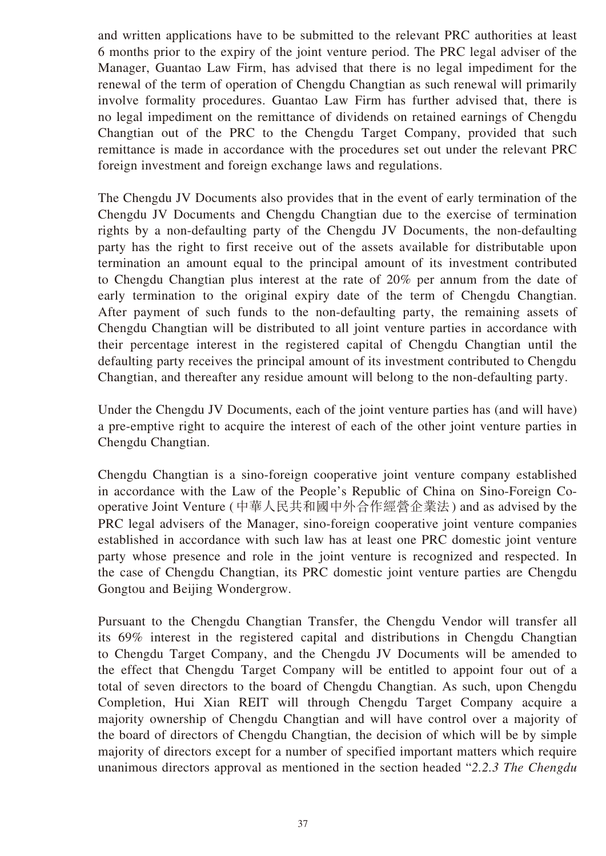and written applications have to be submitted to the relevant PRC authorities at least 6 months prior to the expiry of the joint venture period. The PRC legal adviser of the Manager, Guantao Law Firm, has advised that there is no legal impediment for the renewal of the term of operation of Chengdu Changtian as such renewal will primarily involve formality procedures. Guantao Law Firm has further advised that, there is no legal impediment on the remittance of dividends on retained earnings of Chengdu Changtian out of the PRC to the Chengdu Target Company, provided that such remittance is made in accordance with the procedures set out under the relevant PRC foreign investment and foreign exchange laws and regulations.

The Chengdu JV Documents also provides that in the event of early termination of the Chengdu JV Documents and Chengdu Changtian due to the exercise of termination rights by a non-defaulting party of the Chengdu JV Documents, the non-defaulting party has the right to first receive out of the assets available for distributable upon termination an amount equal to the principal amount of its investment contributed to Chengdu Changtian plus interest at the rate of 20% per annum from the date of early termination to the original expiry date of the term of Chengdu Changtian. After payment of such funds to the non-defaulting party, the remaining assets of Chengdu Changtian will be distributed to all joint venture parties in accordance with their percentage interest in the registered capital of Chengdu Changtian until the defaulting party receives the principal amount of its investment contributed to Chengdu Changtian, and thereafter any residue amount will belong to the non-defaulting party.

Under the Chengdu JV Documents, each of the joint venture parties has (and will have) a pre-emptive right to acquire the interest of each of the other joint venture parties in Chengdu Changtian.

Chengdu Changtian is a sino-foreign cooperative joint venture company established in accordance with the Law of the People's Republic of China on Sino-Foreign Cooperative Joint Venture (中華人民共和國中外合作經營企業法) and as advised by the PRC legal advisers of the Manager, sino-foreign cooperative joint venture companies established in accordance with such law has at least one PRC domestic joint venture party whose presence and role in the joint venture is recognized and respected. In the case of Chengdu Changtian, its PRC domestic joint venture parties are Chengdu Gongtou and Beijing Wondergrow.

Pursuant to the Chengdu Changtian Transfer, the Chengdu Vendor will transfer all its 69% interest in the registered capital and distributions in Chengdu Changtian to Chengdu Target Company, and the Chengdu JV Documents will be amended to the effect that Chengdu Target Company will be entitled to appoint four out of a total of seven directors to the board of Chengdu Changtian. As such, upon Chengdu Completion, Hui Xian REIT will through Chengdu Target Company acquire a majority ownership of Chengdu Changtian and will have control over a majority of the board of directors of Chengdu Changtian, the decision of which will be by simple majority of directors except for a number of specified important matters which require unanimous directors approval as mentioned in the section headed "*2.2.3 The Chengdu*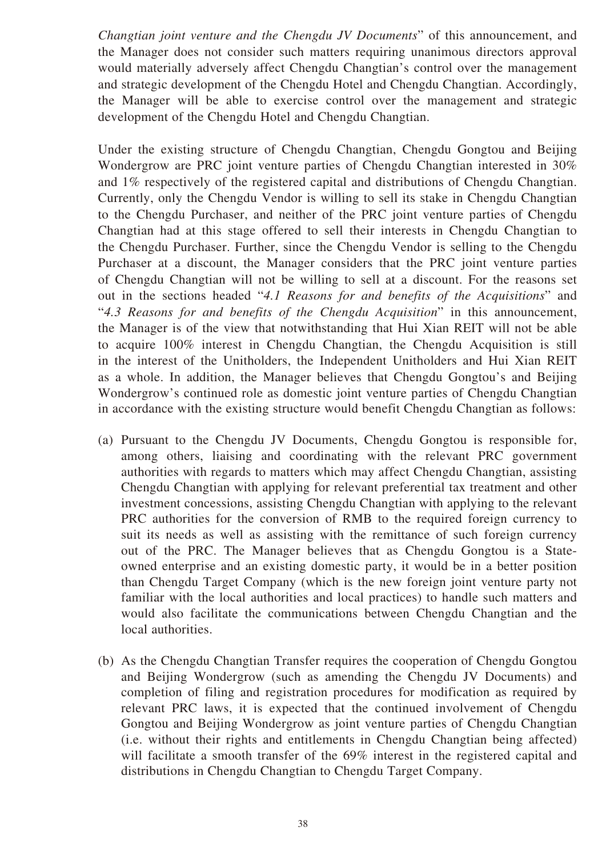*Changtian joint venture and the Chengdu JV Documents*" of this announcement, and the Manager does not consider such matters requiring unanimous directors approval would materially adversely affect Chengdu Changtian's control over the management and strategic development of the Chengdu Hotel and Chengdu Changtian. Accordingly, the Manager will be able to exercise control over the management and strategic development of the Chengdu Hotel and Chengdu Changtian.

Under the existing structure of Chengdu Changtian, Chengdu Gongtou and Beijing Wondergrow are PRC joint venture parties of Chengdu Changtian interested in 30% and 1% respectively of the registered capital and distributions of Chengdu Changtian. Currently, only the Chengdu Vendor is willing to sell its stake in Chengdu Changtian to the Chengdu Purchaser, and neither of the PRC joint venture parties of Chengdu Changtian had at this stage offered to sell their interests in Chengdu Changtian to the Chengdu Purchaser. Further, since the Chengdu Vendor is selling to the Chengdu Purchaser at a discount, the Manager considers that the PRC joint venture parties of Chengdu Changtian will not be willing to sell at a discount. For the reasons set out in the sections headed "*4.1 Reasons for and benefits of the Acquisitions*" and "*4.3 Reasons for and benefits of the Chengdu Acquisition*" in this announcement, the Manager is of the view that notwithstanding that Hui Xian REIT will not be able to acquire 100% interest in Chengdu Changtian, the Chengdu Acquisition is still in the interest of the Unitholders, the Independent Unitholders and Hui Xian REIT as a whole. In addition, the Manager believes that Chengdu Gongtou's and Beijing Wondergrow's continued role as domestic joint venture parties of Chengdu Changtian in accordance with the existing structure would benefit Chengdu Changtian as follows:

- (a) Pursuant to the Chengdu JV Documents, Chengdu Gongtou is responsible for, among others, liaising and coordinating with the relevant PRC government authorities with regards to matters which may affect Chengdu Changtian, assisting Chengdu Changtian with applying for relevant preferential tax treatment and other investment concessions, assisting Chengdu Changtian with applying to the relevant PRC authorities for the conversion of RMB to the required foreign currency to suit its needs as well as assisting with the remittance of such foreign currency out of the PRC. The Manager believes that as Chengdu Gongtou is a Stateowned enterprise and an existing domestic party, it would be in a better position than Chengdu Target Company (which is the new foreign joint venture party not familiar with the local authorities and local practices) to handle such matters and would also facilitate the communications between Chengdu Changtian and the local authorities.
- (b) As the Chengdu Changtian Transfer requires the cooperation of Chengdu Gongtou and Beijing Wondergrow (such as amending the Chengdu JV Documents) and completion of filing and registration procedures for modification as required by relevant PRC laws, it is expected that the continued involvement of Chengdu Gongtou and Beijing Wondergrow as joint venture parties of Chengdu Changtian (i.e. without their rights and entitlements in Chengdu Changtian being affected) will facilitate a smooth transfer of the 69% interest in the registered capital and distributions in Chengdu Changtian to Chengdu Target Company.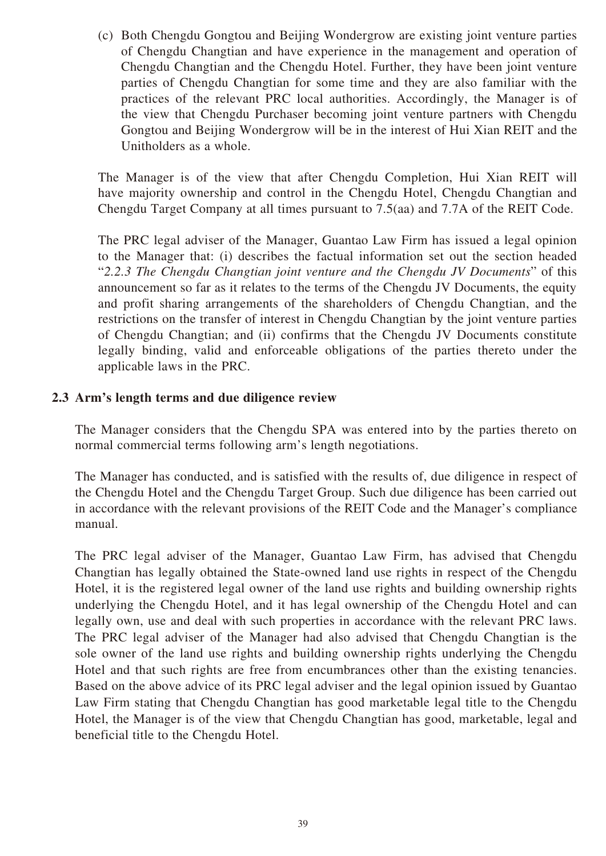(c) Both Chengdu Gongtou and Beijing Wondergrow are existing joint venture parties of Chengdu Changtian and have experience in the management and operation of Chengdu Changtian and the Chengdu Hotel. Further, they have been joint venture parties of Chengdu Changtian for some time and they are also familiar with the practices of the relevant PRC local authorities. Accordingly, the Manager is of the view that Chengdu Purchaser becoming joint venture partners with Chengdu Gongtou and Beijing Wondergrow will be in the interest of Hui Xian REIT and the Unitholders as a whole.

The Manager is of the view that after Chengdu Completion, Hui Xian REIT will have majority ownership and control in the Chengdu Hotel, Chengdu Changtian and Chengdu Target Company at all times pursuant to 7.5(aa) and 7.7A of the REIT Code.

The PRC legal adviser of the Manager, Guantao Law Firm has issued a legal opinion to the Manager that: (i) describes the factual information set out the section headed "*2.2.3 The Chengdu Changtian joint venture and the Chengdu JV Documents*" of this announcement so far as it relates to the terms of the Chengdu JV Documents, the equity and profit sharing arrangements of the shareholders of Chengdu Changtian, and the restrictions on the transfer of interest in Chengdu Changtian by the joint venture parties of Chengdu Changtian; and (ii) confirms that the Chengdu JV Documents constitute legally binding, valid and enforceable obligations of the parties thereto under the applicable laws in the PRC.

### **2.3 Arm's length terms and due diligence review**

The Manager considers that the Chengdu SPA was entered into by the parties thereto on normal commercial terms following arm's length negotiations.

The Manager has conducted, and is satisfied with the results of, due diligence in respect of the Chengdu Hotel and the Chengdu Target Group. Such due diligence has been carried out in accordance with the relevant provisions of the REIT Code and the Manager's compliance manual.

The PRC legal adviser of the Manager, Guantao Law Firm, has advised that Chengdu Changtian has legally obtained the State-owned land use rights in respect of the Chengdu Hotel, it is the registered legal owner of the land use rights and building ownership rights underlying the Chengdu Hotel, and it has legal ownership of the Chengdu Hotel and can legally own, use and deal with such properties in accordance with the relevant PRC laws. The PRC legal adviser of the Manager had also advised that Chengdu Changtian is the sole owner of the land use rights and building ownership rights underlying the Chengdu Hotel and that such rights are free from encumbrances other than the existing tenancies. Based on the above advice of its PRC legal adviser and the legal opinion issued by Guantao Law Firm stating that Chengdu Changtian has good marketable legal title to the Chengdu Hotel, the Manager is of the view that Chengdu Changtian has good, marketable, legal and beneficial title to the Chengdu Hotel.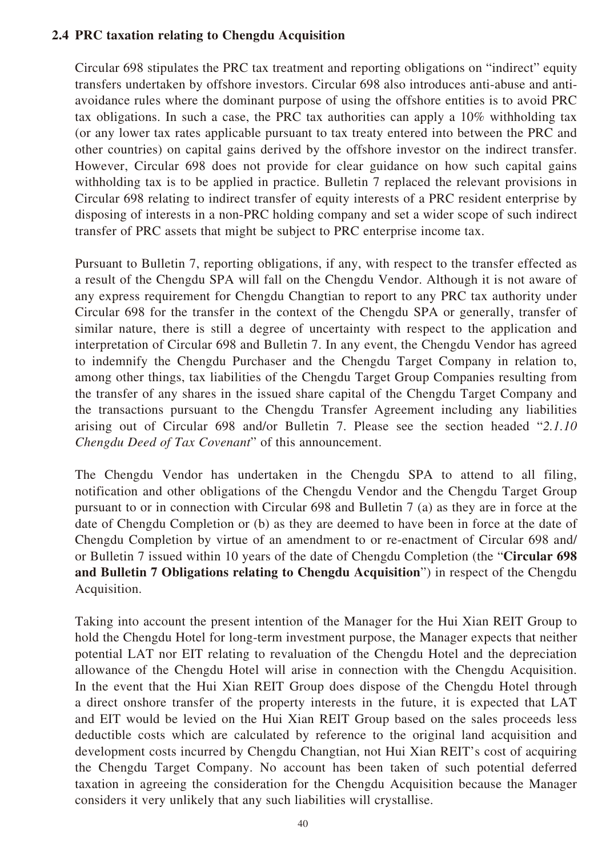### **2.4 PRC taxation relating to Chengdu Acquisition**

Circular 698 stipulates the PRC tax treatment and reporting obligations on "indirect" equity transfers undertaken by offshore investors. Circular 698 also introduces anti-abuse and antiavoidance rules where the dominant purpose of using the offshore entities is to avoid PRC tax obligations. In such a case, the PRC tax authorities can apply a 10% withholding tax (or any lower tax rates applicable pursuant to tax treaty entered into between the PRC and other countries) on capital gains derived by the offshore investor on the indirect transfer. However, Circular 698 does not provide for clear guidance on how such capital gains withholding tax is to be applied in practice. Bulletin 7 replaced the relevant provisions in Circular 698 relating to indirect transfer of equity interests of a PRC resident enterprise by disposing of interests in a non-PRC holding company and set a wider scope of such indirect transfer of PRC assets that might be subject to PRC enterprise income tax.

Pursuant to Bulletin 7, reporting obligations, if any, with respect to the transfer effected as a result of the Chengdu SPA will fall on the Chengdu Vendor. Although it is not aware of any express requirement for Chengdu Changtian to report to any PRC tax authority under Circular 698 for the transfer in the context of the Chengdu SPA or generally, transfer of similar nature, there is still a degree of uncertainty with respect to the application and interpretation of Circular 698 and Bulletin 7. In any event, the Chengdu Vendor has agreed to indemnify the Chengdu Purchaser and the Chengdu Target Company in relation to, among other things, tax liabilities of the Chengdu Target Group Companies resulting from the transfer of any shares in the issued share capital of the Chengdu Target Company and the transactions pursuant to the Chengdu Transfer Agreement including any liabilities arising out of Circular 698 and/or Bulletin 7. Please see the section headed "*2.1.10 Chengdu Deed of Tax Covenant*" of this announcement.

The Chengdu Vendor has undertaken in the Chengdu SPA to attend to all filing, notification and other obligations of the Chengdu Vendor and the Chengdu Target Group pursuant to or in connection with Circular 698 and Bulletin 7 (a) as they are in force at the date of Chengdu Completion or (b) as they are deemed to have been in force at the date of Chengdu Completion by virtue of an amendment to or re-enactment of Circular 698 and/ or Bulletin 7 issued within 10 years of the date of Chengdu Completion (the "**Circular 698 and Bulletin 7 Obligations relating to Chengdu Acquisition**") in respect of the Chengdu Acquisition.

Taking into account the present intention of the Manager for the Hui Xian REIT Group to hold the Chengdu Hotel for long-term investment purpose, the Manager expects that neither potential LAT nor EIT relating to revaluation of the Chengdu Hotel and the depreciation allowance of the Chengdu Hotel will arise in connection with the Chengdu Acquisition. In the event that the Hui Xian REIT Group does dispose of the Chengdu Hotel through a direct onshore transfer of the property interests in the future, it is expected that LAT and EIT would be levied on the Hui Xian REIT Group based on the sales proceeds less deductible costs which are calculated by reference to the original land acquisition and development costs incurred by Chengdu Changtian, not Hui Xian REIT's cost of acquiring the Chengdu Target Company. No account has been taken of such potential deferred taxation in agreeing the consideration for the Chengdu Acquisition because the Manager considers it very unlikely that any such liabilities will crystallise.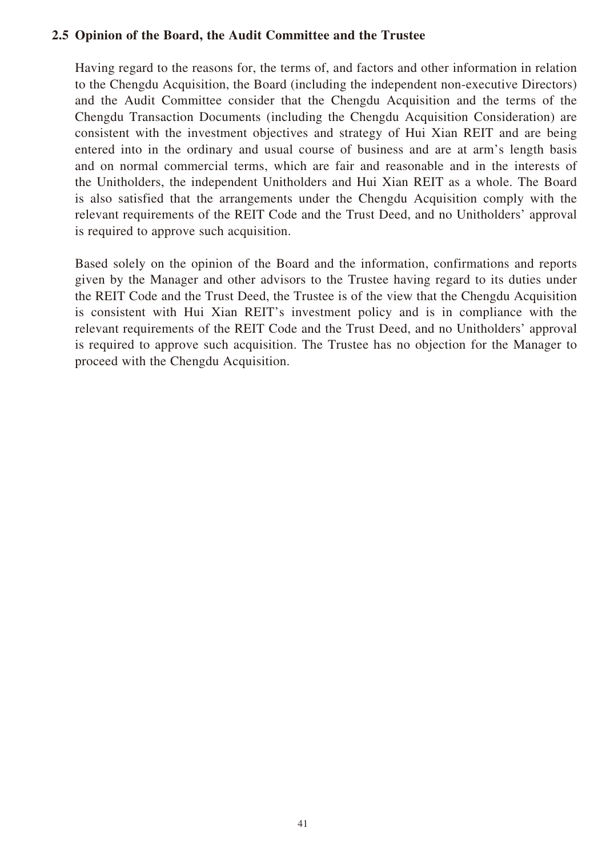### **2.5 Opinion of the Board, the Audit Committee and the Trustee**

Having regard to the reasons for, the terms of, and factors and other information in relation to the Chengdu Acquisition, the Board (including the independent non-executive Directors) and the Audit Committee consider that the Chengdu Acquisition and the terms of the Chengdu Transaction Documents (including the Chengdu Acquisition Consideration) are consistent with the investment objectives and strategy of Hui Xian REIT and are being entered into in the ordinary and usual course of business and are at arm's length basis and on normal commercial terms, which are fair and reasonable and in the interests of the Unitholders, the independent Unitholders and Hui Xian REIT as a whole. The Board is also satisfied that the arrangements under the Chengdu Acquisition comply with the relevant requirements of the REIT Code and the Trust Deed, and no Unitholders' approval is required to approve such acquisition.

Based solely on the opinion of the Board and the information, confirmations and reports given by the Manager and other advisors to the Trustee having regard to its duties under the REIT Code and the Trust Deed, the Trustee is of the view that the Chengdu Acquisition is consistent with Hui Xian REIT's investment policy and is in compliance with the relevant requirements of the REIT Code and the Trust Deed, and no Unitholders' approval is required to approve such acquisition. The Trustee has no objection for the Manager to proceed with the Chengdu Acquisition.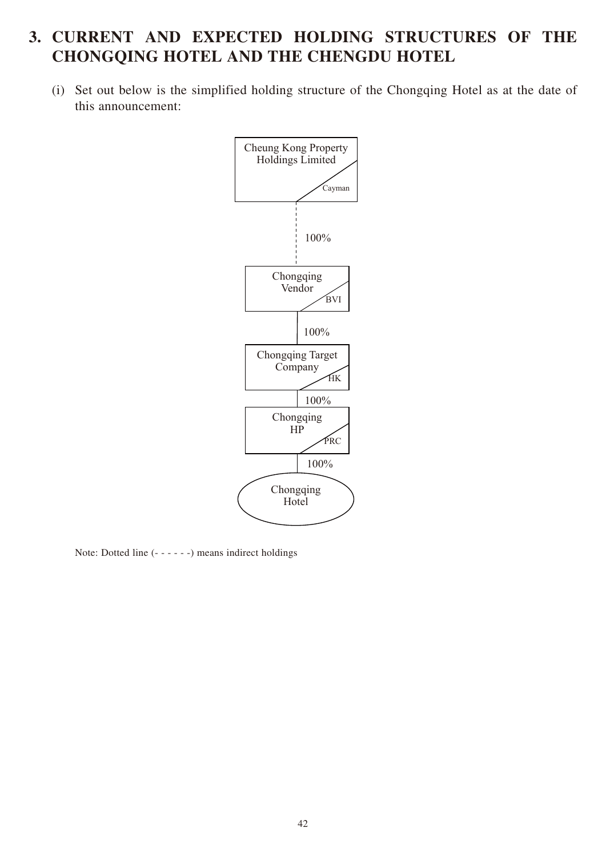# **3. CURRENT AND EXPECTED HOLDING STRUCTURES OF THE CHONGQING HOTEL AND THE CHENGDU HOTEL**

(i) Set out below is the simplified holding structure of the Chongqing Hotel as at the date of this announcement:



Note: Dotted line (- - - - - -) means indirect holdings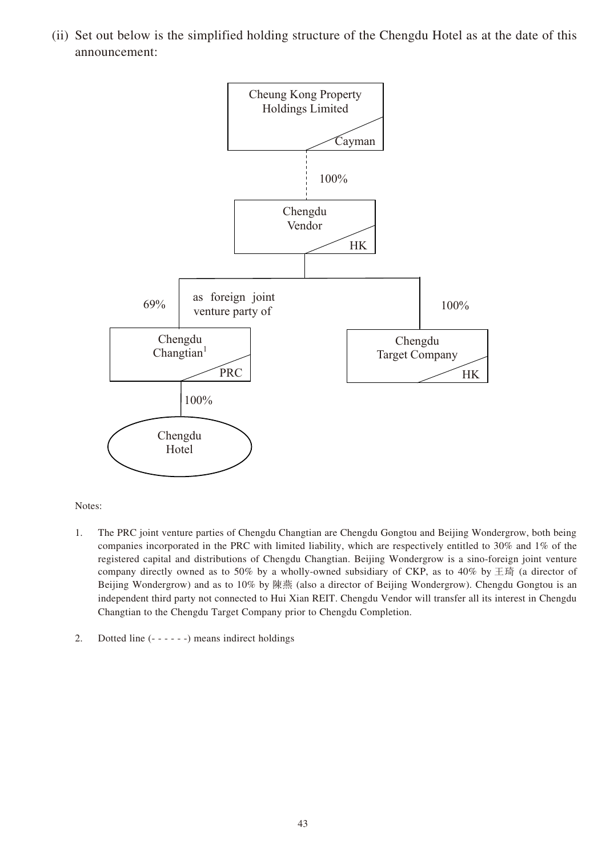(ii) Set out below is the simplified holding structure of the Chengdu Hotel as at the date of this announcement:



Notes:

- 1. The PRC joint venture parties of Chengdu Changtian are Chengdu Gongtou and Beijing Wondergrow, both being companies incorporated in the PRC with limited liability, which are respectively entitled to 30% and 1% of the registered capital and distributions of Chengdu Changtian. Beijing Wondergrow is a sino-foreign joint venture company directly owned as to 50% by a wholly-owned subsidiary of CKP, as to 40% by  $\pm \mathfrak{H}$  (a director of Beijing Wondergrow) and as to 10% by 陳燕 (also a director of Beijing Wondergrow). Chengdu Gongtou is an independent third party not connected to Hui Xian REIT. Chengdu Vendor will transfer all its interest in Chengdu Changtian to the Chengdu Target Company prior to Chengdu Completion.
- 2. Dotted line (- - - -) means indirect holdings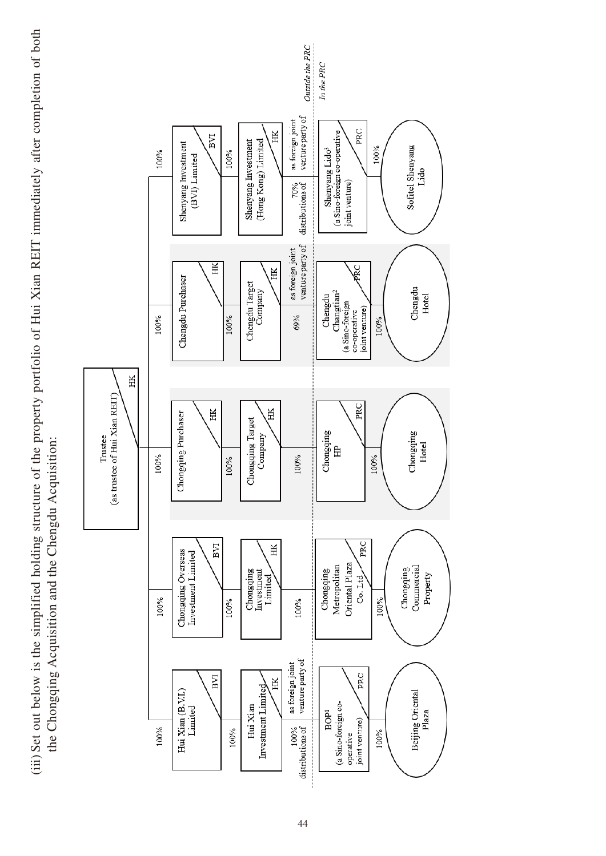(iii) Set out below is the simplified holding structure of the property portfolio of Hui Xian REIT immediately after completion of both (iii) Set out below is the simplified holding structure of the property portfolio of Hui Xian REIT immediately after completion of both the Chongqing Acquisition and the Chengdu Acquisition: the Chongqing Acquisition and the Chengdu Acquisition:

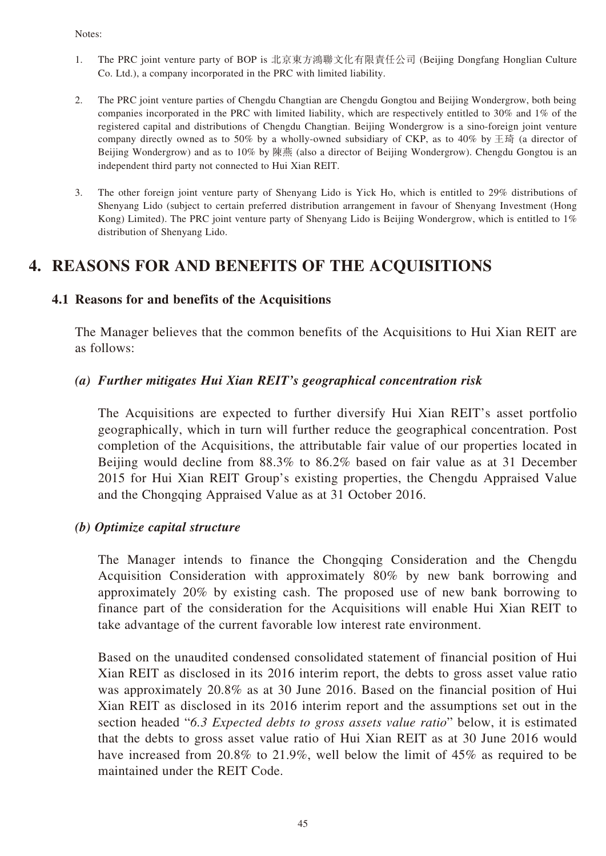#### Notes:

- 1. The PRC joint venture party of BOP is 北京東方鴻聯文化有限責任公司 (Beijing Dongfang Honglian Culture Co. Ltd.), a company incorporated in the PRC with limited liability.
- 2. The PRC joint venture parties of Chengdu Changtian are Chengdu Gongtou and Beijing Wondergrow, both being companies incorporated in the PRC with limited liability, which are respectively entitled to 30% and 1% of the registered capital and distributions of Chengdu Changtian. Beijing Wondergrow is a sino-foreign joint venture company directly owned as to 50% by a wholly-owned subsidiary of CKP, as to 40% by  $\pm \mathfrak{H}$  (a director of Beijing Wondergrow) and as to 10% by 陳燕 (also a director of Beijing Wondergrow). Chengdu Gongtou is an independent third party not connected to Hui Xian REIT.
- 3. The other foreign joint venture party of Shenyang Lido is Yick Ho, which is entitled to 29% distributions of Shenyang Lido (subject to certain preferred distribution arrangement in favour of Shenyang Investment (Hong Kong) Limited). The PRC joint venture party of Shenyang Lido is Beijing Wondergrow, which is entitled to 1% distribution of Shenyang Lido.

## **4. REASONS FOR AND BENEFITS OF THE ACQUISITIONS**

### **4.1 Reasons for and benefits of the Acquisitions**

The Manager believes that the common benefits of the Acquisitions to Hui Xian REIT are as follows:

### *(a) Further mitigates Hui Xian REIT's geographical concentration risk*

The Acquisitions are expected to further diversify Hui Xian REIT's asset portfolio geographically, which in turn will further reduce the geographical concentration. Post completion of the Acquisitions, the attributable fair value of our properties located in Beijing would decline from 88.3% to 86.2% based on fair value as at 31 December 2015 for Hui Xian REIT Group's existing properties, the Chengdu Appraised Value and the Chongqing Appraised Value as at 31 October 2016.

#### *(b) Optimize capital structure*

The Manager intends to finance the Chongqing Consideration and the Chengdu Acquisition Consideration with approximately 80% by new bank borrowing and approximately 20% by existing cash. The proposed use of new bank borrowing to finance part of the consideration for the Acquisitions will enable Hui Xian REIT to take advantage of the current favorable low interest rate environment.

Based on the unaudited condensed consolidated statement of financial position of Hui Xian REIT as disclosed in its 2016 interim report, the debts to gross asset value ratio was approximately 20.8% as at 30 June 2016. Based on the financial position of Hui Xian REIT as disclosed in its 2016 interim report and the assumptions set out in the section headed "*6.3 Expected debts to gross assets value ratio*" below, it is estimated that the debts to gross asset value ratio of Hui Xian REIT as at 30 June 2016 would have increased from 20.8% to 21.9%, well below the limit of 45% as required to be maintained under the REIT Code.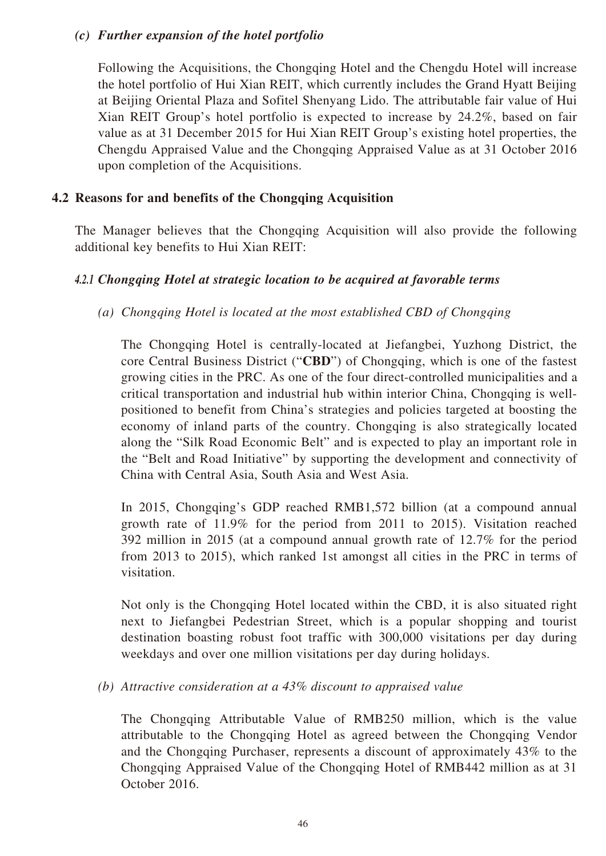### *(c) Further expansion of the hotel portfolio*

Following the Acquisitions, the Chongqing Hotel and the Chengdu Hotel will increase the hotel portfolio of Hui Xian REIT, which currently includes the Grand Hyatt Beijing at Beijing Oriental Plaza and Sofitel Shenyang Lido. The attributable fair value of Hui Xian REIT Group's hotel portfolio is expected to increase by 24.2%, based on fair value as at 31 December 2015 for Hui Xian REIT Group's existing hotel properties, the Chengdu Appraised Value and the Chongqing Appraised Value as at 31 October 2016 upon completion of the Acquisitions.

### **4.2 Reasons for and benefits of the Chongqing Acquisition**

The Manager believes that the Chongqing Acquisition will also provide the following additional key benefits to Hui Xian REIT:

### *4.2.1 Chongqing Hotel at strategic location to be acquired at favorable terms*

*(a) Chongqing Hotel is located at the most established CBD of Chongqing*

The Chongqing Hotel is centrally-located at Jiefangbei, Yuzhong District, the core Central Business District ("**CBD**") of Chongqing, which is one of the fastest growing cities in the PRC. As one of the four direct-controlled municipalities and a critical transportation and industrial hub within interior China, Chongqing is wellpositioned to benefit from China's strategies and policies targeted at boosting the economy of inland parts of the country. Chongqing is also strategically located along the "Silk Road Economic Belt" and is expected to play an important role in the "Belt and Road Initiative" by supporting the development and connectivity of China with Central Asia, South Asia and West Asia.

In 2015, Chongqing's GDP reached RMB1,572 billion (at a compound annual growth rate of 11.9% for the period from 2011 to 2015). Visitation reached 392 million in 2015 (at a compound annual growth rate of 12.7% for the period from 2013 to 2015), which ranked 1st amongst all cities in the PRC in terms of visitation.

Not only is the Chongqing Hotel located within the CBD, it is also situated right next to Jiefangbei Pedestrian Street, which is a popular shopping and tourist destination boasting robust foot traffic with 300,000 visitations per day during weekdays and over one million visitations per day during holidays.

### *(b) Attractive consideration at a 43% discount to appraised value*

The Chongqing Attributable Value of RMB250 million, which is the value attributable to the Chongqing Hotel as agreed between the Chongqing Vendor and the Chongqing Purchaser, represents a discount of approximately 43% to the Chongqing Appraised Value of the Chongqing Hotel of RMB442 million as at 31 October 2016.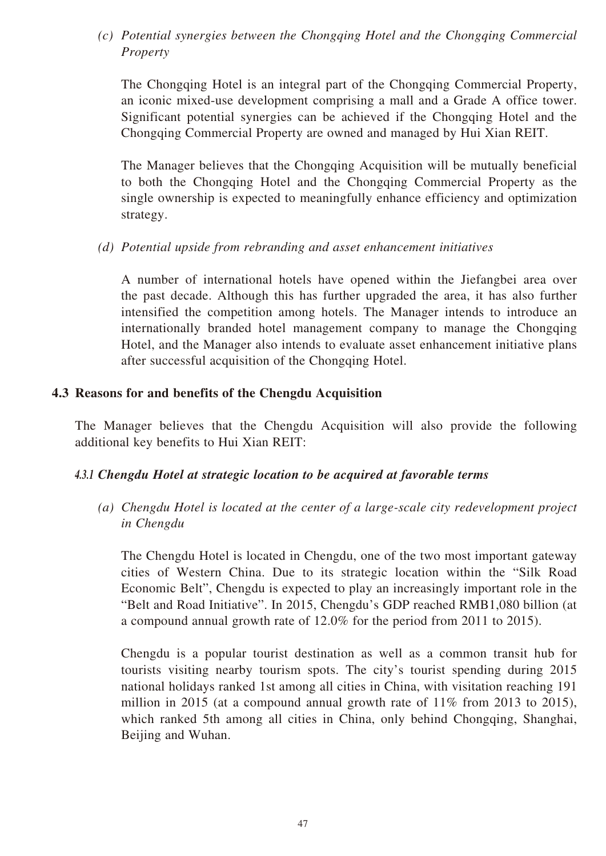*(c) Potential synergies between the Chongqing Hotel and the Chongqing Commercial Property*

The Chongqing Hotel is an integral part of the Chongqing Commercial Property, an iconic mixed-use development comprising a mall and a Grade A office tower. Significant potential synergies can be achieved if the Chongqing Hotel and the Chongqing Commercial Property are owned and managed by Hui Xian REIT.

The Manager believes that the Chongqing Acquisition will be mutually beneficial to both the Chongqing Hotel and the Chongqing Commercial Property as the single ownership is expected to meaningfully enhance efficiency and optimization strategy.

*(d) Potential upside from rebranding and asset enhancement initiatives*

A number of international hotels have opened within the Jiefangbei area over the past decade. Although this has further upgraded the area, it has also further intensified the competition among hotels. The Manager intends to introduce an internationally branded hotel management company to manage the Chongqing Hotel, and the Manager also intends to evaluate asset enhancement initiative plans after successful acquisition of the Chongqing Hotel.

### **4.3 Reasons for and benefits of the Chengdu Acquisition**

The Manager believes that the Chengdu Acquisition will also provide the following additional key benefits to Hui Xian REIT:

### *4.3.1 Chengdu Hotel at strategic location to be acquired at favorable terms*

*(a) Chengdu Hotel is located at the center of a large-scale city redevelopment project in Chengdu*

The Chengdu Hotel is located in Chengdu, one of the two most important gateway cities of Western China. Due to its strategic location within the "Silk Road Economic Belt", Chengdu is expected to play an increasingly important role in the "Belt and Road Initiative". In 2015, Chengdu's GDP reached RMB1,080 billion (at a compound annual growth rate of 12.0% for the period from 2011 to 2015).

Chengdu is a popular tourist destination as well as a common transit hub for tourists visiting nearby tourism spots. The city's tourist spending during 2015 national holidays ranked 1st among all cities in China, with visitation reaching 191 million in 2015 (at a compound annual growth rate of 11% from 2013 to 2015), which ranked 5th among all cities in China, only behind Chongqing, Shanghai, Beijing and Wuhan.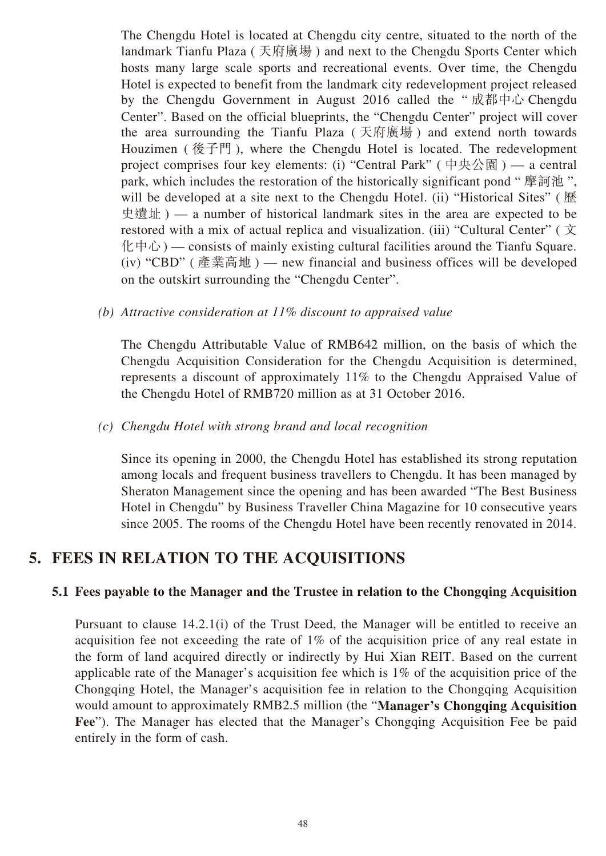The Chengdu Hotel is located at Chengdu city centre, situated to the north of the landmark Tianfu Plaza ( 天府廣場 ) and next to the Chengdu Sports Center which hosts many large scale sports and recreational events. Over time, the Chengdu Hotel is expected to benefit from the landmark city redevelopment project released by the Chengdu Government in August 2016 called the " 成都中心 Chengdu Center". Based on the official blueprints, the "Chengdu Center" project will cover the area surrounding the Tianfu Plaza ( 天府廣場 ) and extend north towards Houzimen ( 後子門 ), where the Chengdu Hotel is located. The redevelopment project comprises four key elements: (i) "Central Park" (中央公園) — a central park, which includes the restoration of the historically significant pond "摩訶池", will be developed at a site next to the Chengdu Hotel. (ii) "Historical Sites" (歷 史遺址 ) — a number of historical landmark sites in the area are expected to be restored with a mix of actual replica and visualization. (iii) "Cultural Center" ( $\overline{\chi}$  $l(\psi + \psi)$  — consists of mainly existing cultural facilities around the Tianfu Square. (iv) "CBD" (產業高地) — new financial and business offices will be developed on the outskirt surrounding the "Chengdu Center".

*(b) Attractive consideration at 11% discount to appraised value*

The Chengdu Attributable Value of RMB642 million, on the basis of which the Chengdu Acquisition Consideration for the Chengdu Acquisition is determined, represents a discount of approximately 11% to the Chengdu Appraised Value of the Chengdu Hotel of RMB720 million as at 31 October 2016.

#### *(c) Chengdu Hotel with strong brand and local recognition*

Since its opening in 2000, the Chengdu Hotel has established its strong reputation among locals and frequent business travellers to Chengdu. It has been managed by Sheraton Management since the opening and has been awarded "The Best Business Hotel in Chengdu" by Business Traveller China Magazine for 10 consecutive years since 2005. The rooms of the Chengdu Hotel have been recently renovated in 2014.

## **5. FEES IN RELATION TO THE ACQUISITIONS**

### **5.1 Fees payable to the Manager and the Trustee in relation to the Chongqing Acquisition**

Pursuant to clause 14.2.1(i) of the Trust Deed, the Manager will be entitled to receive an acquisition fee not exceeding the rate of 1% of the acquisition price of any real estate in the form of land acquired directly or indirectly by Hui Xian REIT. Based on the current applicable rate of the Manager's acquisition fee which is 1% of the acquisition price of the Chongqing Hotel, the Manager's acquisition fee in relation to the Chongqing Acquisition would amount to approximately RMB2.5 million (the "**Manager's Chongqing Acquisition Fee**"). The Manager has elected that the Manager's Chongqing Acquisition Fee be paid entirely in the form of cash.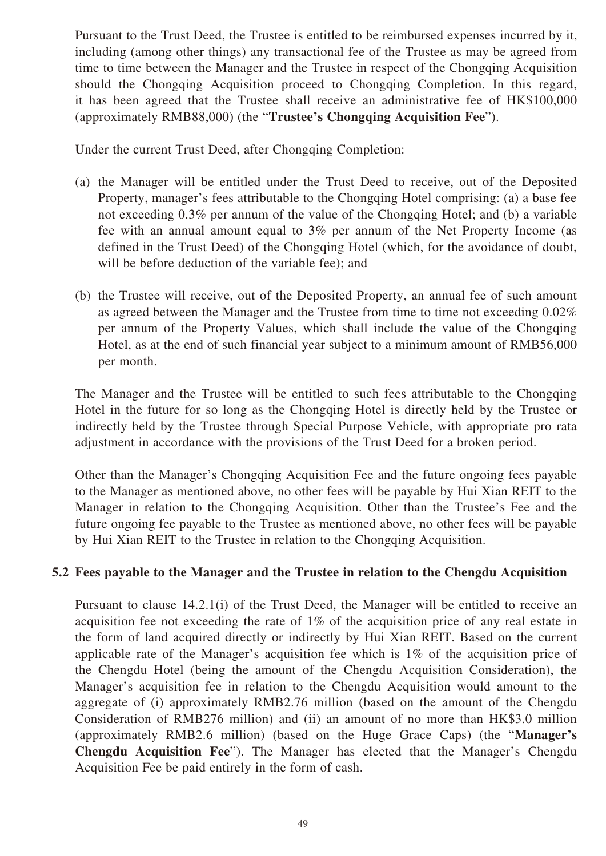Pursuant to the Trust Deed, the Trustee is entitled to be reimbursed expenses incurred by it, including (among other things) any transactional fee of the Trustee as may be agreed from time to time between the Manager and the Trustee in respect of the Chongqing Acquisition should the Chongqing Acquisition proceed to Chongqing Completion. In this regard, it has been agreed that the Trustee shall receive an administrative fee of HK\$100,000 (approximately RMB88,000) (the "**Trustee's Chongqing Acquisition Fee**").

Under the current Trust Deed, after Chongqing Completion:

- (a) the Manager will be entitled under the Trust Deed to receive, out of the Deposited Property, manager's fees attributable to the Chongqing Hotel comprising: (a) a base fee not exceeding 0.3% per annum of the value of the Chongqing Hotel; and (b) a variable fee with an annual amount equal to 3% per annum of the Net Property Income (as defined in the Trust Deed) of the Chongqing Hotel (which, for the avoidance of doubt, will be before deduction of the variable fee); and
- (b) the Trustee will receive, out of the Deposited Property, an annual fee of such amount as agreed between the Manager and the Trustee from time to time not exceeding 0.02% per annum of the Property Values, which shall include the value of the Chongqing Hotel, as at the end of such financial year subject to a minimum amount of RMB56,000 per month.

The Manager and the Trustee will be entitled to such fees attributable to the Chongqing Hotel in the future for so long as the Chongqing Hotel is directly held by the Trustee or indirectly held by the Trustee through Special Purpose Vehicle, with appropriate pro rata adjustment in accordance with the provisions of the Trust Deed for a broken period.

Other than the Manager's Chongqing Acquisition Fee and the future ongoing fees payable to the Manager as mentioned above, no other fees will be payable by Hui Xian REIT to the Manager in relation to the Chongqing Acquisition. Other than the Trustee's Fee and the future ongoing fee payable to the Trustee as mentioned above, no other fees will be payable by Hui Xian REIT to the Trustee in relation to the Chongqing Acquisition.

## **5.2 Fees payable to the Manager and the Trustee in relation to the Chengdu Acquisition**

Pursuant to clause 14.2.1(i) of the Trust Deed, the Manager will be entitled to receive an acquisition fee not exceeding the rate of 1% of the acquisition price of any real estate in the form of land acquired directly or indirectly by Hui Xian REIT. Based on the current applicable rate of the Manager's acquisition fee which is 1% of the acquisition price of the Chengdu Hotel (being the amount of the Chengdu Acquisition Consideration), the Manager's acquisition fee in relation to the Chengdu Acquisition would amount to the aggregate of (i) approximately RMB2.76 million (based on the amount of the Chengdu Consideration of RMB276 million) and (ii) an amount of no more than HK\$3.0 million (approximately RMB2.6 million) (based on the Huge Grace Caps) (the "**Manager's Chengdu Acquisition Fee**"). The Manager has elected that the Manager's Chengdu Acquisition Fee be paid entirely in the form of cash.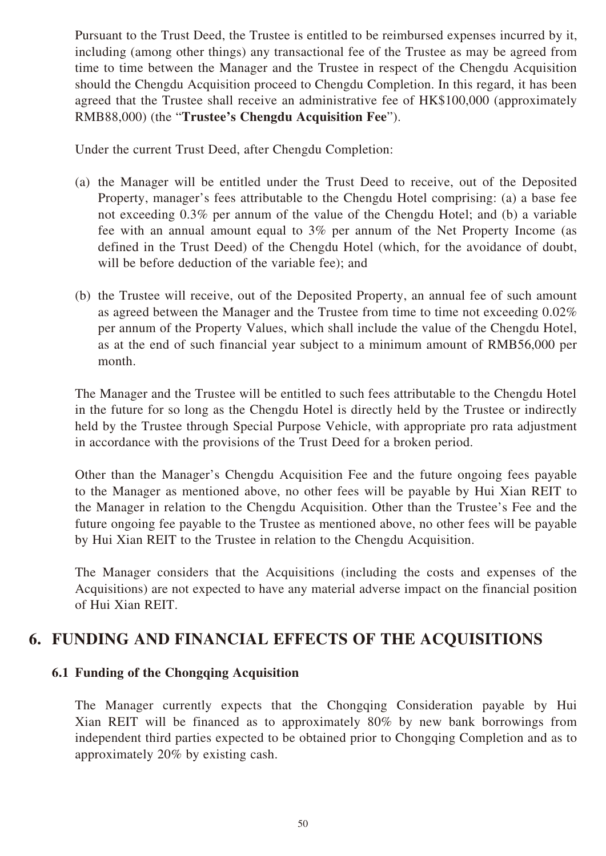Pursuant to the Trust Deed, the Trustee is entitled to be reimbursed expenses incurred by it, including (among other things) any transactional fee of the Trustee as may be agreed from time to time between the Manager and the Trustee in respect of the Chengdu Acquisition should the Chengdu Acquisition proceed to Chengdu Completion. In this regard, it has been agreed that the Trustee shall receive an administrative fee of HK\$100,000 (approximately RMB88,000) (the "**Trustee's Chengdu Acquisition Fee**").

Under the current Trust Deed, after Chengdu Completion:

- (a) the Manager will be entitled under the Trust Deed to receive, out of the Deposited Property, manager's fees attributable to the Chengdu Hotel comprising: (a) a base fee not exceeding 0.3% per annum of the value of the Chengdu Hotel; and (b) a variable fee with an annual amount equal to 3% per annum of the Net Property Income (as defined in the Trust Deed) of the Chengdu Hotel (which, for the avoidance of doubt, will be before deduction of the variable fee); and
- (b) the Trustee will receive, out of the Deposited Property, an annual fee of such amount as agreed between the Manager and the Trustee from time to time not exceeding 0.02% per annum of the Property Values, which shall include the value of the Chengdu Hotel, as at the end of such financial year subject to a minimum amount of RMB56,000 per month.

The Manager and the Trustee will be entitled to such fees attributable to the Chengdu Hotel in the future for so long as the Chengdu Hotel is directly held by the Trustee or indirectly held by the Trustee through Special Purpose Vehicle, with appropriate pro rata adjustment in accordance with the provisions of the Trust Deed for a broken period.

Other than the Manager's Chengdu Acquisition Fee and the future ongoing fees payable to the Manager as mentioned above, no other fees will be payable by Hui Xian REIT to the Manager in relation to the Chengdu Acquisition. Other than the Trustee's Fee and the future ongoing fee payable to the Trustee as mentioned above, no other fees will be payable by Hui Xian REIT to the Trustee in relation to the Chengdu Acquisition.

The Manager considers that the Acquisitions (including the costs and expenses of the Acquisitions) are not expected to have any material adverse impact on the financial position of Hui Xian REIT.

## **6. FUNDING AND FINANCIAL EFFECTS OF THE ACQUISITIONS**

### **6.1 Funding of the Chongqing Acquisition**

The Manager currently expects that the Chongqing Consideration payable by Hui Xian REIT will be financed as to approximately 80% by new bank borrowings from independent third parties expected to be obtained prior to Chongqing Completion and as to approximately 20% by existing cash.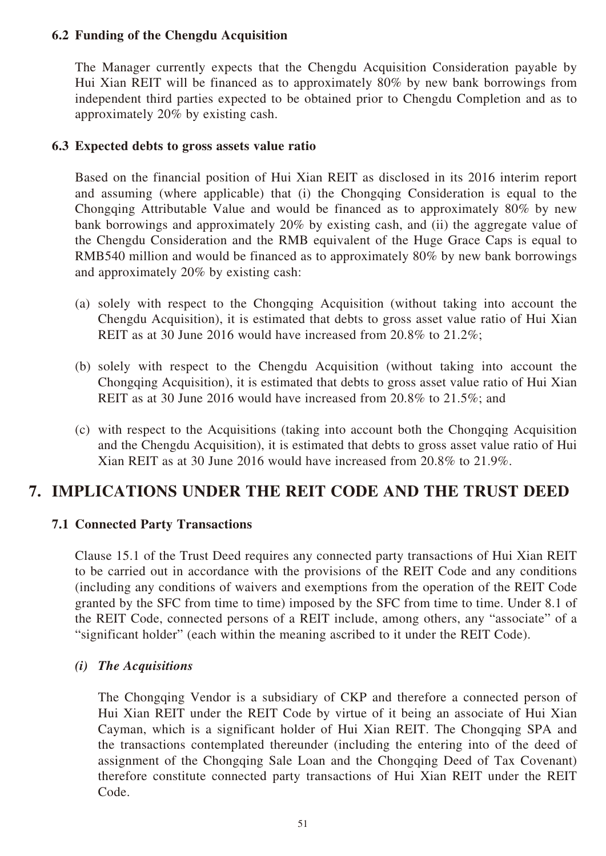### **6.2 Funding of the Chengdu Acquisition**

The Manager currently expects that the Chengdu Acquisition Consideration payable by Hui Xian REIT will be financed as to approximately 80% by new bank borrowings from independent third parties expected to be obtained prior to Chengdu Completion and as to approximately 20% by existing cash.

### **6.3 Expected debts to gross assets value ratio**

Based on the financial position of Hui Xian REIT as disclosed in its 2016 interim report and assuming (where applicable) that (i) the Chongqing Consideration is equal to the Chongqing Attributable Value and would be financed as to approximately 80% by new bank borrowings and approximately 20% by existing cash, and (ii) the aggregate value of the Chengdu Consideration and the RMB equivalent of the Huge Grace Caps is equal to RMB540 million and would be financed as to approximately 80% by new bank borrowings and approximately 20% by existing cash:

- (a) solely with respect to the Chongqing Acquisition (without taking into account the Chengdu Acquisition), it is estimated that debts to gross asset value ratio of Hui Xian REIT as at 30 June 2016 would have increased from 20.8% to 21.2%;
- (b) solely with respect to the Chengdu Acquisition (without taking into account the Chongqing Acquisition), it is estimated that debts to gross asset value ratio of Hui Xian REIT as at 30 June 2016 would have increased from 20.8% to 21.5%; and
- (c) with respect to the Acquisitions (taking into account both the Chongqing Acquisition and the Chengdu Acquisition), it is estimated that debts to gross asset value ratio of Hui Xian REIT as at 30 June 2016 would have increased from 20.8% to 21.9%.

## **7. IMPLICATIONS UNDER THE REIT CODE AND THE TRUST DEED**

### **7.1 Connected Party Transactions**

Clause 15.1 of the Trust Deed requires any connected party transactions of Hui Xian REIT to be carried out in accordance with the provisions of the REIT Code and any conditions (including any conditions of waivers and exemptions from the operation of the REIT Code granted by the SFC from time to time) imposed by the SFC from time to time. Under 8.1 of the REIT Code, connected persons of a REIT include, among others, any "associate" of a "significant holder" (each within the meaning ascribed to it under the REIT Code).

#### *(i) The Acquisitions*

The Chongqing Vendor is a subsidiary of CKP and therefore a connected person of Hui Xian REIT under the REIT Code by virtue of it being an associate of Hui Xian Cayman, which is a significant holder of Hui Xian REIT. The Chongqing SPA and the transactions contemplated thereunder (including the entering into of the deed of assignment of the Chongqing Sale Loan and the Chongqing Deed of Tax Covenant) therefore constitute connected party transactions of Hui Xian REIT under the REIT Code.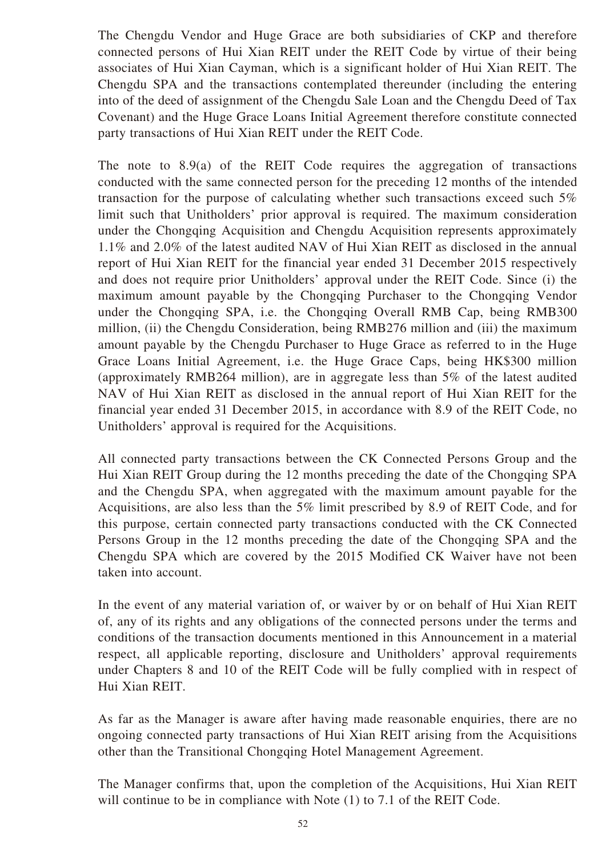The Chengdu Vendor and Huge Grace are both subsidiaries of CKP and therefore connected persons of Hui Xian REIT under the REIT Code by virtue of their being associates of Hui Xian Cayman, which is a significant holder of Hui Xian REIT. The Chengdu SPA and the transactions contemplated thereunder (including the entering into of the deed of assignment of the Chengdu Sale Loan and the Chengdu Deed of Tax Covenant) and the Huge Grace Loans Initial Agreement therefore constitute connected party transactions of Hui Xian REIT under the REIT Code.

The note to 8.9(a) of the REIT Code requires the aggregation of transactions conducted with the same connected person for the preceding 12 months of the intended transaction for the purpose of calculating whether such transactions exceed such 5% limit such that Unitholders' prior approval is required. The maximum consideration under the Chongqing Acquisition and Chengdu Acquisition represents approximately 1.1% and 2.0% of the latest audited NAV of Hui Xian REIT as disclosed in the annual report of Hui Xian REIT for the financial year ended 31 December 2015 respectively and does not require prior Unitholders' approval under the REIT Code. Since (i) the maximum amount payable by the Chongqing Purchaser to the Chongqing Vendor under the Chongqing SPA, i.e. the Chongqing Overall RMB Cap, being RMB300 million, (ii) the Chengdu Consideration, being RMB276 million and (iii) the maximum amount payable by the Chengdu Purchaser to Huge Grace as referred to in the Huge Grace Loans Initial Agreement, i.e. the Huge Grace Caps, being HK\$300 million (approximately RMB264 million), are in aggregate less than 5% of the latest audited NAV of Hui Xian REIT as disclosed in the annual report of Hui Xian REIT for the financial year ended 31 December 2015, in accordance with 8.9 of the REIT Code, no Unitholders' approval is required for the Acquisitions.

All connected party transactions between the CK Connected Persons Group and the Hui Xian REIT Group during the 12 months preceding the date of the Chongqing SPA and the Chengdu SPA, when aggregated with the maximum amount payable for the Acquisitions, are also less than the 5% limit prescribed by 8.9 of REIT Code, and for this purpose, certain connected party transactions conducted with the CK Connected Persons Group in the 12 months preceding the date of the Chongqing SPA and the Chengdu SPA which are covered by the 2015 Modified CK Waiver have not been taken into account.

In the event of any material variation of, or waiver by or on behalf of Hui Xian REIT of, any of its rights and any obligations of the connected persons under the terms and conditions of the transaction documents mentioned in this Announcement in a material respect, all applicable reporting, disclosure and Unitholders' approval requirements under Chapters 8 and 10 of the REIT Code will be fully complied with in respect of Hui Xian REIT.

As far as the Manager is aware after having made reasonable enquiries, there are no ongoing connected party transactions of Hui Xian REIT arising from the Acquisitions other than the Transitional Chongqing Hotel Management Agreement.

The Manager confirms that, upon the completion of the Acquisitions, Hui Xian REIT will continue to be in compliance with Note (1) to 7.1 of the REIT Code.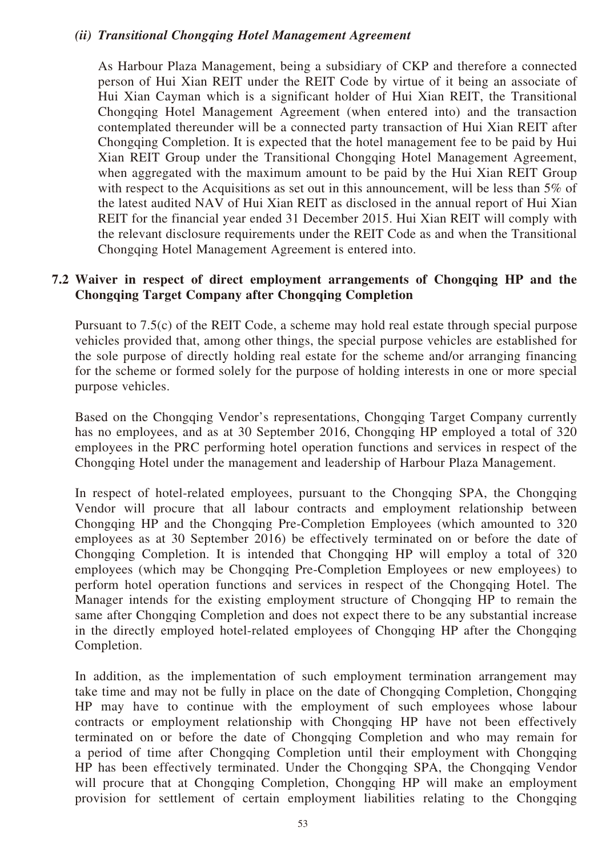### *(ii) Transitional Chongqing Hotel Management Agreement*

As Harbour Plaza Management, being a subsidiary of CKP and therefore a connected person of Hui Xian REIT under the REIT Code by virtue of it being an associate of Hui Xian Cayman which is a significant holder of Hui Xian REIT, the Transitional Chongqing Hotel Management Agreement (when entered into) and the transaction contemplated thereunder will be a connected party transaction of Hui Xian REIT after Chongqing Completion. It is expected that the hotel management fee to be paid by Hui Xian REIT Group under the Transitional Chongqing Hotel Management Agreement, when aggregated with the maximum amount to be paid by the Hui Xian REIT Group with respect to the Acquisitions as set out in this announcement, will be less than 5% of the latest audited NAV of Hui Xian REIT as disclosed in the annual report of Hui Xian REIT for the financial year ended 31 December 2015. Hui Xian REIT will comply with the relevant disclosure requirements under the REIT Code as and when the Transitional Chongqing Hotel Management Agreement is entered into.

### **7.2 Waiver in respect of direct employment arrangements of Chongqing HP and the Chongqing Target Company after Chongqing Completion**

Pursuant to 7.5(c) of the REIT Code, a scheme may hold real estate through special purpose vehicles provided that, among other things, the special purpose vehicles are established for the sole purpose of directly holding real estate for the scheme and/or arranging financing for the scheme or formed solely for the purpose of holding interests in one or more special purpose vehicles.

Based on the Chongqing Vendor's representations, Chongqing Target Company currently has no employees, and as at 30 September 2016, Chongqing HP employed a total of 320 employees in the PRC performing hotel operation functions and services in respect of the Chongqing Hotel under the management and leadership of Harbour Plaza Management.

In respect of hotel-related employees, pursuant to the Chongqing SPA, the Chongqing Vendor will procure that all labour contracts and employment relationship between Chongqing HP and the Chongqing Pre-Completion Employees (which amounted to 320 employees as at 30 September 2016) be effectively terminated on or before the date of Chongqing Completion. It is intended that Chongqing HP will employ a total of 320 employees (which may be Chongqing Pre-Completion Employees or new employees) to perform hotel operation functions and services in respect of the Chongqing Hotel. The Manager intends for the existing employment structure of Chongqing HP to remain the same after Chongqing Completion and does not expect there to be any substantial increase in the directly employed hotel-related employees of Chongqing HP after the Chongqing Completion.

In addition, as the implementation of such employment termination arrangement may take time and may not be fully in place on the date of Chongqing Completion, Chongqing HP may have to continue with the employment of such employees whose labour contracts or employment relationship with Chongqing HP have not been effectively terminated on or before the date of Chongqing Completion and who may remain for a period of time after Chongqing Completion until their employment with Chongqing HP has been effectively terminated. Under the Chongqing SPA, the Chongqing Vendor will procure that at Chongqing Completion, Chongqing HP will make an employment provision for settlement of certain employment liabilities relating to the Chongqing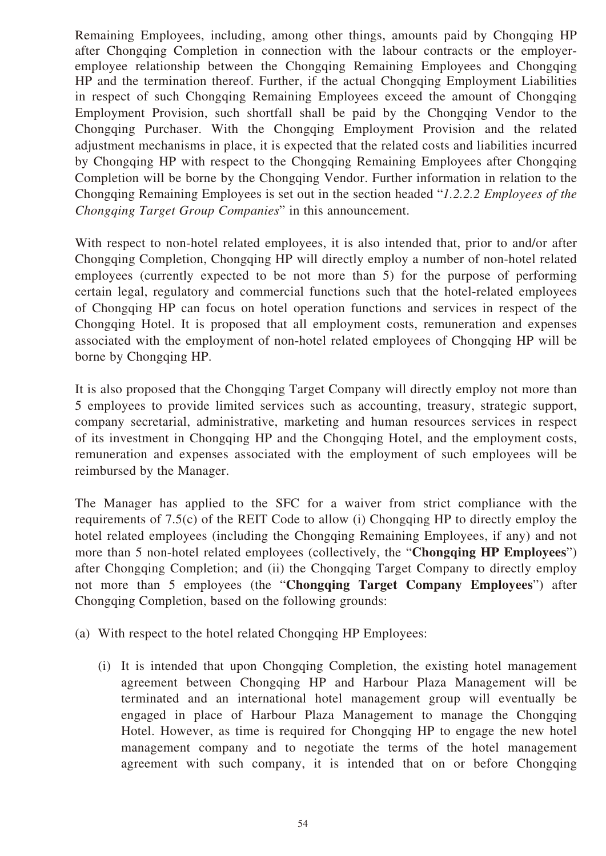Remaining Employees, including, among other things, amounts paid by Chongqing HP after Chongqing Completion in connection with the labour contracts or the employeremployee relationship between the Chongqing Remaining Employees and Chongqing HP and the termination thereof. Further, if the actual Chongqing Employment Liabilities in respect of such Chongqing Remaining Employees exceed the amount of Chongqing Employment Provision, such shortfall shall be paid by the Chongqing Vendor to the Chongqing Purchaser. With the Chongqing Employment Provision and the related adjustment mechanisms in place, it is expected that the related costs and liabilities incurred by Chongqing HP with respect to the Chongqing Remaining Employees after Chongqing Completion will be borne by the Chongqing Vendor. Further information in relation to the Chongqing Remaining Employees is set out in the section headed "*1.2.2.2 Employees of the Chongqing Target Group Companies*" in this announcement.

With respect to non-hotel related employees, it is also intended that, prior to and/or after Chongqing Completion, Chongqing HP will directly employ a number of non-hotel related employees (currently expected to be not more than 5) for the purpose of performing certain legal, regulatory and commercial functions such that the hotel-related employees of Chongqing HP can focus on hotel operation functions and services in respect of the Chongqing Hotel. It is proposed that all employment costs, remuneration and expenses associated with the employment of non-hotel related employees of Chongqing HP will be borne by Chongqing HP.

It is also proposed that the Chongqing Target Company will directly employ not more than 5 employees to provide limited services such as accounting, treasury, strategic support, company secretarial, administrative, marketing and human resources services in respect of its investment in Chongqing HP and the Chongqing Hotel, and the employment costs, remuneration and expenses associated with the employment of such employees will be reimbursed by the Manager.

The Manager has applied to the SFC for a waiver from strict compliance with the requirements of 7.5(c) of the REIT Code to allow (i) Chongqing HP to directly employ the hotel related employees (including the Chongqing Remaining Employees, if any) and not more than 5 non-hotel related employees (collectively, the "**Chongqing HP Employees**") after Chongqing Completion; and (ii) the Chongqing Target Company to directly employ not more than 5 employees (the "**Chongqing Target Company Employees**") after Chongqing Completion, based on the following grounds:

- (a) With respect to the hotel related Chongqing HP Employees:
	- (i) It is intended that upon Chongqing Completion, the existing hotel management agreement between Chongqing HP and Harbour Plaza Management will be terminated and an international hotel management group will eventually be engaged in place of Harbour Plaza Management to manage the Chongqing Hotel. However, as time is required for Chongqing HP to engage the new hotel management company and to negotiate the terms of the hotel management agreement with such company, it is intended that on or before Chongqing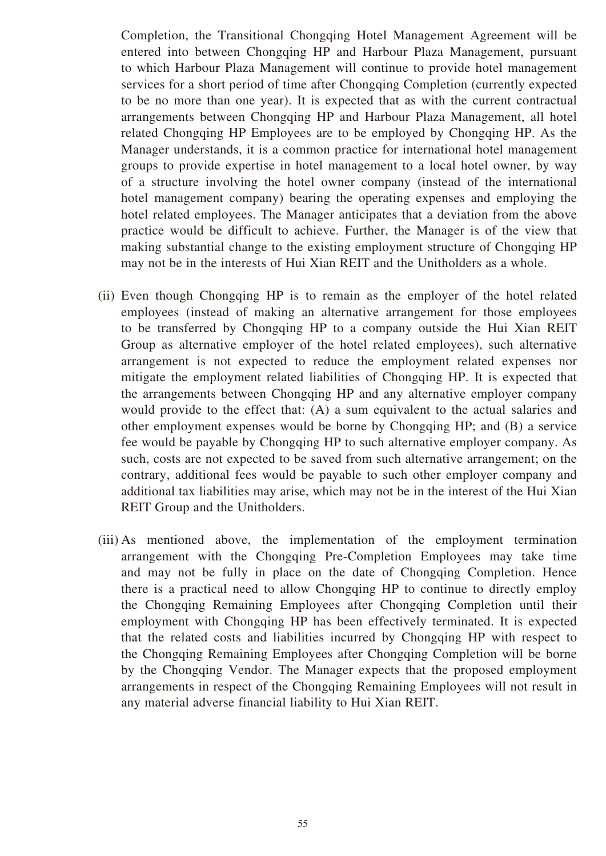Completion, the Transitional Chongqing Hotel Management Agreement will be entered into between Chongqing HP and Harbour Plaza Management, pursuant to which Harbour Plaza Management will continue to provide hotel management services for a short period of time after Chongqing Completion (currently expected to be no more than one year). It is expected that as with the current contractual arrangements between Chongqing HP and Harbour Plaza Management, all hotel related Chongqing HP Employees are to be employed by Chongqing HP. As the Manager understands, it is a common practice for international hotel management groups to provide expertise in hotel management to a local hotel owner, by way of a structure involving the hotel owner company (instead of the international hotel management company) bearing the operating expenses and employing the hotel related employees. The Manager anticipates that a deviation from the above practice would be difficult to achieve. Further, the Manager is of the view that making substantial change to the existing employment structure of Chongqing HP may not be in the interests of Hui Xian REIT and the Unitholders as a whole.

- (ii) Even though Chongqing HP is to remain as the employer of the hotel related employees (instead of making an alternative arrangement for those employees to be transferred by Chongqing HP to a company outside the Hui Xian REIT Group as alternative employer of the hotel related employees), such alternative arrangement is not expected to reduce the employment related expenses nor mitigate the employment related liabilities of Chongqing HP. It is expected that the arrangements between Chongqing HP and any alternative employer company would provide to the effect that: (A) a sum equivalent to the actual salaries and other employment expenses would be borne by Chongqing HP; and (B) a service fee would be payable by Chongqing HP to such alternative employer company. As such, costs are not expected to be saved from such alternative arrangement; on the contrary, additional fees would be payable to such other employer company and additional tax liabilities may arise, which may not be in the interest of the Hui Xian REIT Group and the Unitholders.
- (iii) As mentioned above, the implementation of the employment termination arrangement with the Chongqing Pre-Completion Employees may take time and may not be fully in place on the date of Chongqing Completion. Hence there is a practical need to allow Chongqing HP to continue to directly employ the Chongqing Remaining Employees after Chongqing Completion until their employment with Chongqing HP has been effectively terminated. It is expected that the related costs and liabilities incurred by Chongqing HP with respect to the Chongqing Remaining Employees after Chongqing Completion will be borne by the Chongqing Vendor. The Manager expects that the proposed employment arrangements in respect of the Chongqing Remaining Employees will not result in any material adverse financial liability to Hui Xian REIT.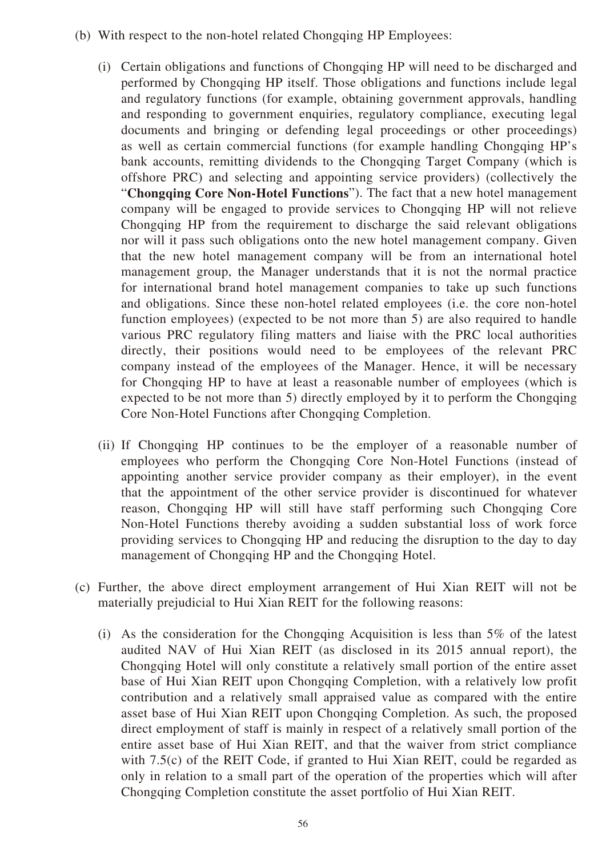- (b) With respect to the non-hotel related Chongqing HP Employees:
	- (i) Certain obligations and functions of Chongqing HP will need to be discharged and performed by Chongqing HP itself. Those obligations and functions include legal and regulatory functions (for example, obtaining government approvals, handling and responding to government enquiries, regulatory compliance, executing legal documents and bringing or defending legal proceedings or other proceedings) as well as certain commercial functions (for example handling Chongqing HP's bank accounts, remitting dividends to the Chongqing Target Company (which is offshore PRC) and selecting and appointing service providers) (collectively the "**Chongqing Core Non-Hotel Functions**"). The fact that a new hotel management company will be engaged to provide services to Chongqing HP will not relieve Chongqing HP from the requirement to discharge the said relevant obligations nor will it pass such obligations onto the new hotel management company. Given that the new hotel management company will be from an international hotel management group, the Manager understands that it is not the normal practice for international brand hotel management companies to take up such functions and obligations. Since these non-hotel related employees (i.e. the core non-hotel function employees) (expected to be not more than 5) are also required to handle various PRC regulatory filing matters and liaise with the PRC local authorities directly, their positions would need to be employees of the relevant PRC company instead of the employees of the Manager. Hence, it will be necessary for Chongqing HP to have at least a reasonable number of employees (which is expected to be not more than 5) directly employed by it to perform the Chongqing Core Non-Hotel Functions after Chongqing Completion.
	- (ii) If Chongqing HP continues to be the employer of a reasonable number of employees who perform the Chongqing Core Non-Hotel Functions (instead of appointing another service provider company as their employer), in the event that the appointment of the other service provider is discontinued for whatever reason, Chongqing HP will still have staff performing such Chongqing Core Non-Hotel Functions thereby avoiding a sudden substantial loss of work force providing services to Chongqing HP and reducing the disruption to the day to day management of Chongqing HP and the Chongqing Hotel.
- (c) Further, the above direct employment arrangement of Hui Xian REIT will not be materially prejudicial to Hui Xian REIT for the following reasons:
	- (i) As the consideration for the Chongqing Acquisition is less than 5% of the latest audited NAV of Hui Xian REIT (as disclosed in its 2015 annual report), the Chongqing Hotel will only constitute a relatively small portion of the entire asset base of Hui Xian REIT upon Chongqing Completion, with a relatively low profit contribution and a relatively small appraised value as compared with the entire asset base of Hui Xian REIT upon Chongqing Completion. As such, the proposed direct employment of staff is mainly in respect of a relatively small portion of the entire asset base of Hui Xian REIT, and that the waiver from strict compliance with 7.5(c) of the REIT Code, if granted to Hui Xian REIT, could be regarded as only in relation to a small part of the operation of the properties which will after Chongqing Completion constitute the asset portfolio of Hui Xian REIT.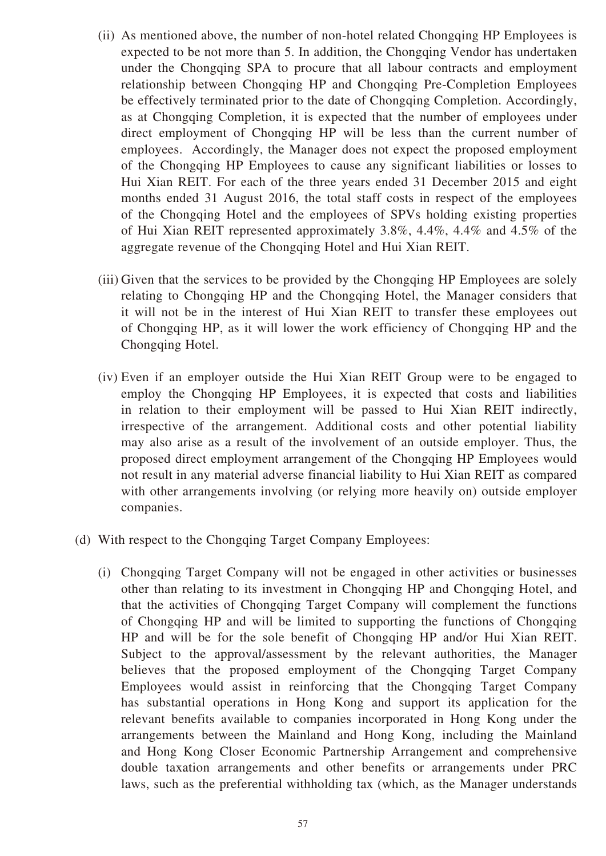- (ii) As mentioned above, the number of non-hotel related Chongqing HP Employees is expected to be not more than 5. In addition, the Chongqing Vendor has undertaken under the Chongqing SPA to procure that all labour contracts and employment relationship between Chongqing HP and Chongqing Pre-Completion Employees be effectively terminated prior to the date of Chongqing Completion. Accordingly, as at Chongqing Completion, it is expected that the number of employees under direct employment of Chongqing HP will be less than the current number of employees. Accordingly, the Manager does not expect the proposed employment of the Chongqing HP Employees to cause any significant liabilities or losses to Hui Xian REIT. For each of the three years ended 31 December 2015 and eight months ended 31 August 2016, the total staff costs in respect of the employees of the Chongqing Hotel and the employees of SPVs holding existing properties of Hui Xian REIT represented approximately 3.8%, 4.4%, 4.4% and 4.5% of the aggregate revenue of the Chongqing Hotel and Hui Xian REIT.
- (iii) Given that the services to be provided by the Chongqing HP Employees are solely relating to Chongqing HP and the Chongqing Hotel, the Manager considers that it will not be in the interest of Hui Xian REIT to transfer these employees out of Chongqing HP, as it will lower the work efficiency of Chongqing HP and the Chongqing Hotel.
- (iv) Even if an employer outside the Hui Xian REIT Group were to be engaged to employ the Chongqing HP Employees, it is expected that costs and liabilities in relation to their employment will be passed to Hui Xian REIT indirectly, irrespective of the arrangement. Additional costs and other potential liability may also arise as a result of the involvement of an outside employer. Thus, the proposed direct employment arrangement of the Chongqing HP Employees would not result in any material adverse financial liability to Hui Xian REIT as compared with other arrangements involving (or relying more heavily on) outside employer companies.
- (d) With respect to the Chongqing Target Company Employees:
	- (i) Chongqing Target Company will not be engaged in other activities or businesses other than relating to its investment in Chongqing HP and Chongqing Hotel, and that the activities of Chongqing Target Company will complement the functions of Chongqing HP and will be limited to supporting the functions of Chongqing HP and will be for the sole benefit of Chongqing HP and/or Hui Xian REIT. Subject to the approval/assessment by the relevant authorities, the Manager believes that the proposed employment of the Chongqing Target Company Employees would assist in reinforcing that the Chongqing Target Company has substantial operations in Hong Kong and support its application for the relevant benefits available to companies incorporated in Hong Kong under the arrangements between the Mainland and Hong Kong, including the Mainland and Hong Kong Closer Economic Partnership Arrangement and comprehensive double taxation arrangements and other benefits or arrangements under PRC laws, such as the preferential withholding tax (which, as the Manager understands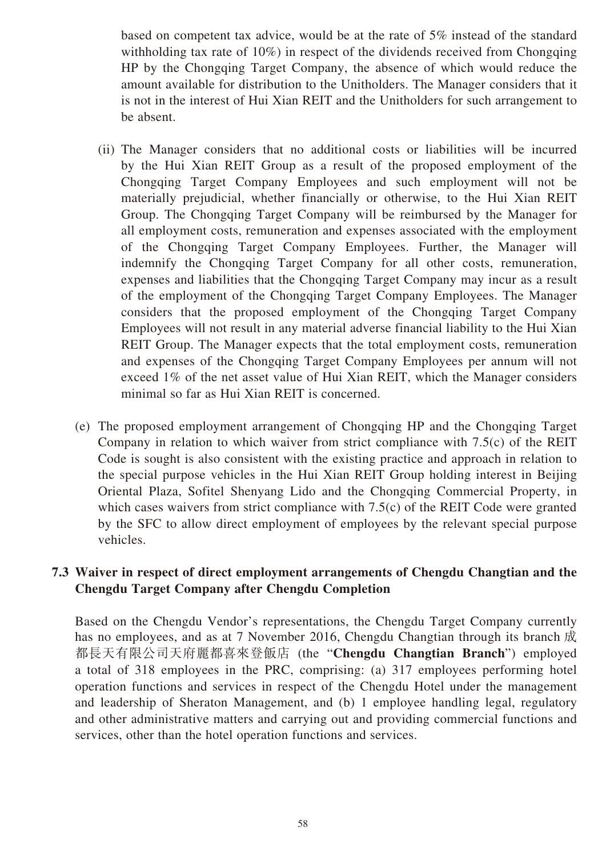based on competent tax advice, would be at the rate of 5% instead of the standard withholding tax rate of 10%) in respect of the dividends received from Chongqing HP by the Chongqing Target Company, the absence of which would reduce the amount available for distribution to the Unitholders. The Manager considers that it is not in the interest of Hui Xian REIT and the Unitholders for such arrangement to be absent.

- (ii) The Manager considers that no additional costs or liabilities will be incurred by the Hui Xian REIT Group as a result of the proposed employment of the Chongqing Target Company Employees and such employment will not be materially prejudicial, whether financially or otherwise, to the Hui Xian REIT Group. The Chongqing Target Company will be reimbursed by the Manager for all employment costs, remuneration and expenses associated with the employment of the Chongqing Target Company Employees. Further, the Manager will indemnify the Chongqing Target Company for all other costs, remuneration, expenses and liabilities that the Chongqing Target Company may incur as a result of the employment of the Chongqing Target Company Employees. The Manager considers that the proposed employment of the Chongqing Target Company Employees will not result in any material adverse financial liability to the Hui Xian REIT Group. The Manager expects that the total employment costs, remuneration and expenses of the Chongqing Target Company Employees per annum will not exceed 1% of the net asset value of Hui Xian REIT, which the Manager considers minimal so far as Hui Xian REIT is concerned.
- (e) The proposed employment arrangement of Chongqing HP and the Chongqing Target Company in relation to which waiver from strict compliance with 7.5(c) of the REIT Code is sought is also consistent with the existing practice and approach in relation to the special purpose vehicles in the Hui Xian REIT Group holding interest in Beijing Oriental Plaza, Sofitel Shenyang Lido and the Chongqing Commercial Property, in which cases waivers from strict compliance with 7.5(c) of the REIT Code were granted by the SFC to allow direct employment of employees by the relevant special purpose vehicles.

### **7.3 Waiver in respect of direct employment arrangements of Chengdu Changtian and the Chengdu Target Company after Chengdu Completion**

Based on the Chengdu Vendor's representations, the Chengdu Target Company currently has no employees, and as at 7 November 2016, Chengdu Changtian through its branch 成 都長天有限公司天府麗都喜來登飯店 (the "**Chengdu Changtian Branch**") employed a total of 318 employees in the PRC, comprising: (a) 317 employees performing hotel operation functions and services in respect of the Chengdu Hotel under the management and leadership of Sheraton Management, and (b) 1 employee handling legal, regulatory and other administrative matters and carrying out and providing commercial functions and services, other than the hotel operation functions and services.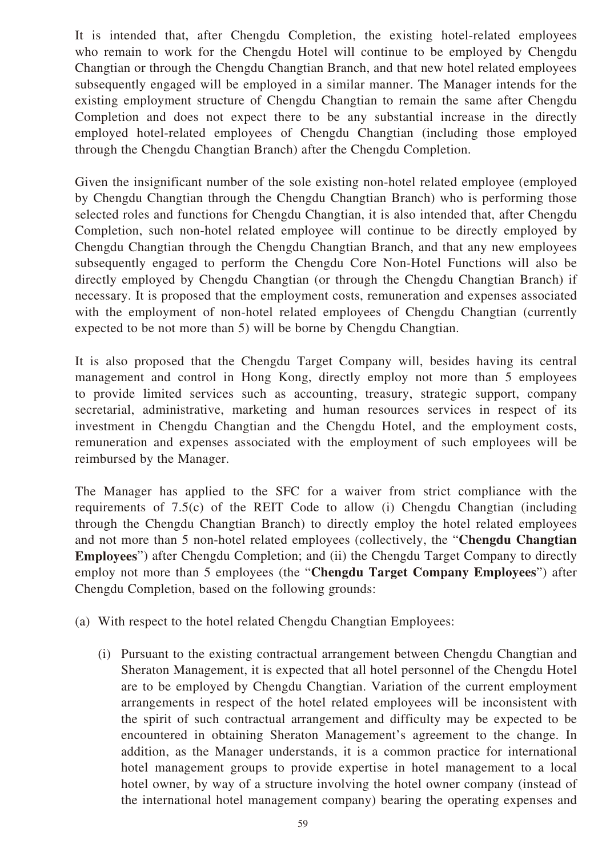It is intended that, after Chengdu Completion, the existing hotel-related employees who remain to work for the Chengdu Hotel will continue to be employed by Chengdu Changtian or through the Chengdu Changtian Branch, and that new hotel related employees subsequently engaged will be employed in a similar manner. The Manager intends for the existing employment structure of Chengdu Changtian to remain the same after Chengdu Completion and does not expect there to be any substantial increase in the directly employed hotel-related employees of Chengdu Changtian (including those employed through the Chengdu Changtian Branch) after the Chengdu Completion.

Given the insignificant number of the sole existing non-hotel related employee (employed by Chengdu Changtian through the Chengdu Changtian Branch) who is performing those selected roles and functions for Chengdu Changtian, it is also intended that, after Chengdu Completion, such non-hotel related employee will continue to be directly employed by Chengdu Changtian through the Chengdu Changtian Branch, and that any new employees subsequently engaged to perform the Chengdu Core Non-Hotel Functions will also be directly employed by Chengdu Changtian (or through the Chengdu Changtian Branch) if necessary. It is proposed that the employment costs, remuneration and expenses associated with the employment of non-hotel related employees of Chengdu Changtian (currently expected to be not more than 5) will be borne by Chengdu Changtian.

It is also proposed that the Chengdu Target Company will, besides having its central management and control in Hong Kong, directly employ not more than 5 employees to provide limited services such as accounting, treasury, strategic support, company secretarial, administrative, marketing and human resources services in respect of its investment in Chengdu Changtian and the Chengdu Hotel, and the employment costs, remuneration and expenses associated with the employment of such employees will be reimbursed by the Manager.

The Manager has applied to the SFC for a waiver from strict compliance with the requirements of 7.5(c) of the REIT Code to allow (i) Chengdu Changtian (including through the Chengdu Changtian Branch) to directly employ the hotel related employees and not more than 5 non-hotel related employees (collectively, the "**Chengdu Changtian Employees**") after Chengdu Completion; and (ii) the Chengdu Target Company to directly employ not more than 5 employees (the "**Chengdu Target Company Employees**") after Chengdu Completion, based on the following grounds:

- (a) With respect to the hotel related Chengdu Changtian Employees:
	- (i) Pursuant to the existing contractual arrangement between Chengdu Changtian and Sheraton Management, it is expected that all hotel personnel of the Chengdu Hotel are to be employed by Chengdu Changtian. Variation of the current employment arrangements in respect of the hotel related employees will be inconsistent with the spirit of such contractual arrangement and difficulty may be expected to be encountered in obtaining Sheraton Management's agreement to the change. In addition, as the Manager understands, it is a common practice for international hotel management groups to provide expertise in hotel management to a local hotel owner, by way of a structure involving the hotel owner company (instead of the international hotel management company) bearing the operating expenses and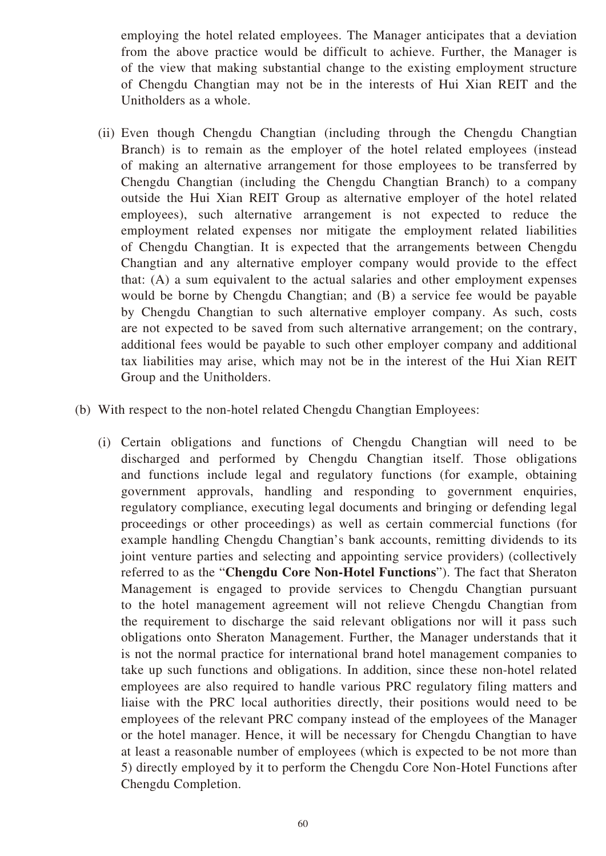employing the hotel related employees. The Manager anticipates that a deviation from the above practice would be difficult to achieve. Further, the Manager is of the view that making substantial change to the existing employment structure of Chengdu Changtian may not be in the interests of Hui Xian REIT and the Unitholders as a whole.

- (ii) Even though Chengdu Changtian (including through the Chengdu Changtian Branch) is to remain as the employer of the hotel related employees (instead of making an alternative arrangement for those employees to be transferred by Chengdu Changtian (including the Chengdu Changtian Branch) to a company outside the Hui Xian REIT Group as alternative employer of the hotel related employees), such alternative arrangement is not expected to reduce the employment related expenses nor mitigate the employment related liabilities of Chengdu Changtian. It is expected that the arrangements between Chengdu Changtian and any alternative employer company would provide to the effect that: (A) a sum equivalent to the actual salaries and other employment expenses would be borne by Chengdu Changtian; and (B) a service fee would be payable by Chengdu Changtian to such alternative employer company. As such, costs are not expected to be saved from such alternative arrangement; on the contrary, additional fees would be payable to such other employer company and additional tax liabilities may arise, which may not be in the interest of the Hui Xian REIT Group and the Unitholders.
- (b) With respect to the non-hotel related Chengdu Changtian Employees:
	- (i) Certain obligations and functions of Chengdu Changtian will need to be discharged and performed by Chengdu Changtian itself. Those obligations and functions include legal and regulatory functions (for example, obtaining government approvals, handling and responding to government enquiries, regulatory compliance, executing legal documents and bringing or defending legal proceedings or other proceedings) as well as certain commercial functions (for example handling Chengdu Changtian's bank accounts, remitting dividends to its joint venture parties and selecting and appointing service providers) (collectively referred to as the "**Chengdu Core Non-Hotel Functions**"). The fact that Sheraton Management is engaged to provide services to Chengdu Changtian pursuant to the hotel management agreement will not relieve Chengdu Changtian from the requirement to discharge the said relevant obligations nor will it pass such obligations onto Sheraton Management. Further, the Manager understands that it is not the normal practice for international brand hotel management companies to take up such functions and obligations. In addition, since these non-hotel related employees are also required to handle various PRC regulatory filing matters and liaise with the PRC local authorities directly, their positions would need to be employees of the relevant PRC company instead of the employees of the Manager or the hotel manager. Hence, it will be necessary for Chengdu Changtian to have at least a reasonable number of employees (which is expected to be not more than 5) directly employed by it to perform the Chengdu Core Non-Hotel Functions after Chengdu Completion.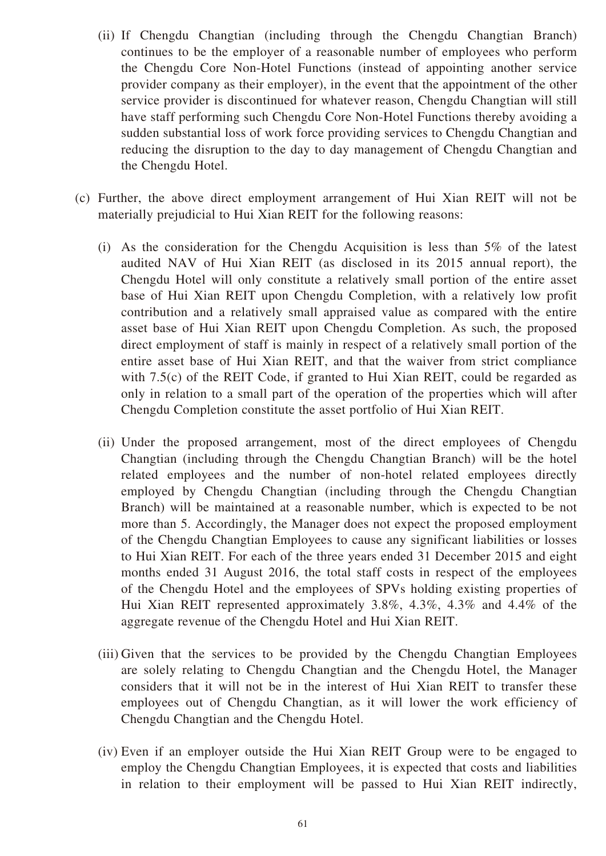- (ii) If Chengdu Changtian (including through the Chengdu Changtian Branch) continues to be the employer of a reasonable number of employees who perform the Chengdu Core Non-Hotel Functions (instead of appointing another service provider company as their employer), in the event that the appointment of the other service provider is discontinued for whatever reason, Chengdu Changtian will still have staff performing such Chengdu Core Non-Hotel Functions thereby avoiding a sudden substantial loss of work force providing services to Chengdu Changtian and reducing the disruption to the day to day management of Chengdu Changtian and the Chengdu Hotel.
- (c) Further, the above direct employment arrangement of Hui Xian REIT will not be materially prejudicial to Hui Xian REIT for the following reasons:
	- (i) As the consideration for the Chengdu Acquisition is less than 5% of the latest audited NAV of Hui Xian REIT (as disclosed in its 2015 annual report), the Chengdu Hotel will only constitute a relatively small portion of the entire asset base of Hui Xian REIT upon Chengdu Completion, with a relatively low profit contribution and a relatively small appraised value as compared with the entire asset base of Hui Xian REIT upon Chengdu Completion. As such, the proposed direct employment of staff is mainly in respect of a relatively small portion of the entire asset base of Hui Xian REIT, and that the waiver from strict compliance with 7.5(c) of the REIT Code, if granted to Hui Xian REIT, could be regarded as only in relation to a small part of the operation of the properties which will after Chengdu Completion constitute the asset portfolio of Hui Xian REIT.
	- (ii) Under the proposed arrangement, most of the direct employees of Chengdu Changtian (including through the Chengdu Changtian Branch) will be the hotel related employees and the number of non-hotel related employees directly employed by Chengdu Changtian (including through the Chengdu Changtian Branch) will be maintained at a reasonable number, which is expected to be not more than 5. Accordingly, the Manager does not expect the proposed employment of the Chengdu Changtian Employees to cause any significant liabilities or losses to Hui Xian REIT. For each of the three years ended 31 December 2015 and eight months ended 31 August 2016, the total staff costs in respect of the employees of the Chengdu Hotel and the employees of SPVs holding existing properties of Hui Xian REIT represented approximately 3.8%, 4.3%, 4.3% and 4.4% of the aggregate revenue of the Chengdu Hotel and Hui Xian REIT.
	- (iii) Given that the services to be provided by the Chengdu Changtian Employees are solely relating to Chengdu Changtian and the Chengdu Hotel, the Manager considers that it will not be in the interest of Hui Xian REIT to transfer these employees out of Chengdu Changtian, as it will lower the work efficiency of Chengdu Changtian and the Chengdu Hotel.
	- (iv) Even if an employer outside the Hui Xian REIT Group were to be engaged to employ the Chengdu Changtian Employees, it is expected that costs and liabilities in relation to their employment will be passed to Hui Xian REIT indirectly,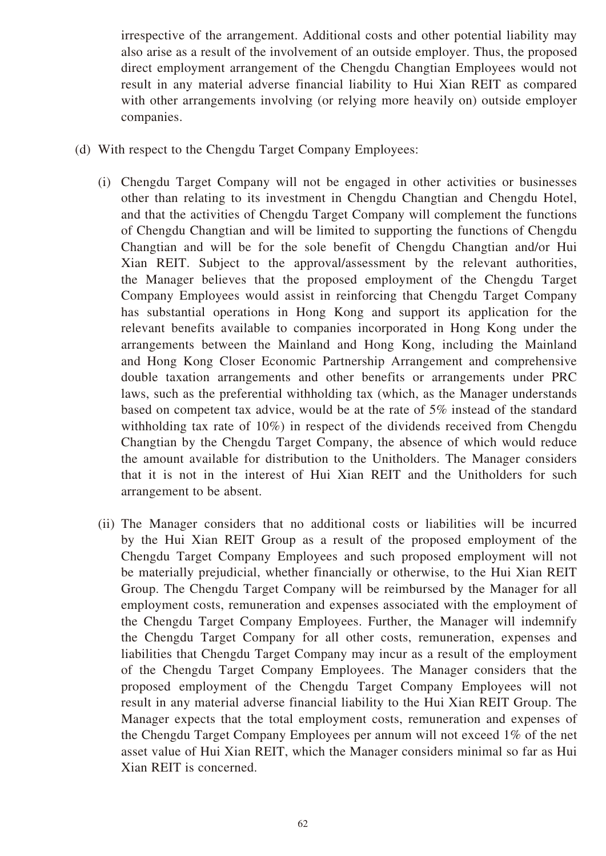irrespective of the arrangement. Additional costs and other potential liability may also arise as a result of the involvement of an outside employer. Thus, the proposed direct employment arrangement of the Chengdu Changtian Employees would not result in any material adverse financial liability to Hui Xian REIT as compared with other arrangements involving (or relying more heavily on) outside employer companies.

- (d) With respect to the Chengdu Target Company Employees:
	- (i) Chengdu Target Company will not be engaged in other activities or businesses other than relating to its investment in Chengdu Changtian and Chengdu Hotel, and that the activities of Chengdu Target Company will complement the functions of Chengdu Changtian and will be limited to supporting the functions of Chengdu Changtian and will be for the sole benefit of Chengdu Changtian and/or Hui Xian REIT. Subject to the approval/assessment by the relevant authorities, the Manager believes that the proposed employment of the Chengdu Target Company Employees would assist in reinforcing that Chengdu Target Company has substantial operations in Hong Kong and support its application for the relevant benefits available to companies incorporated in Hong Kong under the arrangements between the Mainland and Hong Kong, including the Mainland and Hong Kong Closer Economic Partnership Arrangement and comprehensive double taxation arrangements and other benefits or arrangements under PRC laws, such as the preferential withholding tax (which, as the Manager understands based on competent tax advice, would be at the rate of 5% instead of the standard withholding tax rate of 10%) in respect of the dividends received from Chengdu Changtian by the Chengdu Target Company, the absence of which would reduce the amount available for distribution to the Unitholders. The Manager considers that it is not in the interest of Hui Xian REIT and the Unitholders for such arrangement to be absent.
	- (ii) The Manager considers that no additional costs or liabilities will be incurred by the Hui Xian REIT Group as a result of the proposed employment of the Chengdu Target Company Employees and such proposed employment will not be materially prejudicial, whether financially or otherwise, to the Hui Xian REIT Group. The Chengdu Target Company will be reimbursed by the Manager for all employment costs, remuneration and expenses associated with the employment of the Chengdu Target Company Employees. Further, the Manager will indemnify the Chengdu Target Company for all other costs, remuneration, expenses and liabilities that Chengdu Target Company may incur as a result of the employment of the Chengdu Target Company Employees. The Manager considers that the proposed employment of the Chengdu Target Company Employees will not result in any material adverse financial liability to the Hui Xian REIT Group. The Manager expects that the total employment costs, remuneration and expenses of the Chengdu Target Company Employees per annum will not exceed 1% of the net asset value of Hui Xian REIT, which the Manager considers minimal so far as Hui Xian REIT is concerned.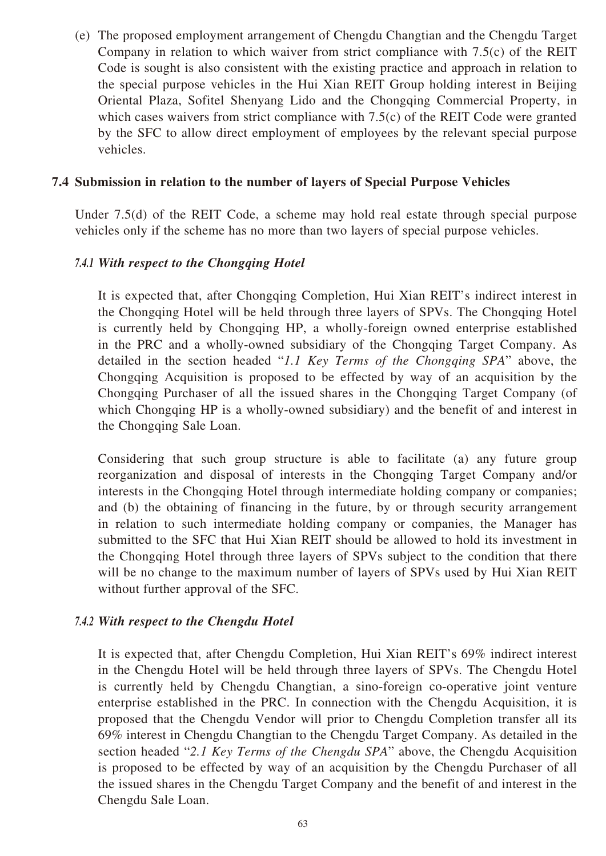(e) The proposed employment arrangement of Chengdu Changtian and the Chengdu Target Company in relation to which waiver from strict compliance with 7.5(c) of the REIT Code is sought is also consistent with the existing practice and approach in relation to the special purpose vehicles in the Hui Xian REIT Group holding interest in Beijing Oriental Plaza, Sofitel Shenyang Lido and the Chongqing Commercial Property, in which cases waivers from strict compliance with 7.5(c) of the REIT Code were granted by the SFC to allow direct employment of employees by the relevant special purpose vehicles.

### **7.4 Submission in relation to the number of layers of Special Purpose Vehicles**

Under 7.5(d) of the REIT Code, a scheme may hold real estate through special purpose vehicles only if the scheme has no more than two layers of special purpose vehicles.

### *7.4.1 With respect to the Chongqing Hotel*

It is expected that, after Chongqing Completion, Hui Xian REIT's indirect interest in the Chongqing Hotel will be held through three layers of SPVs. The Chongqing Hotel is currently held by Chongqing HP, a wholly-foreign owned enterprise established in the PRC and a wholly-owned subsidiary of the Chongqing Target Company. As detailed in the section headed "*1.1 Key Terms of the Chongqing SPA*" above, the Chongqing Acquisition is proposed to be effected by way of an acquisition by the Chongqing Purchaser of all the issued shares in the Chongqing Target Company (of which Chongqing HP is a wholly-owned subsidiary) and the benefit of and interest in the Chongqing Sale Loan.

Considering that such group structure is able to facilitate (a) any future group reorganization and disposal of interests in the Chongqing Target Company and/or interests in the Chongqing Hotel through intermediate holding company or companies; and (b) the obtaining of financing in the future, by or through security arrangement in relation to such intermediate holding company or companies, the Manager has submitted to the SFC that Hui Xian REIT should be allowed to hold its investment in the Chongqing Hotel through three layers of SPVs subject to the condition that there will be no change to the maximum number of layers of SPVs used by Hui Xian REIT without further approval of the SFC.

#### *7.4.2 With respect to the Chengdu Hotel*

It is expected that, after Chengdu Completion, Hui Xian REIT's 69% indirect interest in the Chengdu Hotel will be held through three layers of SPVs. The Chengdu Hotel is currently held by Chengdu Changtian, a sino-foreign co-operative joint venture enterprise established in the PRC. In connection with the Chengdu Acquisition, it is proposed that the Chengdu Vendor will prior to Chengdu Completion transfer all its 69% interest in Chengdu Changtian to the Chengdu Target Company. As detailed in the section headed "*2.1 Key Terms of the Chengdu SPA*" above, the Chengdu Acquisition is proposed to be effected by way of an acquisition by the Chengdu Purchaser of all the issued shares in the Chengdu Target Company and the benefit of and interest in the Chengdu Sale Loan.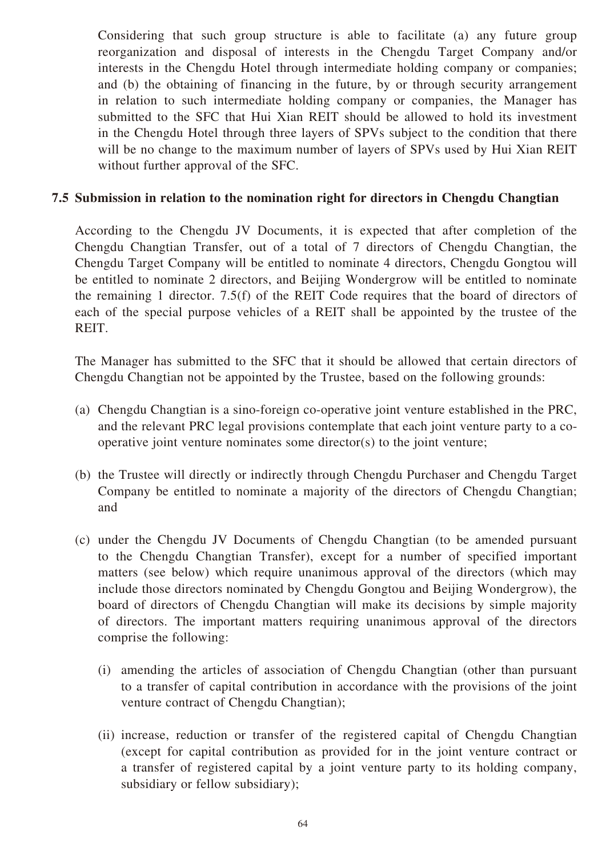Considering that such group structure is able to facilitate (a) any future group reorganization and disposal of interests in the Chengdu Target Company and/or interests in the Chengdu Hotel through intermediate holding company or companies; and (b) the obtaining of financing in the future, by or through security arrangement in relation to such intermediate holding company or companies, the Manager has submitted to the SFC that Hui Xian REIT should be allowed to hold its investment in the Chengdu Hotel through three layers of SPVs subject to the condition that there will be no change to the maximum number of layers of SPVs used by Hui Xian REIT without further approval of the SFC.

### **7.5 Submission in relation to the nomination right for directors in Chengdu Changtian**

According to the Chengdu JV Documents, it is expected that after completion of the Chengdu Changtian Transfer, out of a total of 7 directors of Chengdu Changtian, the Chengdu Target Company will be entitled to nominate 4 directors, Chengdu Gongtou will be entitled to nominate 2 directors, and Beijing Wondergrow will be entitled to nominate the remaining 1 director. 7.5(f) of the REIT Code requires that the board of directors of each of the special purpose vehicles of a REIT shall be appointed by the trustee of the REIT.

The Manager has submitted to the SFC that it should be allowed that certain directors of Chengdu Changtian not be appointed by the Trustee, based on the following grounds:

- (a) Chengdu Changtian is a sino-foreign co-operative joint venture established in the PRC, and the relevant PRC legal provisions contemplate that each joint venture party to a cooperative joint venture nominates some director(s) to the joint venture;
- (b) the Trustee will directly or indirectly through Chengdu Purchaser and Chengdu Target Company be entitled to nominate a majority of the directors of Chengdu Changtian; and
- (c) under the Chengdu JV Documents of Chengdu Changtian (to be amended pursuant to the Chengdu Changtian Transfer), except for a number of specified important matters (see below) which require unanimous approval of the directors (which may include those directors nominated by Chengdu Gongtou and Beijing Wondergrow), the board of directors of Chengdu Changtian will make its decisions by simple majority of directors. The important matters requiring unanimous approval of the directors comprise the following:
	- (i) amending the articles of association of Chengdu Changtian (other than pursuant to a transfer of capital contribution in accordance with the provisions of the joint venture contract of Chengdu Changtian);
	- (ii) increase, reduction or transfer of the registered capital of Chengdu Changtian (except for capital contribution as provided for in the joint venture contract or a transfer of registered capital by a joint venture party to its holding company, subsidiary or fellow subsidiary);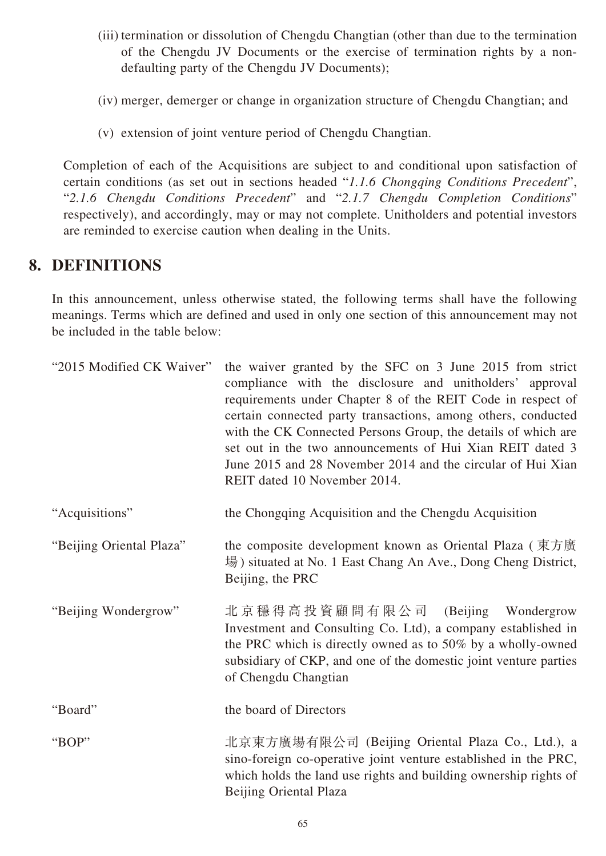- (iii) termination or dissolution of Chengdu Changtian (other than due to the termination of the Chengdu JV Documents or the exercise of termination rights by a nondefaulting party of the Chengdu JV Documents);
- (iv) merger, demerger or change in organization structure of Chengdu Changtian; and
- (v) extension of joint venture period of Chengdu Changtian.

Completion of each of the Acquisitions are subject to and conditional upon satisfaction of certain conditions (as set out in sections headed "*1.1.6 Chongqing Conditions Precedent*", "*2.1.6 Chengdu Conditions Precedent*" and "*2.1.7 Chengdu Completion Conditions*" respectively), and accordingly, may or may not complete. Unitholders and potential investors are reminded to exercise caution when dealing in the Units.

## **8. DEFINITIONS**

In this announcement, unless otherwise stated, the following terms shall have the following meanings. Terms which are defined and used in only one section of this announcement may not be included in the table below:

| "2015 Modified CK Waiver" | the waiver granted by the SFC on 3 June 2015 from strict<br>compliance with the disclosure and unitholders' approval<br>requirements under Chapter 8 of the REIT Code in respect of<br>certain connected party transactions, among others, conducted<br>with the CK Connected Persons Group, the details of which are<br>set out in the two announcements of Hui Xian REIT dated 3<br>June 2015 and 28 November 2014 and the circular of Hui Xian<br>REIT dated 10 November 2014. |
|---------------------------|-----------------------------------------------------------------------------------------------------------------------------------------------------------------------------------------------------------------------------------------------------------------------------------------------------------------------------------------------------------------------------------------------------------------------------------------------------------------------------------|
| "Acquisitions"            | the Chongqing Acquisition and the Chengdu Acquisition                                                                                                                                                                                                                                                                                                                                                                                                                             |
| "Beijing Oriental Plaza"  | the composite development known as Oriental Plaza (東方廣<br>場) situated at No. 1 East Chang An Ave., Dong Cheng District,<br>Beijing, the PRC                                                                                                                                                                                                                                                                                                                                       |
| "Beijing Wondergrow"      | 北京穩得高投資顧問有限公司 (Beijing Wondergrow<br>Investment and Consulting Co. Ltd), a company established in<br>the PRC which is directly owned as to 50% by a wholly-owned<br>subsidiary of CKP, and one of the domestic joint venture parties<br>of Chengdu Changtian                                                                                                                                                                                                                      |
| "Board"                   | the board of Directors                                                                                                                                                                                                                                                                                                                                                                                                                                                            |
| "BOP"                     | 北京東方廣場有限公司 (Beijing Oriental Plaza Co., Ltd.), a<br>sino-foreign co-operative joint venture established in the PRC,<br>which holds the land use rights and building ownership rights of<br>Beijing Oriental Plaza                                                                                                                                                                                                                                                                 |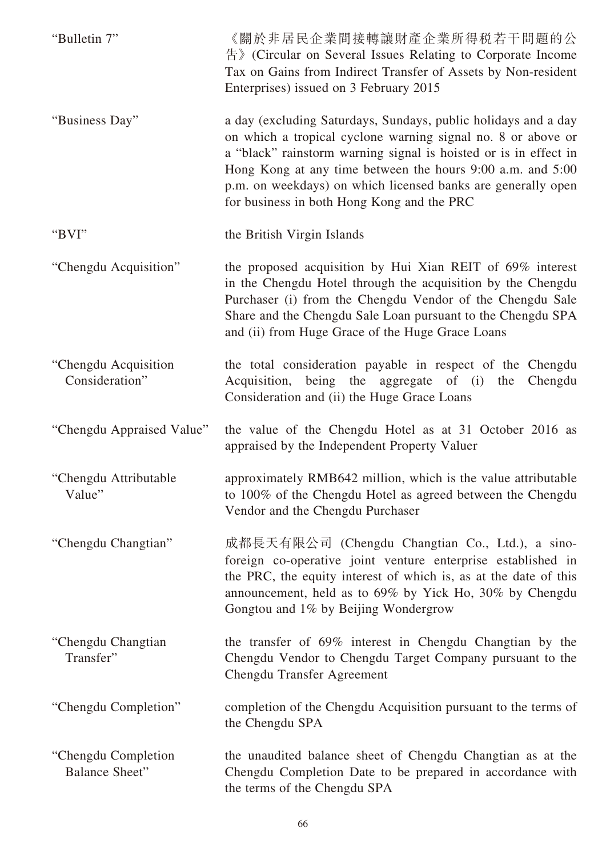| "Bulletin 7"                                 | 《關於非居民企業間接轉讓財產企業所得税若干問題的公<br>告》(Circular on Several Issues Relating to Corporate Income<br>Tax on Gains from Indirect Transfer of Assets by Non-resident<br>Enterprises) issued on 3 February 2015                                                                                                                                                                             |
|----------------------------------------------|--------------------------------------------------------------------------------------------------------------------------------------------------------------------------------------------------------------------------------------------------------------------------------------------------------------------------------------------------------------------------------|
| "Business Day"                               | a day (excluding Saturdays, Sundays, public holidays and a day<br>on which a tropical cyclone warning signal no. 8 or above or<br>a "black" rainstorm warning signal is hoisted or is in effect in<br>Hong Kong at any time between the hours 9:00 a.m. and 5:00<br>p.m. on weekdays) on which licensed banks are generally open<br>for business in both Hong Kong and the PRC |
| "BVI"                                        | the British Virgin Islands                                                                                                                                                                                                                                                                                                                                                     |
| "Chengdu Acquisition"                        | the proposed acquisition by Hui Xian REIT of 69% interest<br>in the Chengdu Hotel through the acquisition by the Chengdu<br>Purchaser (i) from the Chengdu Vendor of the Chengdu Sale<br>Share and the Chengdu Sale Loan pursuant to the Chengdu SPA<br>and (ii) from Huge Grace of the Huge Grace Loans                                                                       |
| "Chengdu Acquisition<br>Consideration"       | the total consideration payable in respect of the Chengdu<br>Acquisition, being the aggregate of (i)<br>the<br>Chengdu<br>Consideration and (ii) the Huge Grace Loans                                                                                                                                                                                                          |
| "Chengdu Appraised Value"                    | the value of the Chengdu Hotel as at 31 October 2016 as<br>appraised by the Independent Property Valuer                                                                                                                                                                                                                                                                        |
| "Chengdu Attributable"<br>Value"             | approximately RMB642 million, which is the value attributable<br>to 100% of the Chengdu Hotel as agreed between the Chengdu<br>Vendor and the Chengdu Purchaser                                                                                                                                                                                                                |
| "Chengdu Changtian"                          | 成都長天有限公司 (Chengdu Changtian Co., Ltd.), a sino-<br>foreign co-operative joint venture enterprise established in<br>the PRC, the equity interest of which is, as at the date of this<br>announcement, held as to 69% by Yick Ho, 30% by Chengdu<br>Gongtou and 1% by Beijing Wondergrow                                                                                         |
| "Chengdu Changtian<br>Transfer"              | the transfer of 69% interest in Chengdu Changtian by the<br>Chengdu Vendor to Chengdu Target Company pursuant to the<br><b>Chengdu Transfer Agreement</b>                                                                                                                                                                                                                      |
| "Chengdu Completion"                         | completion of the Chengdu Acquisition pursuant to the terms of<br>the Chengdu SPA                                                                                                                                                                                                                                                                                              |
| "Chengdu Completion<br><b>Balance Sheet"</b> | the unaudited balance sheet of Chengdu Changtian as at the<br>Chengdu Completion Date to be prepared in accordance with<br>the terms of the Chengdu SPA                                                                                                                                                                                                                        |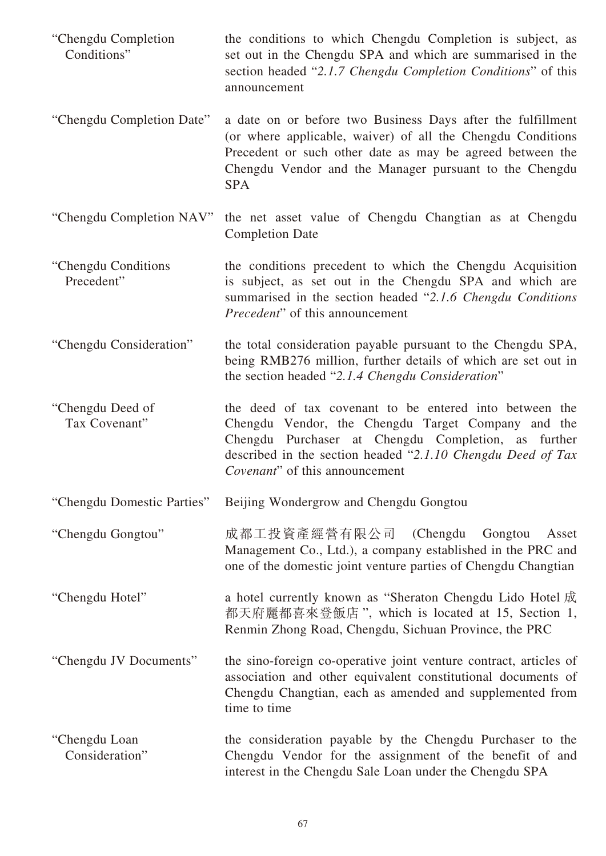- "Chengdu Completion Conditions" the conditions to which Chengdu Completion is subject, as set out in the Chengdu SPA and which are summarised in the section headed "*2.1.7 Chengdu Completion Conditions*" of this announcement
- "Chengdu Completion Date" a date on or before two Business Days after the fulfillment (or where applicable, waiver) of all the Chengdu Conditions Precedent or such other date as may be agreed between the Chengdu Vendor and the Manager pursuant to the Chengdu SPA
- "Chengdu Completion NAV" the net asset value of Chengdu Changtian as at Chengdu Completion Date
- "Chengdu Conditions Precedent" the conditions precedent to which the Chengdu Acquisition is subject, as set out in the Chengdu SPA and which are summarised in the section headed "*2.1.6 Chengdu Conditions Precedent*" of this announcement
- "Chengdu Consideration" the total consideration payable pursuant to the Chengdu SPA, being RMB276 million, further details of which are set out in the section headed "*2.1.4 Chengdu Consideration*"
- "Chengdu Deed of Tax Covenant" the deed of tax covenant to be entered into between the Chengdu Vendor, the Chengdu Target Company and the Chengdu Purchaser at Chengdu Completion, as further described in the section headed "*2.1.10 Chengdu Deed of Tax Covenant*" of this announcement
- "Chengdu Domestic Parties" Beijing Wondergrow and Chengdu Gongtou
- "Chengdu Gongtou" 成都工投資產經營有限公司 (Chengdu Gongtou Asset Management Co., Ltd.), a company established in the PRC and one of the domestic joint venture parties of Chengdu Changtian
- "Chengdu Hotel" a hotel currently known as "Sheraton Chengdu Lido Hotel 成 都天府麗都喜來登飯店 ", which is located at 15, Section 1, Renmin Zhong Road, Chengdu, Sichuan Province, the PRC
- "Chengdu JV Documents" the sino-foreign co-operative joint venture contract, articles of association and other equivalent constitutional documents of Chengdu Changtian, each as amended and supplemented from time to time
- "Chengdu Loan Consideration" the consideration payable by the Chengdu Purchaser to the Chengdu Vendor for the assignment of the benefit of and interest in the Chengdu Sale Loan under the Chengdu SPA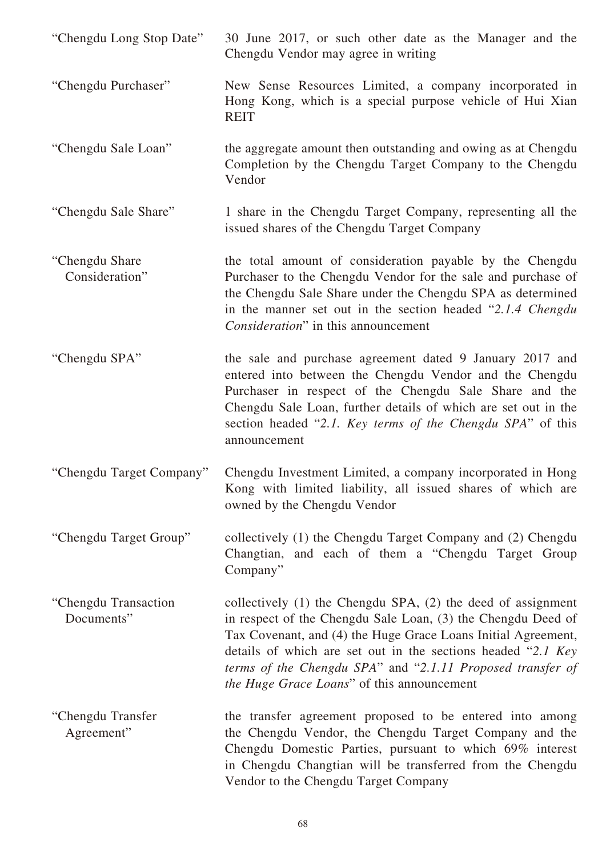| "Chengdu Long Stop Date"           | 30 June 2017, or such other date as the Manager and the<br>Chengdu Vendor may agree in writing                                                                                                                                                                                                                                                                                |
|------------------------------------|-------------------------------------------------------------------------------------------------------------------------------------------------------------------------------------------------------------------------------------------------------------------------------------------------------------------------------------------------------------------------------|
| "Chengdu Purchaser"                | New Sense Resources Limited, a company incorporated in<br>Hong Kong, which is a special purpose vehicle of Hui Xian<br><b>REIT</b>                                                                                                                                                                                                                                            |
| "Chengdu Sale Loan"                | the aggregate amount then outstanding and owing as at Chengdu<br>Completion by the Chengdu Target Company to the Chengdu<br>Vendor                                                                                                                                                                                                                                            |
| "Chengdu Sale Share"               | 1 share in the Chengdu Target Company, representing all the<br>issued shares of the Chengdu Target Company                                                                                                                                                                                                                                                                    |
| "Chengdu Share"<br>Consideration"  | the total amount of consideration payable by the Chengdu<br>Purchaser to the Chengdu Vendor for the sale and purchase of<br>the Chengdu Sale Share under the Chengdu SPA as determined<br>in the manner set out in the section headed "2.1.4 Chengdu<br>Consideration" in this announcement                                                                                   |
| "Chengdu SPA"                      | the sale and purchase agreement dated 9 January 2017 and<br>entered into between the Chengdu Vendor and the Chengdu<br>Purchaser in respect of the Chengdu Sale Share and the<br>Chengdu Sale Loan, further details of which are set out in the<br>section headed "2.1. Key terms of the Chengdu SPA" of this<br>announcement                                                 |
| "Chengdu Target Company"           | Chengdu Investment Limited, a company incorporated in Hong<br>Kong with limited liability, all issued shares of which are<br>owned by the Chengdu Vendor                                                                                                                                                                                                                      |
| "Chengdu Target Group"             | collectively (1) the Chengdu Target Company and (2) Chengdu<br>Changtian, and each of them a "Chengdu Target Group<br>Company"                                                                                                                                                                                                                                                |
| "Chengdu Transaction<br>Documents" | collectively $(1)$ the Chengdu SPA, $(2)$ the deed of assignment<br>in respect of the Chengdu Sale Loan, (3) the Chengdu Deed of<br>Tax Covenant, and (4) the Huge Grace Loans Initial Agreement,<br>details of which are set out in the sections headed "2.1 Key<br>terms of the Chengdu SPA" and "2.1.11 Proposed transfer of<br>the Huge Grace Loans" of this announcement |
| "Chengdu Transfer<br>Agreement"    | the transfer agreement proposed to be entered into among<br>the Chengdu Vendor, the Chengdu Target Company and the<br>Chengdu Domestic Parties, pursuant to which 69% interest<br>in Chengdu Changtian will be transferred from the Chengdu<br>Vendor to the Chengdu Target Company                                                                                           |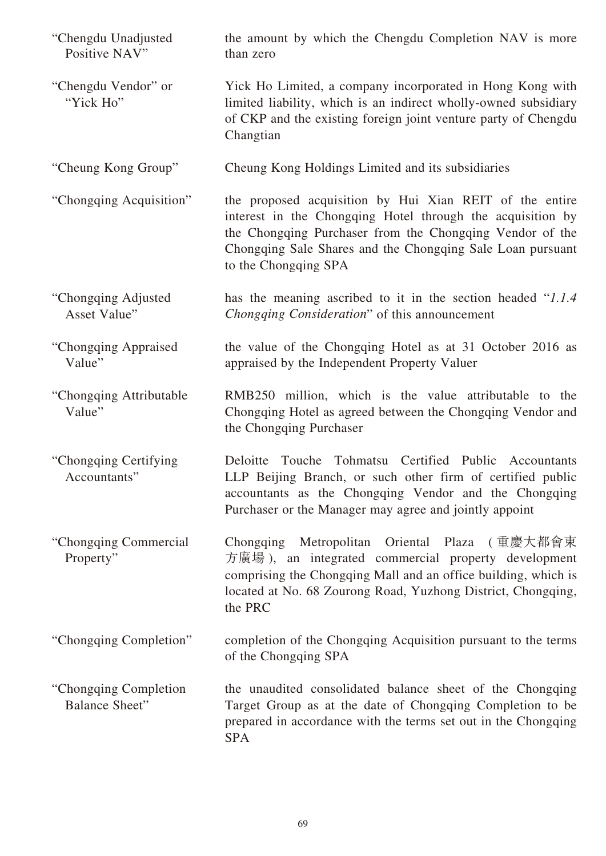| "Chengdu Unadjusted<br>Positive NAV"            | the amount by which the Chengdu Completion NAV is more<br>than zero                                                                                                                                                                                                     |
|-------------------------------------------------|-------------------------------------------------------------------------------------------------------------------------------------------------------------------------------------------------------------------------------------------------------------------------|
| "Chengdu Vendor" or<br>"Yick Ho"                | Yick Ho Limited, a company incorporated in Hong Kong with<br>limited liability, which is an indirect wholly-owned subsidiary<br>of CKP and the existing foreign joint venture party of Chengdu<br>Changtian                                                             |
| "Cheung Kong Group"                             | Cheung Kong Holdings Limited and its subsidiaries                                                                                                                                                                                                                       |
| "Chongqing Acquisition"                         | the proposed acquisition by Hui Xian REIT of the entire<br>interest in the Chongqing Hotel through the acquisition by<br>the Chongqing Purchaser from the Chongqing Vendor of the<br>Chongqing Sale Shares and the Chongqing Sale Loan pursuant<br>to the Chongqing SPA |
| "Chongqing Adjusted<br>Asset Value"             | has the meaning ascribed to it in the section headed "1.1.4"<br><i>Chongqing Consideration</i> " of this announcement                                                                                                                                                   |
| "Chongqing Appraised<br>Value"                  | the value of the Chongqing Hotel as at 31 October 2016 as<br>appraised by the Independent Property Valuer                                                                                                                                                               |
| "Chongqing Attributable"<br>Value"              | RMB250 million, which is the value attributable to the<br>Chongqing Hotel as agreed between the Chongqing Vendor and<br>the Chongqing Purchaser                                                                                                                         |
| "Chongqing Certifying<br>Accountants"           | Touche Tohmatsu Certified Public Accountants<br>Deloitte<br>LLP Beijing Branch, or such other firm of certified public<br>accountants as the Chongqing Vendor and the Chongqing<br>Purchaser or the Manager may agree and jointly appoint                               |
| "Chongqing Commercial<br>Property"              | Chongqing Metropolitan Oriental Plaza (重慶大都會東<br>方廣場), an integrated commercial property development<br>comprising the Chongqing Mall and an office building, which is<br>located at No. 68 Zourong Road, Yuzhong District, Chongqing,<br>the PRC                       |
| "Chongqing Completion"                          | completion of the Chongqing Acquisition pursuant to the terms<br>of the Chongqing SPA                                                                                                                                                                                   |
| "Chongqing Completion"<br><b>Balance Sheet"</b> | the unaudited consolidated balance sheet of the Chongqing<br>Target Group as at the date of Chongqing Completion to be<br>prepared in accordance with the terms set out in the Chongqing<br><b>SPA</b>                                                                  |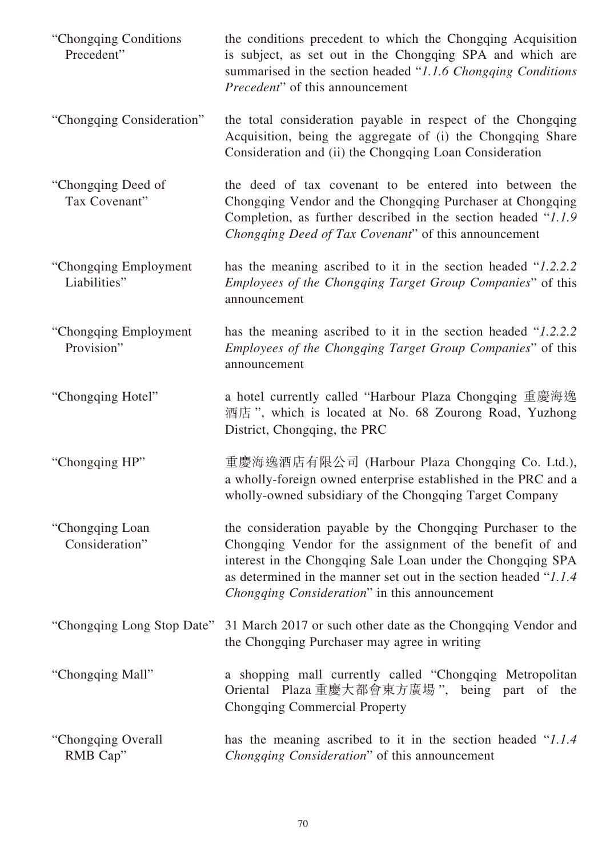| "Chongqing Conditions"<br>Precedent"   | the conditions precedent to which the Chongqing Acquisition<br>is subject, as set out in the Chongqing SPA and which are<br>summarised in the section headed "1.1.6 Chongqing Conditions"<br><i>Precedent</i> " of this announcement                                                                          |
|----------------------------------------|---------------------------------------------------------------------------------------------------------------------------------------------------------------------------------------------------------------------------------------------------------------------------------------------------------------|
| "Chongqing Consideration"              | the total consideration payable in respect of the Chongqing<br>Acquisition, being the aggregate of (i) the Chongqing Share<br>Consideration and (ii) the Chongqing Loan Consideration                                                                                                                         |
| "Chongqing Deed of<br>Tax Covenant"    | the deed of tax covenant to be entered into between the<br>Chongqing Vendor and the Chongqing Purchaser at Chongqing<br>Completion, as further described in the section headed "1.1.9"<br>Chongqing Deed of Tax Covenant" of this announcement                                                                |
| "Chongqing Employment"<br>Liabilities" | has the meaning ascribed to it in the section headed "1.2.2.2"<br><i>Employees of the Chongqing Target Group Companies</i> " of this<br>announcement                                                                                                                                                          |
| "Chongqing Employment"<br>Provision"   | has the meaning ascribed to it in the section headed "1.2.2.2"<br><i>Employees of the Chongqing Target Group Companies</i> " of this<br>announcement                                                                                                                                                          |
| "Chongqing Hotel"                      | a hotel currently called "Harbour Plaza Chongqing 重慶海逸<br>酒店", which is located at No. 68 Zourong Road, Yuzhong<br>District, Chongqing, the PRC                                                                                                                                                               |
| "Chongqing HP"                         | 重慶海逸酒店有限公司 (Harbour Plaza Chongqing Co. Ltd.),<br>a wholly-foreign owned enterprise established in the PRC and a<br>wholly-owned subsidiary of the Chongqing Target Company                                                                                                                                   |
| "Chongqing Loan<br>Consideration"      | the consideration payable by the Chongqing Purchaser to the<br>Chongqing Vendor for the assignment of the benefit of and<br>interest in the Chongqing Sale Loan under the Chongqing SPA<br>as determined in the manner set out in the section headed "1.1.4"<br>Chongqing Consideration" in this announcement |
| "Chongqing Long Stop Date"             | 31 March 2017 or such other date as the Chongqing Vendor and<br>the Chongqing Purchaser may agree in writing                                                                                                                                                                                                  |
| "Chongqing Mall"                       | a shopping mall currently called "Chongqing Metropolitan"<br>Oriental Plaza 重慶大都會東方廣場 ", being part of the<br><b>Chongqing Commercial Property</b>                                                                                                                                                            |
| "Chongqing Overall"<br>RMB Cap"        | has the meaning ascribed to it in the section headed "1.1.4"<br>Chongqing Consideration" of this announcement                                                                                                                                                                                                 |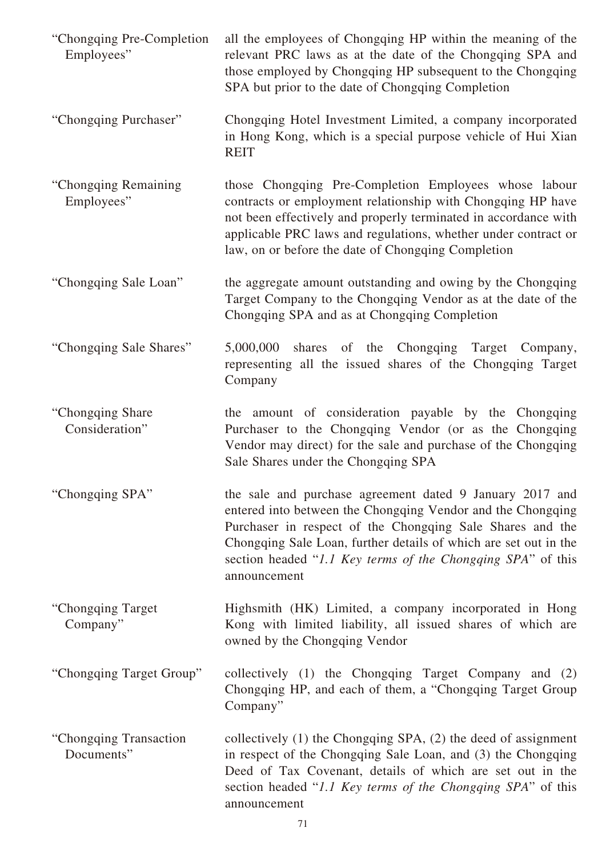| "Chongqing Pre-Completion"<br>Employees" | all the employees of Chongqing HP within the meaning of the<br>relevant PRC laws as at the date of the Chongqing SPA and<br>those employed by Chongqing HP subsequent to the Chongqing<br>SPA but prior to the date of Chongqing Completion                                                                                             |
|------------------------------------------|-----------------------------------------------------------------------------------------------------------------------------------------------------------------------------------------------------------------------------------------------------------------------------------------------------------------------------------------|
| "Chongqing Purchaser"                    | Chongqing Hotel Investment Limited, a company incorporated<br>in Hong Kong, which is a special purpose vehicle of Hui Xian<br><b>REIT</b>                                                                                                                                                                                               |
| "Chongqing Remaining<br>Employees"       | those Chongqing Pre-Completion Employees whose labour<br>contracts or employment relationship with Chongqing HP have<br>not been effectively and properly terminated in accordance with<br>applicable PRC laws and regulations, whether under contract or<br>law, on or before the date of Chongqing Completion                         |
| "Chongqing Sale Loan"                    | the aggregate amount outstanding and owing by the Chongqing<br>Target Company to the Chongqing Vendor as at the date of the<br>Chongqing SPA and as at Chongqing Completion                                                                                                                                                             |
| "Chongqing Sale Shares"                  | 5,000,000<br>shares of the Chongqing Target Company,<br>representing all the issued shares of the Chongqing Target<br>Company                                                                                                                                                                                                           |
| "Chongqing Share"<br>Consideration"      | the amount of consideration payable by the Chongqing<br>Purchaser to the Chongqing Vendor (or as the Chongqing<br>Vendor may direct) for the sale and purchase of the Chongqing<br>Sale Shares under the Chongqing SPA                                                                                                                  |
| "Chongqing SPA"                          | the sale and purchase agreement dated 9 January 2017 and<br>entered into between the Chongqing Vendor and the Chongqing<br>Purchaser in respect of the Chongqing Sale Shares and the<br>Chongqing Sale Loan, further details of which are set out in the<br>section headed "1.1 Key terms of the Chongqing SPA" of this<br>announcement |
| "Chongqing Target"<br>Company"           | Highsmith (HK) Limited, a company incorporated in Hong<br>Kong with limited liability, all issued shares of which are<br>owned by the Chongqing Vendor                                                                                                                                                                                  |
| "Chongqing Target Group"                 | collectively (1) the Chongqing Target Company and (2)<br>Chongqing HP, and each of them, a "Chongqing Target Group<br>Company"                                                                                                                                                                                                          |
| "Chongqing Transaction<br>Documents"     | collectively $(1)$ the Chongqing SPA, $(2)$ the deed of assignment<br>in respect of the Chongqing Sale Loan, and (3) the Chongqing<br>Deed of Tax Covenant, details of which are set out in the<br>section headed "1.1 Key terms of the Chongqing SPA" of this<br>announcement                                                          |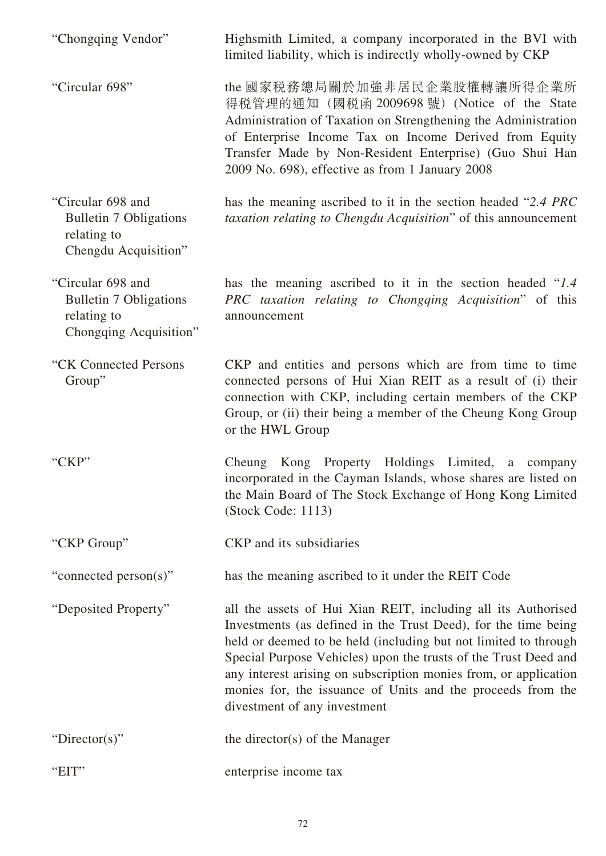| "Chongqing Vendor"                                                                          | Highsmith Limited, a company incorporated in the BVI with<br>limited liability, which is indirectly wholly-owned by CKP                                                                                                                                                                                                                                                                                                                  |
|---------------------------------------------------------------------------------------------|------------------------------------------------------------------------------------------------------------------------------------------------------------------------------------------------------------------------------------------------------------------------------------------------------------------------------------------------------------------------------------------------------------------------------------------|
| "Circular 698"                                                                              | the 國家税務總局關於加強非居民企業股權轉讓所得企業所<br>得税管理的通知 (國税函 2009698 號) (Notice of the State<br>Administration of Taxation on Strengthening the Administration<br>of Enterprise Income Tax on Income Derived from Equity<br>Transfer Made by Non-Resident Enterprise) (Guo Shui Han<br>2009 No. 698), effective as from 1 January 2008                                                                                                                   |
| "Circular 698 and<br><b>Bulletin 7 Obligations</b><br>relating to<br>Chengdu Acquisition"   | has the meaning ascribed to it in the section headed "2.4 PRC<br>taxation relating to Chengdu Acquisition" of this announcement                                                                                                                                                                                                                                                                                                          |
| "Circular 698 and<br><b>Bulletin 7 Obligations</b><br>relating to<br>Chongqing Acquisition" | has the meaning ascribed to it in the section headed "1.4"<br>PRC taxation relating to Chongqing Acquisition" of this<br>announcement                                                                                                                                                                                                                                                                                                    |
| "CK Connected Persons<br>Group"                                                             | CKP and entities and persons which are from time to time<br>connected persons of Hui Xian REIT as a result of (i) their<br>connection with CKP, including certain members of the CKP<br>Group, or (ii) their being a member of the Cheung Kong Group<br>or the HWL Group                                                                                                                                                                 |
| "CKP"                                                                                       | Kong Property Holdings Limited,<br>Cheung<br>a a<br>company<br>incorporated in the Cayman Islands, whose shares are listed on<br>the Main Board of The Stock Exchange of Hong Kong Limited<br>(Stock Code: 1113)                                                                                                                                                                                                                         |
| "CKP Group"                                                                                 | CKP and its subsidiaries                                                                                                                                                                                                                                                                                                                                                                                                                 |
| "connected person(s)"                                                                       | has the meaning ascribed to it under the REIT Code                                                                                                                                                                                                                                                                                                                                                                                       |
| "Deposited Property"                                                                        | all the assets of Hui Xian REIT, including all its Authorised<br>Investments (as defined in the Trust Deed), for the time being<br>held or deemed to be held (including but not limited to through<br>Special Purpose Vehicles) upon the trusts of the Trust Deed and<br>any interest arising on subscription monies from, or application<br>monies for, the issuance of Units and the proceeds from the<br>divestment of any investment |
| "Director(s)"                                                                               | the director(s) of the Manager                                                                                                                                                                                                                                                                                                                                                                                                           |
| "EIT"                                                                                       | enterprise income tax                                                                                                                                                                                                                                                                                                                                                                                                                    |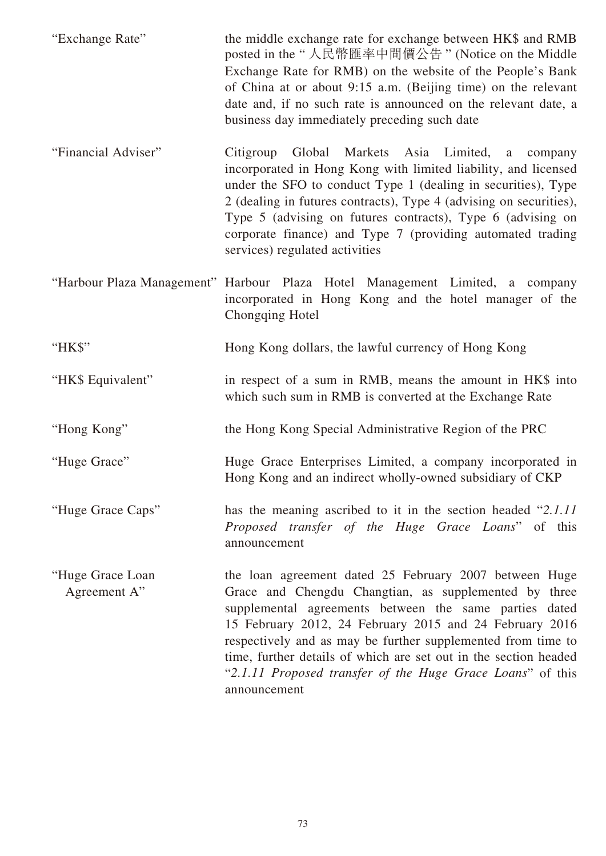| "Exchange Rate"                  | the middle exchange rate for exchange between HK\$ and RMB<br>posted in the "人民幣匯率中間價公告" (Notice on the Middle<br>Exchange Rate for RMB) on the website of the People's Bank<br>of China at or about 9:15 a.m. (Beijing time) on the relevant<br>date and, if no such rate is announced on the relevant date, a<br>business day immediately preceding such date                                                                                        |
|----------------------------------|--------------------------------------------------------------------------------------------------------------------------------------------------------------------------------------------------------------------------------------------------------------------------------------------------------------------------------------------------------------------------------------------------------------------------------------------------------|
| "Financial Adviser"              | Global Markets Asia Limited, a<br>Citigroup<br>company<br>incorporated in Hong Kong with limited liability, and licensed<br>under the SFO to conduct Type 1 (dealing in securities), Type<br>2 (dealing in futures contracts), Type 4 (advising on securities),<br>Type 5 (advising on futures contracts), Type 6 (advising on<br>corporate finance) and Type 7 (providing automated trading<br>services) regulated activities                         |
|                                  | "Harbour Plaza Management" Harbour Plaza Hotel Management Limited, a company<br>incorporated in Hong Kong and the hotel manager of the<br>Chongqing Hotel                                                                                                                                                                                                                                                                                              |
| "HK\$"                           | Hong Kong dollars, the lawful currency of Hong Kong                                                                                                                                                                                                                                                                                                                                                                                                    |
| "HK\$ Equivalent"                | in respect of a sum in RMB, means the amount in HK\$ into<br>which such sum in RMB is converted at the Exchange Rate                                                                                                                                                                                                                                                                                                                                   |
| "Hong Kong"                      | the Hong Kong Special Administrative Region of the PRC                                                                                                                                                                                                                                                                                                                                                                                                 |
| "Huge Grace"                     | Huge Grace Enterprises Limited, a company incorporated in<br>Hong Kong and an indirect wholly-owned subsidiary of CKP                                                                                                                                                                                                                                                                                                                                  |
| "Huge Grace Caps"                | has the meaning ascribed to it in the section headed "2.1.11"<br>Proposed transfer of the Huge Grace Loans" of this<br>announcement                                                                                                                                                                                                                                                                                                                    |
| "Huge Grace Loan<br>Agreement A" | the loan agreement dated 25 February 2007 between Huge<br>Grace and Chengdu Changtian, as supplemented by three<br>supplemental agreements between the same parties dated<br>15 February 2012, 24 February 2015 and 24 February 2016<br>respectively and as may be further supplemented from time to<br>time, further details of which are set out in the section headed<br>"2.1.11 Proposed transfer of the Huge Grace Loans" of this<br>announcement |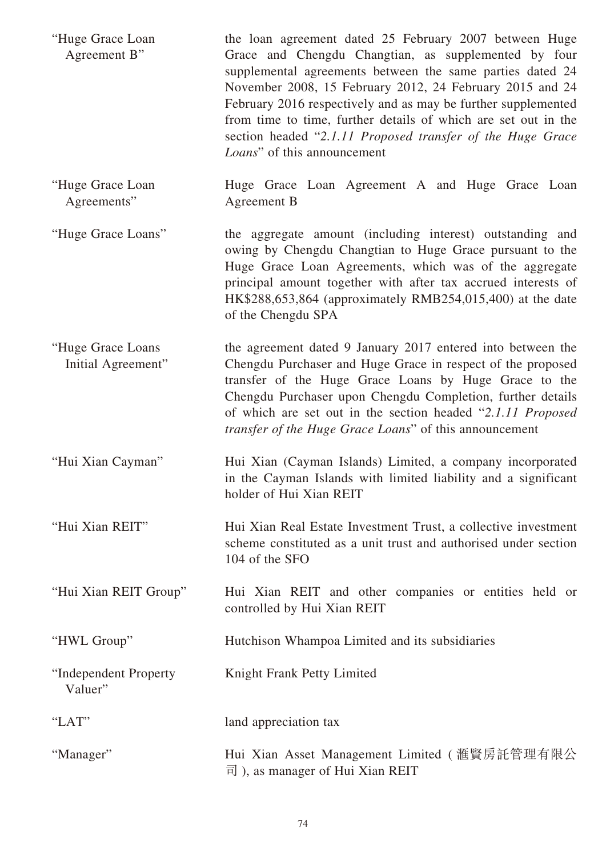| "Huge Grace Loan<br>Agreement B"        | the loan agreement dated 25 February 2007 between Huge<br>Grace and Chengdu Changtian, as supplemented by four<br>supplemental agreements between the same parties dated 24<br>November 2008, 15 February 2012, 24 February 2015 and 24<br>February 2016 respectively and as may be further supplemented<br>from time to time, further details of which are set out in the<br>section headed "2.1.11 Proposed transfer of the Huge Grace<br>Loans" of this announcement |
|-----------------------------------------|-------------------------------------------------------------------------------------------------------------------------------------------------------------------------------------------------------------------------------------------------------------------------------------------------------------------------------------------------------------------------------------------------------------------------------------------------------------------------|
| "Huge Grace Loan<br>Agreements"         | Huge Grace Loan Agreement A and Huge Grace Loan<br>Agreement B                                                                                                                                                                                                                                                                                                                                                                                                          |
| "Huge Grace Loans"                      | the aggregate amount (including interest) outstanding and<br>owing by Chengdu Changtian to Huge Grace pursuant to the<br>Huge Grace Loan Agreements, which was of the aggregate<br>principal amount together with after tax accrued interests of<br>HK\$288,653,864 (approximately RMB254,015,400) at the date<br>of the Chengdu SPA                                                                                                                                    |
| "Huge Grace Loans<br>Initial Agreement" | the agreement dated 9 January 2017 entered into between the<br>Chengdu Purchaser and Huge Grace in respect of the proposed<br>transfer of the Huge Grace Loans by Huge Grace to the<br>Chengdu Purchaser upon Chengdu Completion, further details<br>of which are set out in the section headed "2.1.11 Proposed<br>transfer of the Huge Grace Loans" of this announcement                                                                                              |
| "Hui Xian Cayman"                       | Hui Xian (Cayman Islands) Limited, a company incorporated<br>in the Cayman Islands with limited liability and a significant<br>holder of Hui Xian REIT                                                                                                                                                                                                                                                                                                                  |
| "Hui Xian REIT"                         | Hui Xian Real Estate Investment Trust, a collective investment<br>scheme constituted as a unit trust and authorised under section<br>104 of the SFO                                                                                                                                                                                                                                                                                                                     |
| "Hui Xian REIT Group"                   | Hui Xian REIT and other companies or entities held or<br>controlled by Hui Xian REIT                                                                                                                                                                                                                                                                                                                                                                                    |
| "HWL Group"                             | Hutchison Whampoa Limited and its subsidiaries                                                                                                                                                                                                                                                                                                                                                                                                                          |
| "Independent Property<br>Valuer"        | Knight Frank Petty Limited                                                                                                                                                                                                                                                                                                                                                                                                                                              |
| "LAT"                                   | land appreciation tax                                                                                                                                                                                                                                                                                                                                                                                                                                                   |
| "Manager"                               | Hui Xian Asset Management Limited ( 滙賢房託管理有限公<br>$\overline{p}$ ), as manager of Hui Xian REIT                                                                                                                                                                                                                                                                                                                                                                          |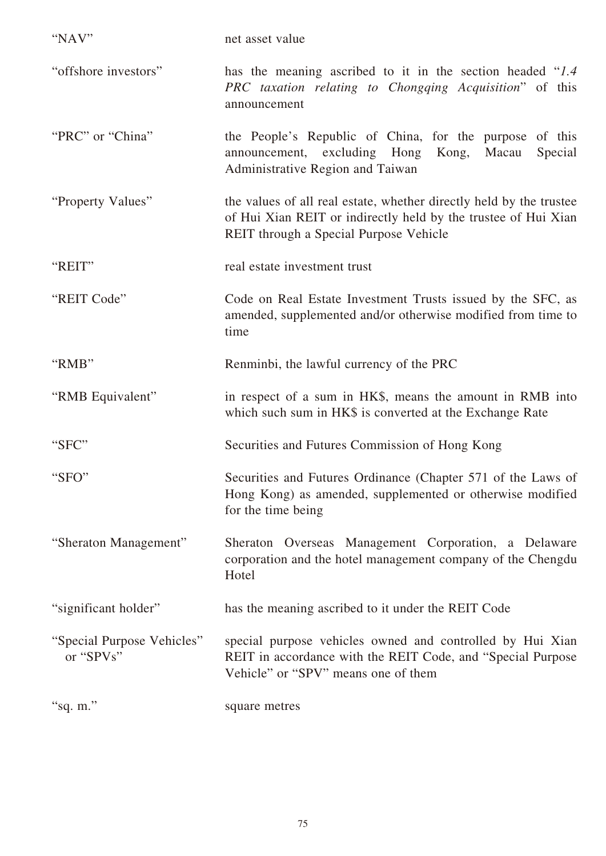| "NAV"                                   | net asset value                                                                                                                                                                 |
|-----------------------------------------|---------------------------------------------------------------------------------------------------------------------------------------------------------------------------------|
| "offshore investors"                    | has the meaning ascribed to it in the section headed "1.4"<br>PRC taxation relating to Chongqing Acquisition" of this<br>announcement                                           |
| "PRC" or "China"                        | the People's Republic of China, for the purpose of this<br>announcement, excluding Hong<br>Kong,<br>Macau<br>Special<br>Administrative Region and Taiwan                        |
| "Property Values"                       | the values of all real estate, whether directly held by the trustee<br>of Hui Xian REIT or indirectly held by the trustee of Hui Xian<br>REIT through a Special Purpose Vehicle |
| "REIT"                                  | real estate investment trust                                                                                                                                                    |
| "REIT Code"                             | Code on Real Estate Investment Trusts issued by the SFC, as<br>amended, supplemented and/or otherwise modified from time to<br>time                                             |
| "RMB"                                   | Renminbi, the lawful currency of the PRC                                                                                                                                        |
| "RMB Equivalent"                        | in respect of a sum in HK\$, means the amount in RMB into<br>which such sum in HK\$ is converted at the Exchange Rate                                                           |
| "SFC"                                   | Securities and Futures Commission of Hong Kong                                                                                                                                  |
| "SFO"                                   | Securities and Futures Ordinance (Chapter 571 of the Laws of<br>Hong Kong) as amended, supplemented or otherwise modified<br>for the time being                                 |
| "Sheraton Management"                   | Sheraton Overseas Management Corporation, a Delaware<br>corporation and the hotel management company of the Chengdu<br>Hotel                                                    |
| "significant holder"                    | has the meaning ascribed to it under the REIT Code                                                                                                                              |
| "Special Purpose Vehicles"<br>or "SPVs" | special purpose vehicles owned and controlled by Hui Xian<br>REIT in accordance with the REIT Code, and "Special Purpose"<br>Vehicle" or "SPV" means one of them                |
| "sq. m."                                | square metres                                                                                                                                                                   |